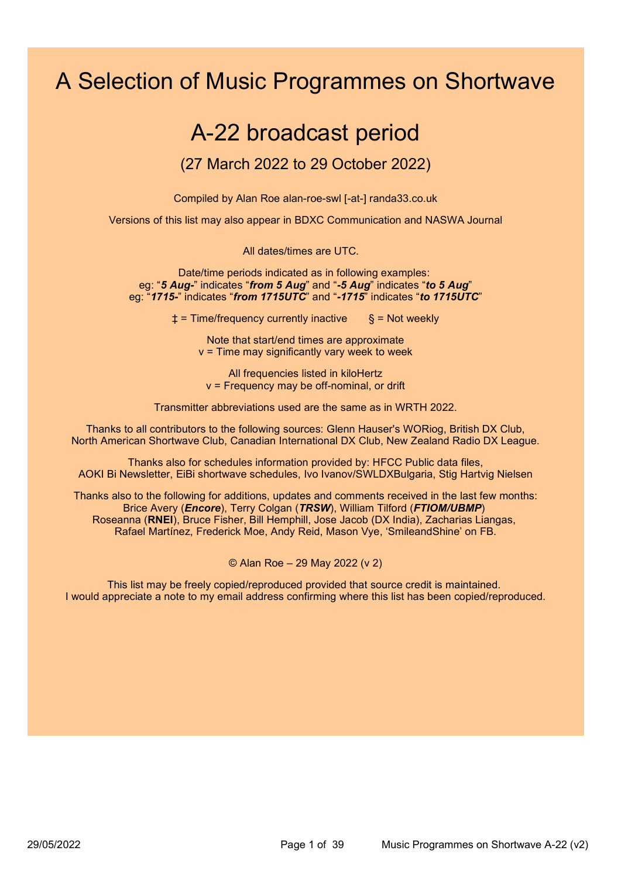# A Selection of Music Programmes on Shortwave

# A-22 broadcast period

# (27 March 2022 to 29 October 2022)

Compiled by Alan Roe alan-roe-swl [-at-] randa33.co.uk

Versions of this list may also appear in BDXC Communication and NASWA Journal

All dates/times are UTC.

Date/time periods indicated as in following examples: eg: "5 Aug-" indicates "from 5 Aug" and "-5 Aug" indicates "to 5 Aug" eg: "1715-" indicates "from 1715UTC" and "-1715" indicates "to 1715UTC"

 $\pm$  = Time/frequency currently inactive  $\S$  = Not weekly

Note that start/end times are approximate  $v =$  Time may significantly vary week to week

All frequencies listed in kiloHertz v = Frequency may be off-nominal, or drift

Transmitter abbreviations used are the same as in WRTH 2022.

Thanks to all contributors to the following sources: Glenn Hauser's WORiog, British DX Club, North American Shortwave Club, Canadian International DX Club, New Zealand Radio DX League.

Thanks also for schedules information provided by: HFCC Public data files, AOKI Bi Newsletter, EiBi shortwave schedules, Ivo Ivanov/SWLDXBulgaria, Stig Hartvig Nielsen

Thanks also to the following for additions, updates and comments received in the last few months: Brice Avery (*Encore*), Terry Colgan (TRSW), William Tilford (FTIOM/UBMP) Roseanna (RNEI), Bruce Fisher, Bill Hemphill, Jose Jacob (DX India), Zacharias Liangas, Rafael Martínez, Frederick Moe, Andy Reid, Mason Vye, 'SmileandShine' on FB.

© Alan Roe – 29 May 2022 (v 2)

This list may be freely copied/reproduced provided that source credit is maintained. I would appreciate a note to my email address confirming where this list has been copied/reproduced.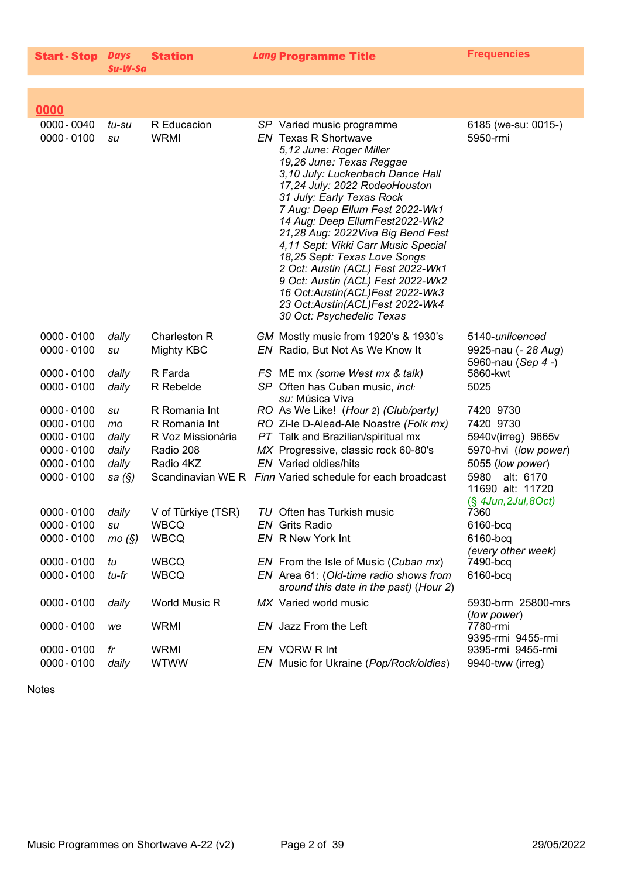| <b>Start-Stop Days</b> |         | <b>Station</b> |
|------------------------|---------|----------------|
|                        | Su-W-Sa |                |

Lang Programme Title Frequencies

| $0000 - 0040$<br>R Educacion<br>6185 (we-su: 0015-)<br>tu-su<br>SP Varied music programme<br>$0000 - 0100$<br><b>WRMI</b><br><b>EN</b> Texas R Shortwave<br>5950-rmi<br>su<br>5,12 June: Roger Miller<br>19,26 June: Texas Reggae<br>3,10 July: Luckenbach Dance Hall<br>17,24 July: 2022 RodeoHouston<br>31 July: Early Texas Rock<br>7 Aug: Deep Ellum Fest 2022-Wk1<br>14 Aug: Deep EllumFest2022-Wk2<br>21,28 Aug: 2022 Viva Big Bend Fest<br>4,11 Sept: Vikki Carr Music Special<br>18,25 Sept: Texas Love Songs<br>2 Oct: Austin (ACL) Fest 2022-Wk1<br>9 Oct: Austin (ACL) Fest 2022-Wk2<br>16 Oct:Austin(ACL)Fest 2022-Wk3<br>23 Oct:Austin(ACL)Fest 2022-Wk4<br>30 Oct: Psychedelic Texas |  |
|----------------------------------------------------------------------------------------------------------------------------------------------------------------------------------------------------------------------------------------------------------------------------------------------------------------------------------------------------------------------------------------------------------------------------------------------------------------------------------------------------------------------------------------------------------------------------------------------------------------------------------------------------------------------------------------------------|--|
| $0000 - 0100$<br>daily<br>Charleston R<br>GM Mostly music from 1920's & 1930's<br>5140-unlicenced<br>$0000 - 0100$<br>Mighty KBC<br>EN Radio, But Not As We Know It<br>9925-nau (- 28 Aug)<br>su<br>5960-nau (Sep 4 -)                                                                                                                                                                                                                                                                                                                                                                                                                                                                             |  |
| $0000 - 0100$<br>daily<br>R Farda<br>5860-kwt<br>FS ME mx (some West mx & talk)<br>daily<br>R Rebelde<br>SP Often has Cuban music, incl:<br>5025<br>$0000 - 0100$<br>su: Música Viva                                                                                                                                                                                                                                                                                                                                                                                                                                                                                                               |  |
| $0000 - 0100$<br>R Romania Int<br>RO As We Like! (Hour 2) (Club/party)<br>7420 9730<br>su<br>$0000 - 0100$<br>R Romania Int<br>RO Zi-le D-Alead-Ale Noastre (Folk mx)<br>7420 9730<br>mo<br>PT Talk and Brazilian/spiritual mx<br>$0000 - 0100$<br>daily<br>R Voz Missionária<br>5940v(irreg) 9665v<br>MX Progressive, classic rock 60-80's<br>$0000 - 0100$<br>daily<br>Radio 208<br>5970-hvi (low power)<br>$0000 - 0100$<br><b>EN</b> Varied oldies/hits<br>daily<br>Radio 4KZ<br>5055 (low power)<br>Scandinavian WE R Finn Varied schedule for each broadcast<br>5980<br>alt: 6170<br>$0000 - 0100$<br>sa (§)<br>11690 alt: 11720                                                             |  |
| (§ 4Jun, 2Jul, 8Oct)<br>TU Often has Turkish music<br>$0000 - 0100$<br>daily<br>V of Türkiye (TSR)<br>7360<br>$0000 - 0100$<br><b>WBCQ</b><br><b>EN</b> Grits Radio<br>6160-bcq<br>su<br><b>WBCQ</b><br>EN R New York Int<br>6160-bcq<br>$0000 - 0100$<br>mo(S)<br>(every other week)                                                                                                                                                                                                                                                                                                                                                                                                              |  |
| <b>WBCQ</b><br>$0000 - 0100$<br>EN From the Isle of Music (Cuban mx)<br>7490-bcq<br>tu<br>$0000 - 0100$<br><b>WBCQ</b><br>EN Area 61: (Old-time radio shows from<br>6160-bcq<br>tu-fr<br>around this date in the past) (Hour 2)                                                                                                                                                                                                                                                                                                                                                                                                                                                                    |  |
| MX Varied world music<br>$0000 - 0100$<br>daily<br>World Music R<br>5930-brm 25800-mrs<br>(low power)                                                                                                                                                                                                                                                                                                                                                                                                                                                                                                                                                                                              |  |
| <b>WRMI</b><br>7780-rmi<br>$0000 - 0100$<br>EN Jazz From the Left<br>we<br>9395-rmi 9455-rmi                                                                                                                                                                                                                                                                                                                                                                                                                                                                                                                                                                                                       |  |
| $0000 - 0100$<br><b>WRMI</b><br>EN VORW R Int<br>9395-rmi 9455-rmi<br>fr<br>$0000 - 0100$<br>daily<br><b>WTWW</b><br>EN Music for Ukraine (Pop/Rock/oldies)<br>9940-tww (irreg)                                                                                                                                                                                                                                                                                                                                                                                                                                                                                                                    |  |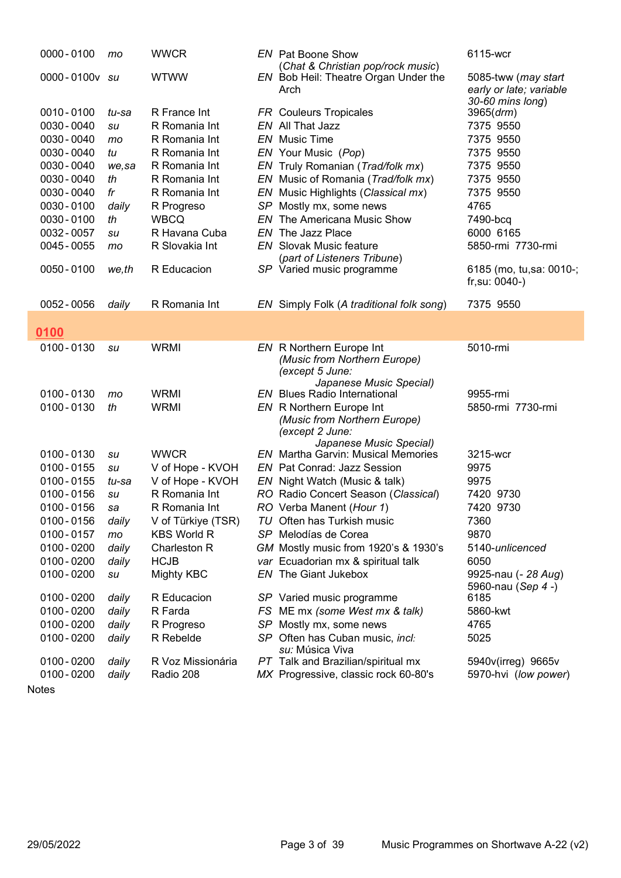| $0000 - 0100$ | mo    | <b>WWCR</b>        | <b>EN</b> Pat Boone Show<br>(Chat & Christian pop/rock music)               | 6115-wcr                                       |
|---------------|-------|--------------------|-----------------------------------------------------------------------------|------------------------------------------------|
| 0000-0100v su |       | <b>WTWW</b>        | EN Bob Heil: Theatre Organ Under the<br>Arch                                | 5085-tww (may start<br>early or late; variable |
| 0010-0100     | tu-sa | R France Int       |                                                                             | 30-60 mins long)                               |
| 0030 - 0040   |       | R Romania Int      | <b>FR</b> Couleurs Tropicales<br>EN All That Jazz                           | 3965(drm)<br>7375 9550                         |
| 0030 - 0040   | su    | R Romania Int      | <b>EN</b> Music Time                                                        | 7375 9550                                      |
| 0030 - 0040   | mo    | R Romania Int      | EN Your Music (Pop)                                                         | 7375 9550                                      |
| 0030 - 0040   | tu    | R Romania Int      |                                                                             | 7375 9550                                      |
|               | we,sa |                    | EN Truly Romanian (Trad/folk mx)                                            |                                                |
| 0030 - 0040   | th    | R Romania Int      | EN Music of Romania (Trad/folk mx)                                          | 7375 9550                                      |
| 0030 - 0040   | fr    | R Romania Int      | EN Music Highlights (Classical mx)                                          | 7375 9550                                      |
| 0030 - 0100   | daily | R Progreso         | SP Mostly mx, some news                                                     | 4765                                           |
| 0030 - 0100   | th    | <b>WBCQ</b>        | <b>EN</b> The Americana Music Show                                          | 7490-bcq                                       |
| 0032 - 0057   | su    | R Havana Cuba      | EN The Jazz Place                                                           | 6000 6165                                      |
| 0045 - 0055   | mo    | R Slovakia Int     | <b>EN</b> Slovak Music feature                                              | 5850-rmi 7730-rmi                              |
| 0050 - 0100   | we,th | R Educacion        | (part of Listeners Tribune)<br>SP Varied music programme                    | 6185 (mo, tu,sa: 0010-;<br>$fr, su: 0040-)$    |
| 0052 - 0056   | daily | R Romania Int      | EN Simply Folk (A traditional folk song)                                    | 7375 9550                                      |
|               |       |                    |                                                                             |                                                |
| 0100          |       |                    |                                                                             |                                                |
| 0100-0130     | su    | <b>WRMI</b>        | EN R Northern Europe Int<br>(Music from Northern Europe)<br>(except 5 June: | 5010-rmi                                       |
|               |       |                    | Japanese Music Special)                                                     |                                                |
| 0100-0130     | mo    | <b>WRMI</b>        | <b>EN</b> Blues Radio International                                         | 9955-rmi                                       |
| 0100-0130     | th    | <b>WRMI</b>        | EN R Northern Europe Int<br>(Music from Northern Europe)<br>(except 2 June: | 5850-rmi 7730-rmi                              |
| 0100-0130     | su    | <b>WWCR</b>        | Japanese Music Special)<br><b>EN</b> Martha Garvin: Musical Memories        | 3215-wcr                                       |
| $0100 - 0155$ | su    | V of Hope - KVOH   | EN Pat Conrad: Jazz Session                                                 | 9975                                           |
| 0100 - 0155   | tu-sa | V of Hope - KVOH   | EN Night Watch (Music & talk)                                               | 9975                                           |
| 0100 - 0156   | su    | R Romania Int      | RO Radio Concert Season (Classical)                                         | 7420 9730                                      |
| $0100 - 0156$ | sa    | R Romania Int      | RO Verba Manent (Hour 1)                                                    | 7420 9730                                      |
| 0100 - 0156   | daily | V of Türkiye (TSR) | TU Often has Turkish music                                                  | 7360                                           |
| 0100-0157     | mo    | <b>KBS World R</b> | SP Melodías de Corea                                                        | 9870                                           |
| 0100 - 0200   | daily | Charleston R       | GM Mostly music from 1920's & 1930's                                        | 5140-unlicenced                                |
| 0100 - 0200   | daily | <b>HCJB</b>        | var Ecuadorian mx & spiritual talk                                          | 6050                                           |
| 0100 - 0200   |       | Mighty KBC         | <b>EN</b> The Giant Jukebox                                                 | 9925-nau (- 28 Aug)                            |
|               | su    |                    |                                                                             | 5960-nau (Sep 4 -)                             |
| 0100 - 0200   | daily | R Educacion        | SP Varied music programme                                                   | 6185                                           |
| 0100 - 0200   | daily | R Farda            | FS ME mx (some West mx & talk)                                              | 5860-kwt                                       |
| 0100 - 0200   | daily | R Progreso         | SP Mostly mx, some news                                                     | 4765                                           |
| 0100 - 0200   | daily | R Rebelde          | SP Often has Cuban music, incl:                                             | 5025                                           |
|               |       |                    | su: Música Viva                                                             |                                                |
| 0100 - 0200   | daily | R Voz Missionária  | PT Talk and Brazilian/spiritual mx                                          | 5940v(irreg) 9665v                             |
| 0100 - 0200   | daily | Radio 208          | MX Progressive, classic rock 60-80's                                        | 5970-hvi (low power)                           |
|               |       |                    |                                                                             |                                                |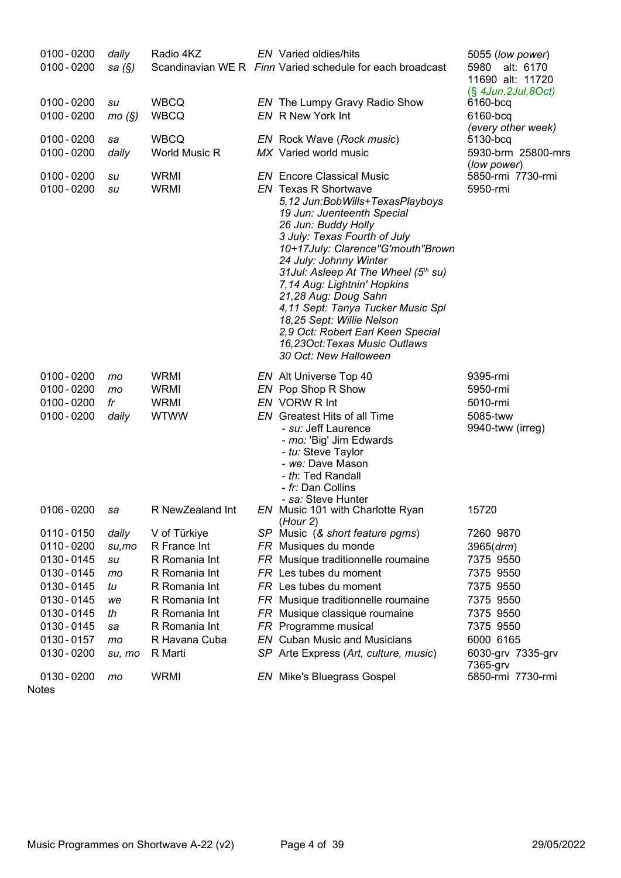| $0100 - 0200$<br>$0100 - 0200$                                                                                                                     | daily<br>sa $(\S)$                                                     | Radio 4KZ                                                                                                                                                      | EN Varied oldies/hits<br>Scandinavian WE R Finn Varied schedule for each broadcast                                                                                                                                                                                                                                                                                                                                                                                                                                     | 5055 (low power)<br>5980 alt: 6170<br>11690 alt: 11720                                                                                  |
|----------------------------------------------------------------------------------------------------------------------------------------------------|------------------------------------------------------------------------|----------------------------------------------------------------------------------------------------------------------------------------------------------------|------------------------------------------------------------------------------------------------------------------------------------------------------------------------------------------------------------------------------------------------------------------------------------------------------------------------------------------------------------------------------------------------------------------------------------------------------------------------------------------------------------------------|-----------------------------------------------------------------------------------------------------------------------------------------|
| $0100 - 0200$<br>$0100 - 0200$                                                                                                                     | su<br>mo(S)                                                            | <b>WBCQ</b><br><b>WBCQ</b>                                                                                                                                     | EN The Lumpy Gravy Radio Show<br>EN R New York Int                                                                                                                                                                                                                                                                                                                                                                                                                                                                     | $(\S$ 4Jun, 2Jul, 8Oct)<br>6160-bcq<br>6160-bcq                                                                                         |
| $0100 - 0200$<br>$0100 - 0200$                                                                                                                     | sa<br>daily                                                            | <b>WBCQ</b><br>World Music R                                                                                                                                   | EN Rock Wave (Rock music)<br>MX Varied world music                                                                                                                                                                                                                                                                                                                                                                                                                                                                     | (every other week)<br>5130-bcq<br>5930-brm 25800-mrs                                                                                    |
| $0100 - 0200$<br>$0100 - 0200$                                                                                                                     | su<br>su                                                               | <b>WRMI</b><br><b>WRMI</b>                                                                                                                                     | <b>EN</b> Encore Classical Music<br><b>EN</b> Texas R Shortwave<br>5,12 Jun:BobWills+TexasPlayboys<br>19 Jun: Juenteenth Special<br>26 Jun: Buddy Holly<br>3 July: Texas Fourth of July<br>10+17July: Clarence"G'mouth"Brown<br>24 July: Johnny Winter<br>31 Jul: Asleep At The Wheel (5th su)<br>7,14 Aug: Lightnin' Hopkins<br>21,28 Aug: Doug Sahn<br>4,11 Sept: Tanya Tucker Music Spl<br>18,25 Sept: Willie Nelson<br>2,9 Oct: Robert Earl Keen Special<br>16,23Oct: Texas Music Outlaws<br>30 Oct: New Halloween | (low power)<br>5850-rmi 7730-rmi<br>5950-rmi                                                                                            |
| $0100 - 0200$<br>$0100 - 0200$<br>$0100 - 0200$<br>$0100 - 0200$                                                                                   | mo<br>mo<br>fr<br>daily                                                | <b>WRMI</b><br><b>WRMI</b><br><b>WRMI</b><br><b>WTWW</b>                                                                                                       | EN Alt Universe Top 40<br>EN Pop Shop R Show<br>EN VORW R Int<br>EN Greatest Hits of all Time<br>- <i>su:</i> Jeff Laurence<br>- mo: 'Big' Jim Edwards<br>- tu: Steve Taylor<br>- we: Dave Mason<br>- th: Ted Randall<br>- fr: Dan Collins                                                                                                                                                                                                                                                                             | 9395-rmi<br>5950-rmi<br>5010-rmi<br>5085-tww<br>9940-tww (irreg)                                                                        |
| $0106 - 0200$                                                                                                                                      | sa                                                                     | R NewZealand Int                                                                                                                                               | - sa: Steve Hunter<br>EN Music 101 with Charlotte Ryan<br>(Hour 2)                                                                                                                                                                                                                                                                                                                                                                                                                                                     | 15720                                                                                                                                   |
| 0110 - 0150<br>0110 - 0200<br>0130 - 0145<br>0130 - 0145<br>0130 - 0145<br>0130 - 0145<br>0130 - 0145<br>0130 - 0145<br>0130 - 0157<br>0130 - 0200 | daily<br>$su$ , mo<br>su<br>mo<br>tu<br>we<br>th<br>sa<br>mo<br>su, mo | V of Türkiye<br>R France Int<br>R Romania Int<br>R Romania Int<br>R Romania Int<br>R Romania Int<br>R Romania Int<br>R Romania Int<br>R Havana Cuba<br>R Marti | SP Music (& short feature pgms)<br>FR Musiques du monde<br>FR Musique traditionnelle roumaine<br>FR Les tubes du moment<br>FR Les tubes du moment<br>FR Musique traditionnelle roumaine<br>FR Musique classique roumaine<br>FR Programme musical<br><b>EN</b> Cuban Music and Musicians<br>SP Arte Express (Art, culture, music)                                                                                                                                                                                       | 7260 9870<br>3965 (drm)<br>7375 9550<br>7375 9550<br>7375 9550<br>7375 9550<br>7375 9550<br>7375 9550<br>6000 6165<br>6030-grv 7335-grv |
| 0130 - 0200                                                                                                                                        | mo                                                                     | <b>WRMI</b>                                                                                                                                                    | <b>EN</b> Mike's Bluegrass Gospel                                                                                                                                                                                                                                                                                                                                                                                                                                                                                      | 7365-grv<br>5850-rmi 7730-rmi                                                                                                           |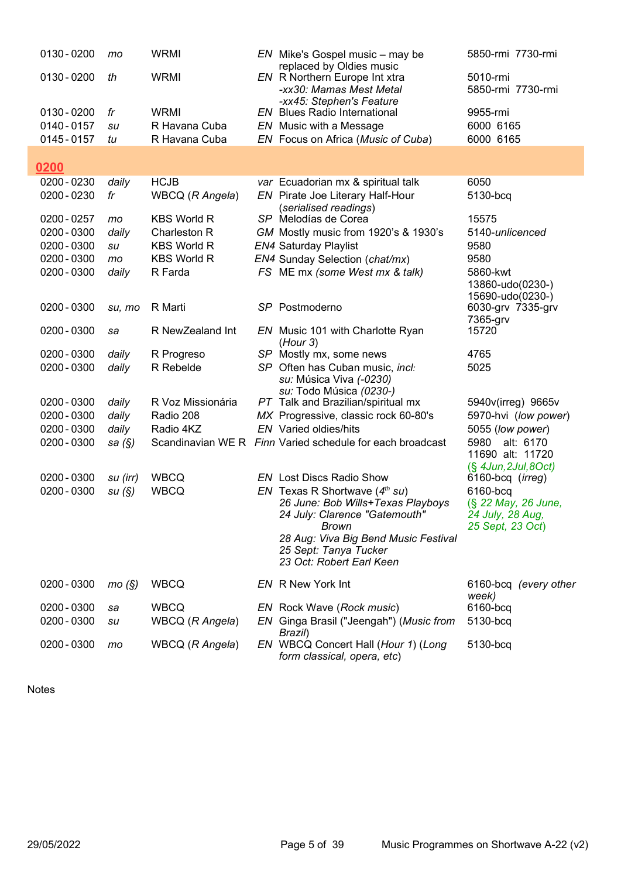| 0130 - 0200 | mo        | <b>WRMI</b>                        | EN Mike's Gospel music - may be<br>replaced by Oldies music          | 5850-rmi 7730-rmi                       |
|-------------|-----------|------------------------------------|----------------------------------------------------------------------|-----------------------------------------|
| 0130 - 0200 | th        | <b>WRMI</b>                        | EN R Northern Europe Int xtra                                        | 5010-rmi                                |
|             |           |                                    | -xx30: Mamas Mest Metal                                              | 5850-rmi 7730-rmi                       |
| 0130 - 0200 | fr        | <b>WRMI</b>                        | -xx45: Stephen's Feature<br><b>EN</b> Blues Radio International      | 9955-rmi                                |
| 0140-0157   | su        | R Havana Cuba                      | EN Music with a Message                                              | 6000 6165                               |
| 0145 - 0157 | tu        | R Havana Cuba                      | EN Focus on Africa (Music of Cuba)                                   | 6000 6165                               |
|             |           |                                    |                                                                      |                                         |
| 0200        |           |                                    |                                                                      |                                         |
| 0200 - 0230 | daily     | <b>HCJB</b>                        | var Ecuadorian mx & spiritual talk                                   | 6050                                    |
| 0200 - 0230 | fr        | WBCQ (R Angela)                    | EN Pirate Joe Literary Half-Hour                                     | 5130-bcq                                |
| 0200 - 0257 |           | <b>KBS World R</b>                 | (serialised readings)<br>SP Melodías de Corea                        | 15575                                   |
| 0200 - 0300 | mo        |                                    |                                                                      | 5140-unlicenced                         |
|             | daily     | Charleston R<br><b>KBS World R</b> | GM Mostly music from 1920's & 1930's                                 |                                         |
| 0200 - 0300 | su        |                                    | <b>EN4 Saturday Playlist</b>                                         | 9580                                    |
| 0200 - 0300 | mo        | <b>KBS World R</b>                 | EN4 Sunday Selection (chat/mx)                                       | 9580                                    |
| 0200 - 0300 | daily     | R Farda                            | FS ME mx (some West mx & talk)                                       | 5860-kwt<br>13860-udo(0230-)            |
|             |           |                                    |                                                                      | 15690-udo(0230-)                        |
| 0200 - 0300 | su, mo    | R Marti                            | SP Postmoderno                                                       | 6030-grv 7335-grv                       |
|             |           |                                    |                                                                      | 7365-grv                                |
| 0200 - 0300 | sa        | R NewZealand Int                   | EN Music 101 with Charlotte Ryan                                     | 15720                                   |
|             |           |                                    | (Hour 3)                                                             |                                         |
| 0200 - 0300 | daily     | R Progreso                         | SP Mostly mx, some news                                              | 4765                                    |
| 0200 - 0300 | daily     | R Rebelde                          | SP Often has Cuban music, incl:<br>su: Música Viva (-0230)           | 5025                                    |
|             |           |                                    | su: Todo Música (0230-)                                              |                                         |
| 0200 - 0300 | daily     | R Voz Missionária                  | PT Talk and Brazilian/spiritual mx                                   | 5940v(irreg) 9665v                      |
| 0200 - 0300 | daily     | Radio 208                          | MX Progressive, classic rock 60-80's                                 | 5970-hvi (low power)                    |
| 0200 - 0300 | daily     | Radio 4KZ                          | <b>EN</b> Varied oldies/hits                                         | 5055 (low power)                        |
| 0200 - 0300 | sa $(\S)$ |                                    | Scandinavian WE R Finn Varied schedule for each broadcast            | 5980<br>alt: 6170                       |
|             |           |                                    |                                                                      | 11690 alt: 11720                        |
|             |           |                                    |                                                                      | $(\S$ 4Jun, 2Jul, 8Oct)                 |
| 0200 - 0300 | su (irr)  | <b>WBCQ</b>                        | <b>EN</b> Lost Discs Radio Show                                      | 6160-bcq (irreg)                        |
| 0200 - 0300 | su(S)     | <b>WBCQ</b>                        | EN Texas R Shortwave $(4th su)$<br>26 June: Bob Wills+Texas Playboys | 6160-bcq                                |
|             |           |                                    | 24 July: Clarence "Gatemouth"                                        | (§ 22 May, 26 June,<br>24 July, 28 Aug, |
|             |           |                                    | Brown                                                                | 25 Sept, 23 Oct)                        |
|             |           |                                    | 28 Aug: Viva Big Bend Music Festival                                 |                                         |
|             |           |                                    | 25 Sept: Tanya Tucker                                                |                                         |
|             |           |                                    | 23 Oct: Robert Earl Keen                                             |                                         |
| 0200 - 0300 | mo(S)     | <b>WBCQ</b>                        | EN R New York Int                                                    | 6160-bcq (every other                   |
|             |           |                                    |                                                                      | week)                                   |
| 0200 - 0300 | sa        | <b>WBCQ</b>                        | EN Rock Wave (Rock music)                                            | 6160-bcq                                |
| 0200 - 0300 | su        | WBCQ (R Angela)                    | EN Ginga Brasil ("Jeengah") (Music from                              | 5130-bcq                                |
|             |           |                                    | Brazil)                                                              |                                         |
| 0200 - 0300 | mo        | WBCQ (R Angela)                    | EN WBCQ Concert Hall (Hour 1) (Long                                  | 5130-bcq                                |
|             |           |                                    | form classical, opera, etc)                                          |                                         |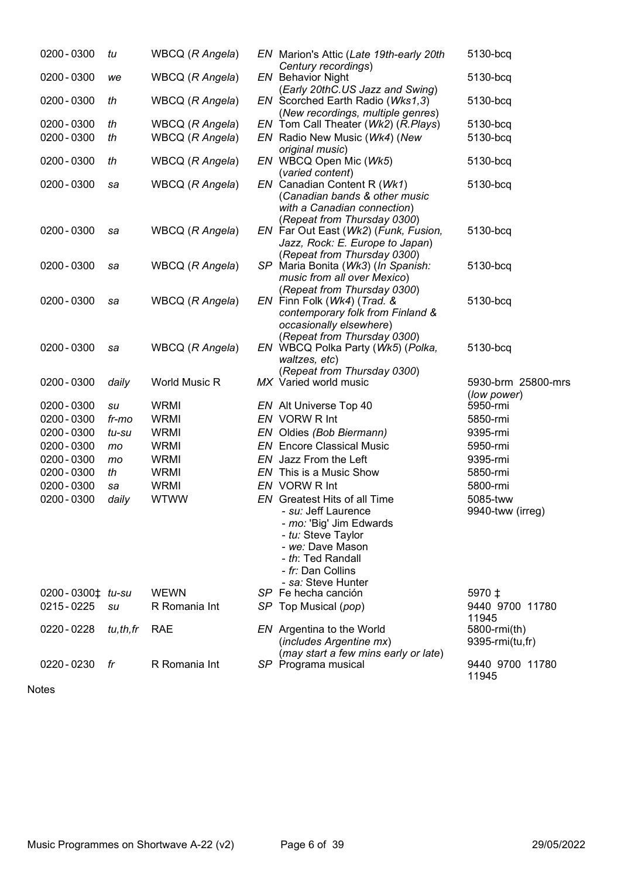| 0200 - 0300                | tu       | WBCQ (R Angela) | EN Marion's Attic (Late 19th-early 20th<br>Century recordings)                                                                                                   | 5130-bcq                          |
|----------------------------|----------|-----------------|------------------------------------------------------------------------------------------------------------------------------------------------------------------|-----------------------------------|
| 0200 - 0300                | we       | WBCQ (R Angela) | <b>EN</b> Behavior Night<br>(Early 20thC.US Jazz and Swing)                                                                                                      | 5130-bcq                          |
| 0200 - 0300                | th       | WBCQ (R Angela) | EN Scorched Earth Radio (Wks1,3)<br>(New recordings, multiple genres)                                                                                            | 5130-bcq                          |
| 0200 - 0300                | th       | WBCQ (R Angela) | EN Tom Call Theater (Wk2) (R.Plays)                                                                                                                              | 5130-bcq                          |
| 0200 - 0300                | th       | WBCQ (R Angela) | EN Radio New Music (Wk4) (New                                                                                                                                    | 5130-bcq                          |
|                            |          |                 | original music)                                                                                                                                                  |                                   |
| 0200 - 0300                | th       | WBCQ (R Angela) | EN WBCQ Open Mic (Wk5)<br>(varied content)                                                                                                                       | 5130-bcq                          |
| 0200 - 0300                | sa       | WBCQ (R Angela) | EN Canadian Content R (Wk1)<br>(Canadian bands & other music<br>with a Canadian connection)                                                                      | 5130-bcq                          |
| 0200 - 0300                | sa       | WBCQ (R Angela) | (Repeat from Thursday 0300)<br>EN Far Out East (Wk2) (Funk, Fusion,<br>Jazz, Rock: E. Europe to Japan)                                                           | 5130-bcq                          |
| 0200 - 0300                | sa       | WBCQ (R Angela) | (Repeat from Thursday 0300)<br>SP Maria Bonita (Wk3) (In Spanish:<br>music from all over Mexico)<br>(Repeat from Thursday 0300)                                  | 5130-bcq                          |
| 0200 - 0300                | sa       | WBCQ (R Angela) | EN Finn Folk (Wk4) (Trad. &<br>contemporary folk from Finland &<br>occasionally elsewhere)                                                                       | 5130-bcq                          |
| 0200 - 0300                | sa       | WBCQ (R Angela) | (Repeat from Thursday 0300)<br>EN WBCQ Polka Party (Wk5) (Polka,<br>waltzes, etc)<br>(Repeat from Thursday 0300)                                                 | 5130-bcq                          |
| 0200 - 0300                | daily    | World Music R   | MX Varied world music                                                                                                                                            | 5930-brm 25800-mrs<br>(low power) |
| 0200 - 0300                | su       | <b>WRMI</b>     | EN Alt Universe Top 40                                                                                                                                           | 5950-rmi                          |
| 0200 - 0300                | fr-mo    | <b>WRMI</b>     | EN VORW R Int                                                                                                                                                    | 5850-rmi                          |
| 0200 - 0300                | tu-su    | <b>WRMI</b>     | EN Oldies (Bob Biermann)                                                                                                                                         | 9395-rmi                          |
| 0200 - 0300                | mo       | <b>WRMI</b>     | <b>EN</b> Encore Classical Music                                                                                                                                 | 5950-rmi                          |
| 0200 - 0300                | mo       | <b>WRMI</b>     | EN Jazz From the Left                                                                                                                                            | 9395-rmi                          |
| 0200 - 0300                | th       | <b>WRMI</b>     | EN This is a Music Show                                                                                                                                          | 5850-rmi                          |
| 0200 - 0300                | sa       | <b>WRMI</b>     | EN VORW R Int                                                                                                                                                    | 5800-rmi                          |
| 0200 - 0300                | daily    | <b>WTWW</b>     | EN Greatest Hits of all Time<br>su: Jeff Laurence<br>- mo: 'Big' Jim Edwards<br>- tu: Steve Taylor<br>- we: Dave Mason<br>- th: Ted Randall<br>- fr: Dan Collins | 5085-tww<br>9940-tww (irreg)      |
| $0200 - 0300$ $t$ $tu$ -su |          | <b>WEWN</b>     | - sa: Steve Hunter<br>SP Fe hecha canción                                                                                                                        | 5970 ±                            |
| 0215 - 0225                | su       | R Romania Int   | SP Top Musical (pop)                                                                                                                                             | 9440 9700 11780                   |
|                            |          |                 |                                                                                                                                                                  | 11945                             |
| 0220 - 0228                | tu,th,fr | <b>RAE</b>      | EN Argentina to the World<br>(includes Argentine mx)                                                                                                             | 5800-rmi(th)<br>9395-rmi(tu,fr)   |
| 0220 - 0230                | fr       | R Romania Int   | (may start a few mins early or late)<br>SP Programa musical                                                                                                      | 9440 9700 11780<br>11945          |
|                            |          |                 |                                                                                                                                                                  |                                   |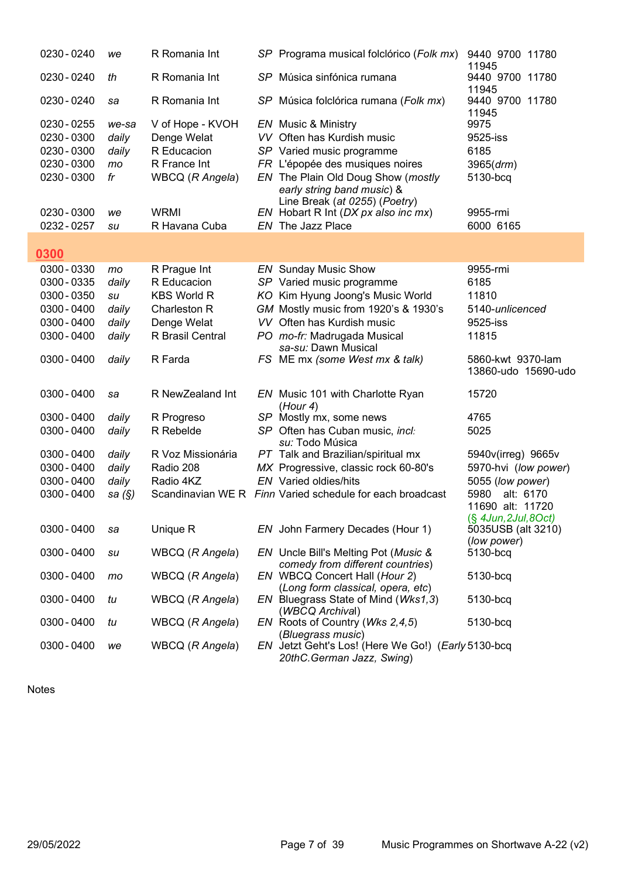| 0230 - 0240 | we       | R Romania Int      | SP Programa musical folclórico (Folk mx)                                        | 9440 9700 11780<br>11945                      |
|-------------|----------|--------------------|---------------------------------------------------------------------------------|-----------------------------------------------|
| 0230 - 0240 | th       | R Romania Int      | SP Música sinfónica rumana                                                      | 9440 9700 11780<br>11945                      |
| 0230 - 0240 | sa       | R Romania Int      | SP Música folclórica rumana (Folk mx)                                           | 9440 9700 11780<br>11945                      |
| 0230 - 0255 | we-sa    | V of Hope - KVOH   | EN Music & Ministry                                                             | 9975                                          |
| 0230 - 0300 | daily    | Denge Welat        | VV Often has Kurdish music                                                      | 9525-iss                                      |
| 0230 - 0300 | daily    | R Educacion        | SP Varied music programme                                                       | 6185                                          |
| 0230 - 0300 | mo       | R France Int       | FR L'épopée des musiques noires                                                 | 3965 (drm)                                    |
| 0230 - 0300 | fr       | WBCQ (R Angela)    | EN The Plain Old Doug Show (mostly                                              | 5130-bcq                                      |
|             |          |                    | early string band music) &                                                      |                                               |
|             |          |                    | Line Break (at 0255) (Poetry)                                                   |                                               |
| 0230 - 0300 | we       | <b>WRMI</b>        | EN Hobart R Int (DX px also inc mx)                                             | 9955-rmi                                      |
| 0232 - 0257 | su       | R Havana Cuba      | EN The Jazz Place                                                               | 6000 6165                                     |
|             |          |                    |                                                                                 |                                               |
| 0300        |          |                    |                                                                                 |                                               |
| 0300 - 0330 | mo       | R Prague Int       | <b>EN</b> Sunday Music Show                                                     | 9955-rmi                                      |
| 0300 - 0335 | daily    | R Educacion        | SP Varied music programme                                                       | 6185                                          |
| 0300 - 0350 | su       | <b>KBS World R</b> | KO Kim Hyung Joong's Music World                                                | 11810                                         |
| 0300 - 0400 | daily    | Charleston R       | GM Mostly music from 1920's & 1930's                                            | 5140-unlicenced                               |
| 0300 - 0400 | daily    | Denge Welat        | VV Often has Kurdish music                                                      | 9525-iss                                      |
| 0300 - 0400 | daily    | R Brasil Central   | PO mo-fr: Madrugada Musical<br>sa-su: Dawn Musical                              | 11815                                         |
| 0300 - 0400 | daily    | R Farda            | FS ME mx (some West mx & talk)                                                  | 5860-kwt 9370-lam<br>13860-udo 15690-udo      |
| 0300 - 0400 | sa       | R NewZealand Int   | EN Music 101 with Charlotte Ryan<br>(Hour 4)                                    | 15720                                         |
| 0300 - 0400 | daily    | R Progreso         | SP Mostly mx, some news                                                         | 4765                                          |
| 0300 - 0400 | daily    | R Rebelde          | SP Often has Cuban music, incl:                                                 | 5025                                          |
|             |          |                    | <i>su:</i> Todo Música                                                          |                                               |
| 0300 - 0400 | daily    | R Voz Missionária  | PT Talk and Brazilian/spiritual mx                                              | 5940v(irreg) 9665v                            |
| 0300 - 0400 | daily    | Radio 208          | MX Progressive, classic rock 60-80's                                            | 5970-hvi (low power)                          |
| 0300 - 0400 | daily    | Radio 4KZ          | EN Varied oldies/hits                                                           | 5055 (low power)                              |
| 0300 - 0400 | sa $(S)$ |                    | Scandinavian WE R Finn Varied schedule for each broadcast                       | 5980<br>alt: 6170                             |
|             |          |                    |                                                                                 | 11690 alt: 11720                              |
| 0300 - 0400 | sa       | Unique R           | EN John Farmery Decades (Hour 1)                                                | $(\S$ 4Jun, 2Jul, 8Oct)<br>5035USB (alt 3210) |
|             |          |                    |                                                                                 | (low power)                                   |
| 0300 - 0400 | su       | WBCQ (R Angela)    | EN Uncle Bill's Melting Pot (Music &                                            | 5130-bcq                                      |
|             |          |                    | comedy from different countries)                                                |                                               |
| 0300 - 0400 | mo       | WBCQ (R Angela)    | EN WBCQ Concert Hall (Hour 2)                                                   | 5130-bcq                                      |
| 0300 - 0400 | tu       | WBCQ (R Angela)    | (Long form classical, opera, etc)<br>EN Bluegrass State of Mind (Wks1,3)        | 5130-bcq                                      |
|             |          |                    | (WBCQ Archival)                                                                 |                                               |
| 0300 - 0400 | tu       | WBCQ (R Angela)    | EN Roots of Country (Wks 2,4,5)                                                 | 5130-bcq                                      |
|             |          |                    | (Bluegrass music)                                                               |                                               |
| 0300 - 0400 | we       | WBCQ (R Angela)    | EN Jetzt Geht's Los! (Here We Go!) (Early 5130-bcq<br>20thC.German Jazz, Swing) |                                               |

I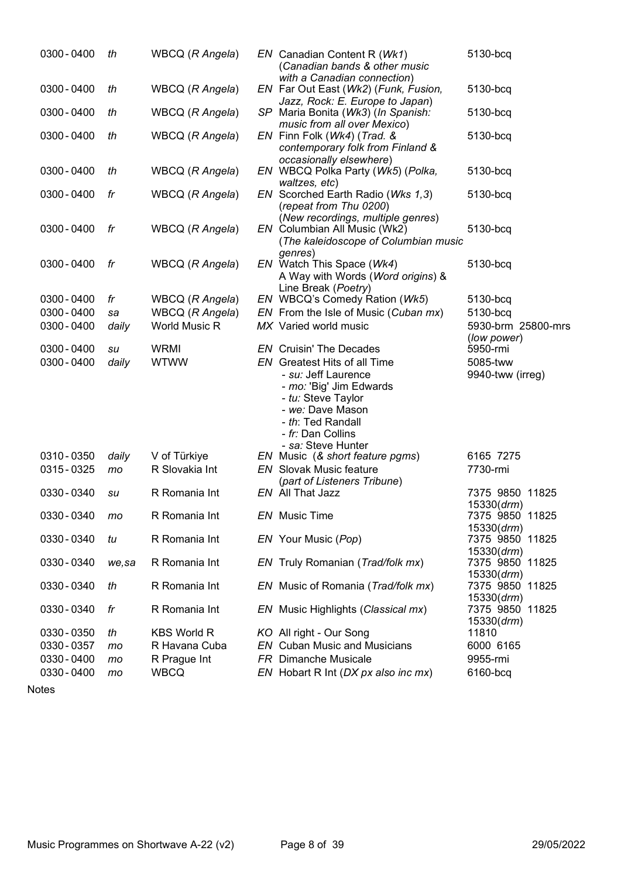| 0300 - 0400 | th    | WBCQ (R Angela)    | EN Canadian Content R (Wk1)<br>(Canadian bands & other music                                                                                                                                    | 5130-bcq                          |
|-------------|-------|--------------------|-------------------------------------------------------------------------------------------------------------------------------------------------------------------------------------------------|-----------------------------------|
| 0300 - 0400 | th    | WBCQ (R Angela)    | with a Canadian connection)<br>EN Far Out East (Wk2) (Funk, Fusion,                                                                                                                             | 5130-bcq                          |
| 0300 - 0400 | th    | WBCQ (R Angela)    | Jazz, Rock: E. Europe to Japan)<br>SP Maria Bonita (Wk3) (In Spanish:                                                                                                                           | 5130-bcq                          |
| 0300 - 0400 | th    | WBCQ (R Angela)    | music from all over Mexico)<br>EN Finn Folk (Wk4) (Trad. &<br>contemporary folk from Finland &<br>occasionally elsewhere)                                                                       | 5130-bcq                          |
| 0300 - 0400 | th    | WBCQ (R Angela)    | EN WBCQ Polka Party (Wk5) (Polka,<br>waltzes, etc)                                                                                                                                              | 5130-bcq                          |
| 0300 - 0400 | fr    | WBCQ (R Angela)    | EN Scorched Earth Radio (Wks 1,3)<br>(repeat from Thu 0200)<br>(New recordings, multiple genres)                                                                                                | 5130-bcq                          |
| 0300 - 0400 | fr    | WBCQ (R Angela)    | EN Columbian All Music (Wk2)<br>(The kaleidoscope of Columbian music                                                                                                                            | 5130-bcq                          |
| 0300 - 0400 | fr    | WBCQ (R Angela)    | genres)<br>EN Watch This Space (Wk4)<br>A Way with Words (Word origins) &                                                                                                                       | 5130-bcq                          |
| 0300 - 0400 | fr    | WBCQ (R Angela)    | Line Break (Poetry)<br>EN WBCQ's Comedy Ration (Wk5)                                                                                                                                            | 5130-bcq                          |
| 0300 - 0400 | sa    | WBCQ (R Angela)    | EN From the Isle of Music (Cuban mx)                                                                                                                                                            | 5130-bcq                          |
| 0300 - 0400 | daily | World Music R      | MX Varied world music                                                                                                                                                                           | 5930-brm 25800-mrs<br>(low power) |
| 0300 - 0400 | su    | <b>WRMI</b>        | <b>EN</b> Cruisin' The Decades                                                                                                                                                                  | 5950-rmi                          |
| 0300 - 0400 | daily | <b>WTWW</b>        | <b>EN</b> Greatest Hits of all Time<br>- su: Jeff Laurence<br>- mo: 'Big' Jim Edwards<br>- tu: Steve Taylor<br>- we: Dave Mason<br>- th: Ted Randall<br>- fr: Dan Collins<br>- sa: Steve Hunter | 5085-tww<br>9940-tww (irreg)      |
| 0310 - 0350 | daily | V of Türkiye       | EN Music (& short feature pgms)                                                                                                                                                                 | 6165 7275                         |
| 0315 - 0325 | mo    | R Slovakia Int     | <b>EN</b> Slovak Music feature                                                                                                                                                                  | 7730-rmi                          |
|             |       |                    | (part of Listeners Tribune)<br>EN All That Jazz                                                                                                                                                 |                                   |
| 0330 - 0340 | su    | R Romania Int      |                                                                                                                                                                                                 | 7375 9850 11825<br>15330 (drm)    |
| 0330 - 0340 | mo    | R Romania Int      | EN Music Time                                                                                                                                                                                   | 7375 9850 11825<br>15330 (drm)    |
| 0330 - 0340 | tu    | R Romania Int      | EN Your Music (Pop)                                                                                                                                                                             | 7375 9850 11825<br>15330 (drm)    |
| 0330 - 0340 | we,sa | R Romania Int      | EN Truly Romanian (Trad/folk mx)                                                                                                                                                                | 7375 9850 11825<br>15330 (drm)    |
| 0330 - 0340 | th    | R Romania Int      | EN Music of Romania (Trad/folk mx)                                                                                                                                                              | 7375 9850 11825<br>15330 (drm)    |
| 0330 - 0340 | fr    | R Romania Int      | EN Music Highlights (Classical mx)                                                                                                                                                              | 7375 9850 11825                   |
| 0330 - 0350 | th    | <b>KBS World R</b> | KO All right - Our Song                                                                                                                                                                         | 15330 (drm)<br>11810              |
| 0330 - 0357 | mo    | R Havana Cuba      | <b>EN</b> Cuban Music and Musicians                                                                                                                                                             | 6000 6165                         |
| 0330 - 0400 |       | R Prague Int       | <b>FR</b> Dimanche Musicale                                                                                                                                                                     | 9955-rmi                          |
| 0330 - 0400 | mo    | <b>WBCQ</b>        | EN Hobart R Int (DX px also inc mx)                                                                                                                                                             | 6160-bcq                          |
|             | mo    |                    |                                                                                                                                                                                                 |                                   |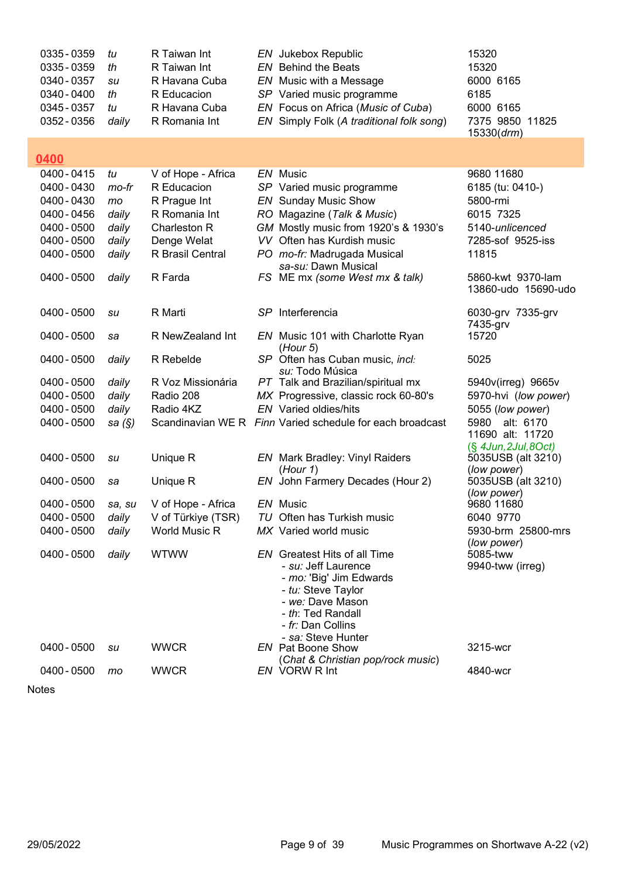| 0335 - 0359<br>0335 - 0359<br>0340 - 0357<br>0340 - 0400<br>0345 - 0357<br>0352 - 0356 | tu<br>th<br>su<br>th<br>tu<br>daily | R Taiwan Int<br>R Taiwan Int<br>R Havana Cuba<br>R Educacion<br>R Havana Cuba<br>R Romania Int | EN Jukebox Republic<br><b>EN</b> Behind the Beats<br>EN Music with a Message<br>SP Varied music programme<br>EN Focus on Africa (Music of Cuba)<br>EN Simply Folk (A traditional folk song) | 15320<br>15320<br>6000 6165<br>6185<br>6000 6165<br>7375 9850 11825<br>15330 (drm) |
|----------------------------------------------------------------------------------------|-------------------------------------|------------------------------------------------------------------------------------------------|---------------------------------------------------------------------------------------------------------------------------------------------------------------------------------------------|------------------------------------------------------------------------------------|
| 0400                                                                                   |                                     |                                                                                                |                                                                                                                                                                                             |                                                                                    |
| 0400 - 0415                                                                            | tu                                  | V of Hope - Africa                                                                             | EN Music                                                                                                                                                                                    | 9680 11680                                                                         |
| 0400 - 0430                                                                            | mo-fr                               | R Educacion                                                                                    | SP Varied music programme                                                                                                                                                                   | 6185 (tu: 0410-)                                                                   |
| 0400 - 0430                                                                            | mo                                  | R Prague Int                                                                                   | <b>EN</b> Sunday Music Show                                                                                                                                                                 | 5800-rmi                                                                           |
| 0400 - 0456                                                                            | daily                               | R Romania Int                                                                                  | RO Magazine (Talk & Music)                                                                                                                                                                  | 6015 7325                                                                          |
| 0400 - 0500                                                                            | daily                               | Charleston R                                                                                   | GM Mostly music from 1920's & 1930's                                                                                                                                                        | 5140-unlicenced                                                                    |
| 0400 - 0500                                                                            | daily                               | Denge Welat                                                                                    | VV Often has Kurdish music                                                                                                                                                                  | 7285-sof 9525-iss                                                                  |
| 0400 - 0500                                                                            | daily                               | R Brasil Central                                                                               | PO mo-fr: Madrugada Musical                                                                                                                                                                 | 11815                                                                              |
|                                                                                        |                                     |                                                                                                | sa-su: Dawn Musical                                                                                                                                                                         |                                                                                    |
| 0400 - 0500                                                                            | daily                               | R Farda                                                                                        | FS ME mx (some West mx & talk)                                                                                                                                                              | 5860-kwt 9370-lam                                                                  |
|                                                                                        |                                     |                                                                                                |                                                                                                                                                                                             | 13860-udo 15690-udo                                                                |
|                                                                                        |                                     |                                                                                                |                                                                                                                                                                                             |                                                                                    |
| 0400 - 0500                                                                            | su                                  | R Marti                                                                                        | SP Interferencia                                                                                                                                                                            | 6030-grv 7335-grv                                                                  |
| 0400 - 0500                                                                            |                                     | R NewZealand Int                                                                               |                                                                                                                                                                                             | 7435-grv<br>15720                                                                  |
|                                                                                        | sa                                  |                                                                                                | EN Music 101 with Charlotte Ryan<br>(Hour 5)                                                                                                                                                |                                                                                    |
| 0400 - 0500                                                                            | daily                               | R Rebelde                                                                                      | SP Often has Cuban music, incl:                                                                                                                                                             | 5025                                                                               |
|                                                                                        |                                     |                                                                                                | su: Todo Música                                                                                                                                                                             |                                                                                    |
| 0400 - 0500                                                                            | daily                               | R Voz Missionária                                                                              | PT Talk and Brazilian/spiritual mx                                                                                                                                                          | 5940v(irreg) 9665v                                                                 |
| 0400 - 0500                                                                            | daily                               | Radio 208                                                                                      | MX Progressive, classic rock 60-80's                                                                                                                                                        | 5970-hvi (low power)                                                               |
| 0400 - 0500                                                                            | daily                               | Radio 4KZ                                                                                      | <b>EN</b> Varied oldies/hits                                                                                                                                                                | 5055 (low power)                                                                   |
| 0400 - 0500                                                                            | sa $(\S)$                           |                                                                                                | Scandinavian WE R Finn Varied schedule for each broadcast                                                                                                                                   | alt: 6170<br>5980                                                                  |
|                                                                                        |                                     |                                                                                                |                                                                                                                                                                                             | 11690 alt: 11720                                                                   |
|                                                                                        |                                     |                                                                                                |                                                                                                                                                                                             | $(\S$ 4Jun, 2Jul, 8Oct)                                                            |
| 0400 - 0500                                                                            | su                                  | Unique R                                                                                       | <b>EN</b> Mark Bradley: Vinyl Raiders                                                                                                                                                       | 5035USB (alt 3210)                                                                 |
| 0400 - 0500                                                                            | sa                                  | Unique R                                                                                       | (Hour 1)<br>EN John Farmery Decades (Hour 2)                                                                                                                                                | (low power)<br>5035USB (alt 3210)                                                  |
|                                                                                        |                                     |                                                                                                |                                                                                                                                                                                             | (low power)                                                                        |
| 0400 - 0500                                                                            | sa, su                              | V of Hope - Africa                                                                             | EN Music                                                                                                                                                                                    | 9680 11680                                                                         |
| 0400 - 0500                                                                            | daily                               | V of Türkiye (TSR)                                                                             | TU Often has Turkish music                                                                                                                                                                  | 6040 9770                                                                          |
| 0400 - 0500                                                                            | daily                               | <b>World Music R</b>                                                                           | MX Varied world music                                                                                                                                                                       | 5930-brm 25800-mrs                                                                 |
|                                                                                        |                                     |                                                                                                |                                                                                                                                                                                             | (low power)                                                                        |
| 0400 - 0500                                                                            | daily                               | <b>WTWW</b>                                                                                    | <b>EN</b> Greatest Hits of all Time                                                                                                                                                         | 5085-tww                                                                           |
|                                                                                        |                                     |                                                                                                | - su: Jeff Laurence                                                                                                                                                                         | 9940-tww (irreg)                                                                   |
|                                                                                        |                                     |                                                                                                | - mo: 'Big' Jim Edwards<br>- tu: Steve Taylor                                                                                                                                               |                                                                                    |
|                                                                                        |                                     |                                                                                                | - we: Dave Mason                                                                                                                                                                            |                                                                                    |
|                                                                                        |                                     |                                                                                                | - th: Ted Randall                                                                                                                                                                           |                                                                                    |
|                                                                                        |                                     |                                                                                                | - fr: Dan Collins                                                                                                                                                                           |                                                                                    |
|                                                                                        |                                     |                                                                                                | - sa: Steve Hunter                                                                                                                                                                          |                                                                                    |
| 0400 - 0500                                                                            | su                                  | <b>WWCR</b>                                                                                    | <b>EN</b> Pat Boone Show                                                                                                                                                                    | 3215-wcr                                                                           |
|                                                                                        |                                     |                                                                                                | (Chat & Christian pop/rock music)                                                                                                                                                           |                                                                                    |
| 0400 - 0500                                                                            | mo                                  | <b>WWCR</b>                                                                                    | EN VORW R Int                                                                                                                                                                               | 4840-wcr                                                                           |
|                                                                                        |                                     |                                                                                                |                                                                                                                                                                                             |                                                                                    |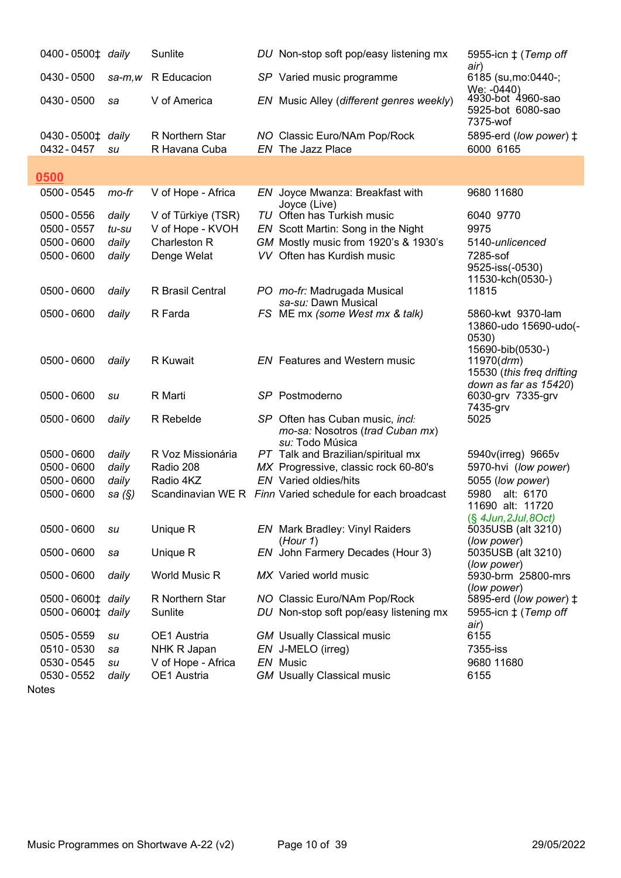| 0400-0500 <sup>±</sup> daily                             |                                  | Sunlite                                                               | DU Non-stop soft pop/easy listening mx                                                                                                 | 5955-icn $\ddagger$ (Temp off<br>air)                                                   |
|----------------------------------------------------------|----------------------------------|-----------------------------------------------------------------------|----------------------------------------------------------------------------------------------------------------------------------------|-----------------------------------------------------------------------------------------|
| 0430 - 0500                                              | sa-m,w                           | R Educacion                                                           | SP Varied music programme                                                                                                              | 6185 (su, mo: 0440 -;<br>We: -0440)                                                     |
| 0430 - 0500                                              | sa                               | V of America                                                          | EN Music Alley (different genres weekly)                                                                                               | 4930-bot 4960-sao<br>5925-bot 6080-sao<br>7375-wof                                      |
| 0430 - 0500‡ daily<br>0432 - 0457                        | su                               | R Northern Star<br>R Havana Cuba                                      | NO Classic Euro/NAm Pop/Rock<br>EN The Jazz Place                                                                                      | 5895-erd (low power) ‡<br>6000 6165                                                     |
| 0500                                                     |                                  |                                                                       |                                                                                                                                        |                                                                                         |
| 0500 - 0545                                              | mo-fr                            | V of Hope - Africa                                                    | EN Joyce Mwanza: Breakfast with<br>Joyce (Live)                                                                                        | 9680 11680                                                                              |
| 0500 - 0556<br>0500 - 0557<br>0500 - 0600<br>0500 - 0600 | daily<br>tu-su<br>daily<br>daily | V of Türkiye (TSR)<br>V of Hope - KVOH<br>Charleston R<br>Denge Welat | TU Often has Turkish music<br>EN Scott Martin: Song in the Night<br>GM Mostly music from 1920's & 1930's<br>VV Often has Kurdish music | 6040 9770<br>9975<br>5140-unlicenced<br>7285-sof<br>9525-iss(-0530)<br>11530-kch(0530-) |
| 0500 - 0600                                              | daily                            | R Brasil Central                                                      | PO mo-fr: Madrugada Musical<br>sa-su: Dawn Musical                                                                                     | 11815                                                                                   |
| 0500 - 0600                                              | daily                            | R Farda                                                               | FS ME mx (some West mx & talk)                                                                                                         | 5860-kwt 9370-lam<br>13860-udo 15690-udo(-<br>0530)<br>15690-bib(0530-)                 |
| 0500 - 0600                                              | daily                            | R Kuwait                                                              | <b>EN</b> Features and Western music                                                                                                   | 11970 (drm)<br>15530 (this freq drifting<br>down as far as 15420)                       |
| 0500 - 0600                                              | su                               | R Marti                                                               | SP Postmoderno                                                                                                                         | 6030-grv 7335-grv<br>7435-grv                                                           |
| 0500 - 0600                                              | daily                            | R Rebelde                                                             | SP Often has Cuban music, incl:<br>mo-sa: Nosotros (trad Cuban mx)<br>su: Todo Música                                                  | 5025                                                                                    |
| 0500 - 0600                                              | daily                            | R Voz Missionária                                                     | PT Talk and Brazilian/spiritual mx                                                                                                     | 5940v(irreg) 9665v                                                                      |
| 0500 - 0600<br>0500 - 0600                               | daily<br>daily                   | Radio 208<br>Radio 4KZ                                                | MX Progressive, classic rock 60-80's<br><b>EN</b> Varied oldies/hits                                                                   | 5970-hvi (low power)<br>5055 (low power)                                                |
| 0500 - 0600                                              | sa (§)                           |                                                                       | Scandinavian WE R Finn Varied schedule for each broadcast                                                                              | 5980<br>alt: 6170<br>11690 alt: 11720<br>$(\S$ 4Jun, 2Jul, 8Oct)                        |
| 0500 - 0600                                              | su                               | Unique R                                                              | <b>EN</b> Mark Bradley: Vinyl Raiders<br>(Hour 1)                                                                                      | 5035USB (alt 3210)<br>(low power)                                                       |
| 0500 - 0600                                              | sa                               | Unique R                                                              | EN John Farmery Decades (Hour 3)                                                                                                       | 5035USB (alt 3210)<br>(low power)                                                       |
| 0500 - 0600                                              | daily                            | World Music R                                                         | MX Varied world music                                                                                                                  | 5930-brm 25800-mrs<br>(low power)                                                       |
| 0500 - 0600 <sup><math>\pm</math></sup> daily            |                                  | R Northern Star                                                       | NO Classic Euro/NAm Pop/Rock                                                                                                           | 5895-erd (low power) $\ddagger$                                                         |
| 0500-0600‡ daily                                         |                                  | Sunlite                                                               | DU Non-stop soft pop/easy listening mx                                                                                                 | 5955-icn $\ddagger$ (Temp off<br>air)                                                   |
| 0505 - 0559                                              | su                               | OE1 Austria                                                           | <b>GM</b> Usually Classical music                                                                                                      | 6155                                                                                    |
| 0510 - 0530                                              | sa                               | NHK R Japan                                                           | EN J-MELO (irreg)                                                                                                                      | 7355-iss                                                                                |
| 0530 - 0545                                              | su                               | V of Hope - Africa                                                    | EN Music                                                                                                                               | 9680 11680                                                                              |
| 0530 - 0552                                              | daily                            | OE1 Austria                                                           | <b>GM</b> Usually Classical music                                                                                                      | 6155                                                                                    |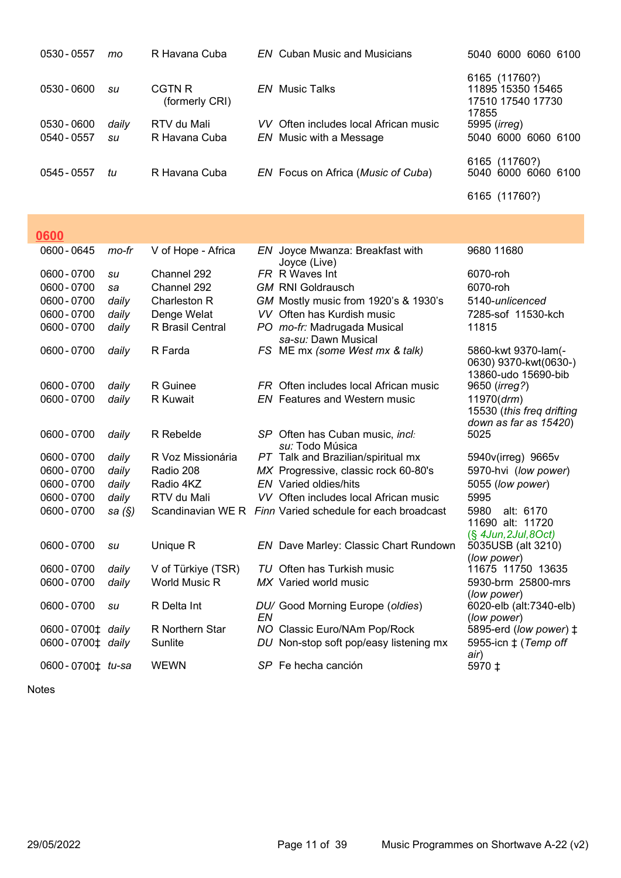| 0530 - 0557 | mo    | R Havana Cuba            | <b>EN</b> Cuban Music and Musicians                    | 5040 6000 6060 6100                                              |
|-------------|-------|--------------------------|--------------------------------------------------------|------------------------------------------------------------------|
| 0530 - 0600 | su    | CGTN R<br>(formerly CRI) | <i>EN</i> Music Talks                                  | 6165 (11760?)<br>11895 15350 15465<br>17510 17540 17730<br>17855 |
| 0530 - 0600 | daily | RTV du Mali              | VV Often includes local African music                  | 5995 (irreg)                                                     |
| 0540 - 0557 | su    | R Havana Cuba            | EN Music with a Message                                | 5040 6000 6060 6100                                              |
| 0545 - 0557 | tu    | R Havana Cuba            | EN Focus on Africa (Music of Cuba)                     | 6165 (11760?)<br>5040 6000 6060 6100                             |
|             |       |                          |                                                        | 6165 (11760?)                                                    |
| 0600        |       |                          |                                                        |                                                                  |
| 0600 - 0645 | mo-fr | V of Hope - Africa       | Joyce Mwanza: Breakfast with<br>EN.<br>۱۵۷٬۲۵ (۱ ۱۸۱٬۲ | 9680 11680                                                       |

| 0000 - 00 <del>1</del> 0 | ,,,,,,,,  | V UI HUPU - AIHUG    |    | LIV JOYCG IVIWAHZA. DIGANASI WILIT<br>Joyce (Live)        | טטטו ו טטט                                         |
|--------------------------|-----------|----------------------|----|-----------------------------------------------------------|----------------------------------------------------|
| 0600 - 0700              | su        | Channel 292          |    | FR R Waves Int                                            | 6070-roh                                           |
| 0600 - 0700              | sa        | Channel 292          |    | <b>GM RNI Goldrausch</b>                                  | 6070-roh                                           |
| 0600 - 0700              | daily     | Charleston R         |    | GM Mostly music from 1920's & 1930's                      | 5140-unlicenced                                    |
| 0600 - 0700              | daily     | Denge Welat          |    | VV Often has Kurdish music                                | 7285-sof 11530-kch                                 |
| 0600 - 0700              | daily     | R Brasil Central     |    | PO mo-fr: Madrugada Musical                               | 11815                                              |
|                          |           |                      |    | sa-su: Dawn Musical                                       |                                                    |
| 0600 - 0700              | daily     | R Farda              |    | FS ME mx (some West mx & talk)                            | 5860-kwt 9370-lam(-<br>0630) 9370-kwt(0630-)       |
|                          |           |                      |    |                                                           | 13860-udo 15690-bib                                |
| 0600 - 0700              | daily     | R Guinee             |    | FR Often includes local African music                     | 9650 (irreg?)                                      |
| 0600 - 0700              | daily     | R Kuwait             |    | <b>EN</b> Features and Western music                      | 11970 (drm)                                        |
|                          |           |                      |    |                                                           | 15530 (this freq drifting<br>down as far as 15420) |
| 0600 - 0700              | daily     | R Rebelde            |    | SP Often has Cuban music, incl:                           | 5025                                               |
|                          |           |                      |    | su: Todo Música                                           |                                                    |
| 0600 - 0700              | daily     | R Voz Missionária    |    | PT Talk and Brazilian/spiritual mx                        | 5940v(irreg) 9665v                                 |
| 0600 - 0700              | daily     | Radio 208            |    | MX Progressive, classic rock 60-80's                      | 5970-hvi (low power)                               |
| 0600 - 0700              | daily     | Radio 4KZ            |    | <b>EN</b> Varied oldies/hits                              | 5055 (low power)                                   |
| 0600 - 0700              | daily     | RTV du Mali          |    | VV Often includes local African music                     | 5995                                               |
| 0600 - 0700              | sa $(\S)$ |                      |    | Scandinavian WE R Finn Varied schedule for each broadcast | 5980<br>alt: 6170                                  |
|                          |           |                      |    |                                                           | 11690 alt: 11720                                   |
|                          |           |                      |    |                                                           | $(S$ 4Jun, 2Jul, 8Oct)                             |
| 0600 - 0700              | su        | Unique R             |    | EN Dave Marley: Classic Chart Rundown                     | 5035USB (alt 3210)<br>(low power)                  |
| 0600 - 0700              | daily     | V of Türkiye (TSR)   |    | TU Often has Turkish music                                | 11675 11750 13635                                  |
| 0600 - 0700              | daily     | <b>World Music R</b> |    | MX Varied world music                                     | 5930-brm 25800-mrs                                 |
|                          |           |                      |    |                                                           | (low power)                                        |
| 0600 - 0700              | su        | R Delta Int          |    | DU/ Good Morning Europe (oldies)                          | 6020-elb (alt:7340-elb)                            |
|                          |           |                      | EN |                                                           | (low power)                                        |
| 0600-0700± daily         |           | R Northern Star      |    | NO Classic Euro/NAm Pop/Rock                              | 5895-erd (low power) $\ddagger$                    |
| 0600-0700‡ daily         |           | Sunlite              |    | DU Non-stop soft pop/easy listening mx                    | 5955-icn $\pm$ (Temp off                           |
| 0600-0700‡ tu-sa         |           | <b>WEWN</b>          |    | SP Fe hecha canción                                       | air)<br>5970 ±                                     |
|                          |           |                      |    |                                                           |                                                    |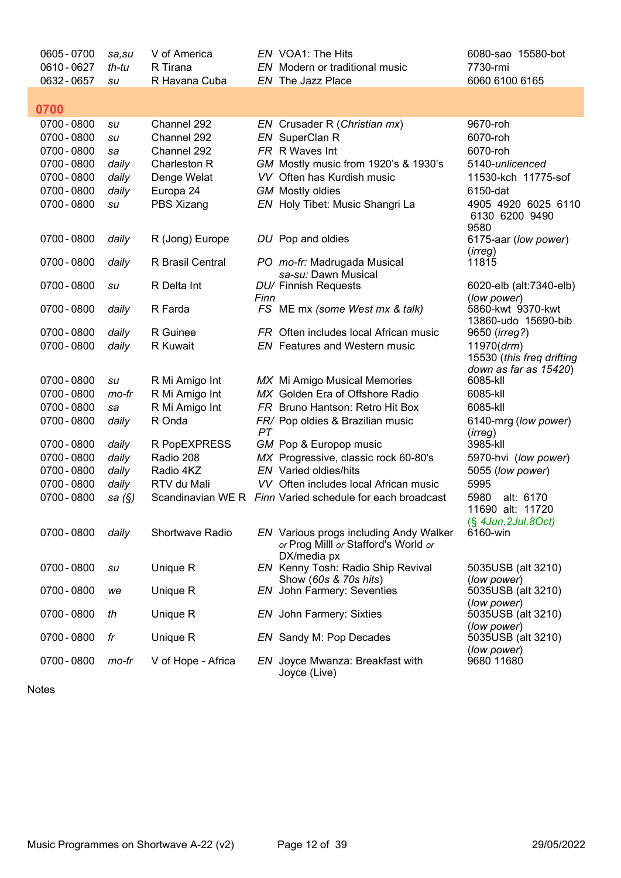| 0605 - 0700<br>0610 - 0627 | sa.su<br>th-tu | V of America<br>R Tirana |      | EN VOA1: The Hits<br>EN Modern or traditional music                            | 6080-sao 15580-bot<br>7730-rmi                                    |
|----------------------------|----------------|--------------------------|------|--------------------------------------------------------------------------------|-------------------------------------------------------------------|
| 0632 - 0657                | su             | R Havana Cuba            |      | EN The Jazz Place                                                              | 6060 6100 6165                                                    |
| 0700                       |                |                          |      |                                                                                |                                                                   |
| 0700 - 0800                | su             | Channel 292              |      | EN Crusader R (Christian mx)                                                   | 9670-roh                                                          |
| 0700 - 0800                | su             | Channel 292              |      | EN SuperClan R                                                                 | 6070-roh                                                          |
| 0700 - 0800                | sa             | Channel 292              |      | FR R Waves Int                                                                 | 6070-roh                                                          |
| 0700 - 0800                | daily          | Charleston R             |      | GM Mostly music from 1920's & 1930's                                           | 5140-unlicenced                                                   |
| 0700 - 0800                | daily          | Denge Welat              |      | VV Often has Kurdish music                                                     | 11530-kch 11775-sof                                               |
| 0700 - 0800                | daily          | Europa 24                |      | <b>GM</b> Mostly oldies                                                        | 6150-dat                                                          |
| 0700 - 0800                | su             | PBS Xizang               |      | EN Holy Tibet: Music Shangri La                                                | 4905 4920 6025 6110<br>6130 6200 9490<br>9580                     |
| 0700 - 0800                | daily          | R (Jong) Europe          |      | DU Pop and oldies                                                              | 6175-aar (low power)<br>(irreg)                                   |
| 0700 - 0800                | daily          | R Brasil Central         |      | PO mo-fr: Madrugada Musical                                                    | 11815                                                             |
| 0700 - 0800                | su             | R Delta Int              |      | sa-su: Dawn Musical<br>DU/ Finnish Requests                                    | 6020-elb (alt:7340-elb)                                           |
|                            |                |                          | Finn |                                                                                | (low power)                                                       |
| 0700 - 0800                | daily          | R Farda                  |      | FS ME mx (some West mx & talk)                                                 | 5860-kwt 9370-kwt                                                 |
|                            |                |                          |      |                                                                                | 13860-udo 15690-bib                                               |
| 0700 - 0800                | daily          | R Guinee                 |      | FR Often includes local African music                                          | 9650 ( <i>irreg?</i> )                                            |
| 0700 - 0800                | daily          | R Kuwait                 |      | <b>EN</b> Features and Western music                                           | 11970 (drm)<br>15530 (this freq drifting<br>down as far as 15420) |
| 0700 - 0800                | su             | R Mi Amigo Int           |      | MX Mi Amigo Musical Memories                                                   | 6085-kll                                                          |
| 0700 - 0800                | mo-fr          | R Mi Amigo Int           |      | MX Golden Era of Offshore Radio                                                | 6085-kll                                                          |
| 0700 - 0800                | sa             | R Mi Amigo Int           |      | FR Bruno Hantson: Retro Hit Box                                                | 6085-kll                                                          |
| 0700 - 0800                | daily          | R Onda                   |      | FR/ Pop oldies & Brazilian music                                               | 6140-mrg (low power)                                              |
| 0700 - 0800                | daily          | R PopEXPRESS             | PT   | GM Pop & Europop music                                                         | (irreg)<br>3985-kll                                               |
| 0700 - 0800                | daily          | Radio 208                |      | MX Progressive, classic rock 60-80's                                           | 5970-hvi (low power)                                              |
| 0700 - 0800                | daily          | Radio 4KZ                |      | <b>EN</b> Varied oldies/hits                                                   | 5055 (low power)                                                  |
| 0700 - 0800                | daily          | RTV du Mali              |      | VV Often includes local African music                                          | 5995                                                              |
| 0700 - 0800                | sa (§)         |                          |      | Scandinavian WE R Finn Varied schedule for each broadcast                      | 5980<br>alt: 6170<br>11690 alt: 11720                             |
| 0700 - 0800                | daily          | Shortwave Radio          |      | EN Various progs including Andy Walker<br>or Prog Milll or Stafford's World or | (§ 4Jun, 2Jul, 8Oct)<br>6160-win                                  |
|                            |                |                          |      | DX/media px                                                                    |                                                                   |
| 0700 - 0800                | su             | Unique R                 |      | EN Kenny Tosh: Radio Ship Revival                                              | 5035USB (alt 3210)                                                |
| 0700 - 0800                | we             | Unique R                 |      | Show (60s & 70s hits)<br>EN John Farmery: Seventies                            | (low power)<br>5035USB (alt 3210)<br>(low power)                  |
| 0700 - 0800                | th             | Unique R                 |      | <b>EN</b> John Farmery: Sixties                                                | 5035USB (alt 3210)<br>(low power)                                 |
| 0700 - 0800                | fr             | Unique R                 |      | EN Sandy M: Pop Decades                                                        | 5035USB (alt 3210)<br>(low power)                                 |
| 0700 - 0800                | mo-fr          | V of Hope - Africa       |      | EN Joyce Mwanza: Breakfast with<br>Joyce (Live)                                | 9680 11680                                                        |

Ī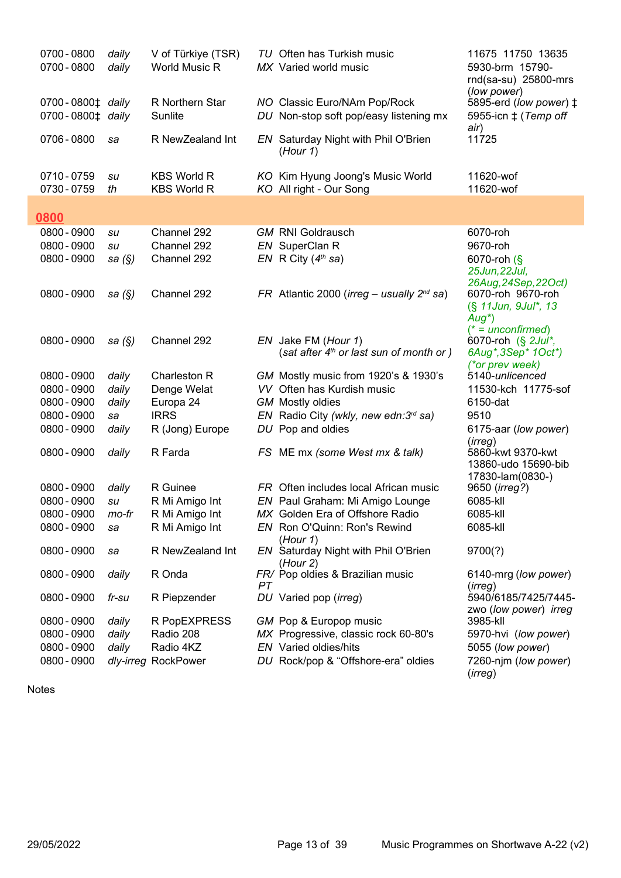| 0700 - 0800<br>0700 - 0800           | daily<br>daily | V of Türkiye (TSR)<br><b>World Music R</b> |    | TU Often has Turkish music<br>MX Varied world music                    | 11675 11750 13635<br>5930-brm 15790-<br>rnd(sa-su) 25800-mrs<br>(low power) |
|--------------------------------------|----------------|--------------------------------------------|----|------------------------------------------------------------------------|-----------------------------------------------------------------------------|
| 0700-0800‡ daily<br>0700-0800‡ daily |                | R Northern Star<br>Sunlite                 |    | NO Classic Euro/NAm Pop/Rock<br>DU Non-stop soft pop/easy listening mx | 5895-erd (low power) ‡<br>5955-icn $\ddagger$ (Temp off                     |
| 0706 - 0800                          | sa             | R NewZealand Int                           |    | EN Saturday Night with Phil O'Brien<br>(Hour 1)                        | air)<br>11725                                                               |
| 0710-0759<br>0730 - 0759             | su<br>th       | <b>KBS World R</b><br><b>KBS World R</b>   |    | KO Kim Hyung Joong's Music World<br>KO All right - Our Song            | 11620-wof<br>11620-wof                                                      |
| 0800                                 |                |                                            |    |                                                                        |                                                                             |
| 0800 - 0900                          | su             | Channel 292                                |    | <b>GM RNI Goldrausch</b>                                               | 6070-roh                                                                    |
| 0800 - 0900                          | su             | Channel 292                                |    | EN SuperClan R                                                         | 9670-roh                                                                    |
| 0800 - 0900                          | sa $(\S)$      | Channel 292                                |    | EN R City $(4th$ sa)                                                   | 6070-roh (§                                                                 |
|                                      |                |                                            |    |                                                                        | 25Jun, 22Jul,                                                               |
|                                      |                |                                            |    |                                                                        | 26Aug, 24Sep, 22Oct)                                                        |
| 0800 - 0900                          | sa $(\S)$      | Channel 292                                |    | FR Atlantic 2000 ( <i>irreg – usually</i> $2^{nd}$ sa)                 | 6070-roh 9670-roh                                                           |
|                                      |                |                                            |    |                                                                        | (§ 11 Jun, 9 Jul*, 13                                                       |
|                                      |                |                                            |    |                                                                        | $Aug^*)$<br>$(* = unconfirmed)$                                             |
| 0800 - 0900                          | sa $(\S)$      | Channel 292                                |    | EN Jake FM (Hour 1)                                                    | 6070-roh (§ 2Jul*,                                                          |
|                                      |                |                                            |    | (sat after $4th$ or last sun of month or )                             | 6Aug*, 3Sep* 1Oct*)                                                         |
|                                      |                |                                            |    |                                                                        | (*or prev week)                                                             |
| 0800 - 0900                          | daily          | Charleston R                               |    | GM Mostly music from 1920's & 1930's                                   | 5140-unlicenced                                                             |
| 0800 - 0900                          | daily          | Denge Welat                                |    | VV Often has Kurdish music                                             | 11530-kch 11775-sof                                                         |
| 0800 - 0900                          | daily          | Europa 24                                  |    | <b>GM</b> Mostly oldies                                                | 6150-dat                                                                    |
| 0800 - 0900                          | sa             | <b>IRRS</b>                                |    | EN Radio City (wkly, new edn: 3rd sa)                                  | 9510                                                                        |
| 0800 - 0900                          | daily          | R (Jong) Europe                            |    | DU Pop and oldies                                                      | 6175-aar (low power)                                                        |
| 0800 - 0900                          | daily          | R Farda                                    |    | FS ME mx (some West mx & talk)                                         | (irreg)<br>5860-kwt 9370-kwt<br>13860-udo 15690-bib                         |
|                                      |                |                                            |    |                                                                        | 17830-lam(0830-)                                                            |
| 0800 - 0900                          | daily          | R Guinee                                   |    | FR Often includes local African music                                  | 9650 (irreg?)                                                               |
| 0800 - 0900                          | su             | R Mi Amigo Int                             |    | EN Paul Graham: Mi Amigo Lounge                                        | 6085-kll                                                                    |
| 0800 - 0900                          | mo-fr          | R Mi Amigo Int                             |    | MX Golden Era of Offshore Radio                                        | 6085-kll                                                                    |
| 0800 - 0900                          | sa             | R Mi Amigo Int                             |    | EN Ron O'Quinn: Ron's Rewind                                           | 6085-kll                                                                    |
| 0800 - 0900                          | sa             | R NewZealand Int                           |    | (Hour 1)<br>EN Saturday Night with Phil O'Brien<br>(Hour 2)            | 9700(?)                                                                     |
| 0800 - 0900                          | daily          | R Onda                                     | PT | FR/ Pop oldies & Brazilian music                                       | 6140-mrg (low power)<br>(irreg)                                             |
| 0800 - 0900                          | fr-su          | R Piepzender                               |    | DU Varied pop (irreg)                                                  | 5940/6185/7425/7445-                                                        |
| 0800 - 0900                          | daily          | R PopEXPRESS                               |    | GM Pop & Europop music                                                 | zwo (low power) irreg<br>3985-kll                                           |
| 0800 - 0900                          | daily          | Radio 208                                  |    | MX Progressive, classic rock 60-80's                                   | 5970-hvi (low power)                                                        |
| 0800 - 0900                          | daily          | Radio 4KZ                                  |    | <b>EN</b> Varied oldies/hits                                           | 5055 (low power)                                                            |
| 0800 - 0900                          |                | dly-irreg RockPower                        |    | DU Rock/pop & "Offshore-era" oldies                                    | 7260-njm (low power)<br>(irreg)                                             |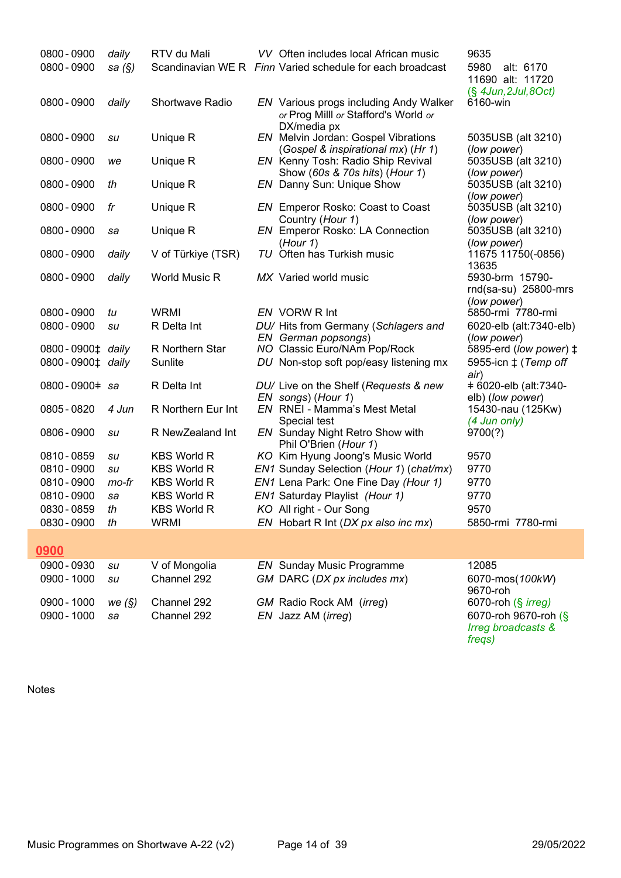| 0800 - 0900<br>0800 - 0900   | daily<br>sa $(\S)$ | RTV du Mali          | VV Often includes local African music<br>Scandinavian WE R Finn Varied schedule for each broadcast | 9635<br>5980<br>alt: 6170<br>11690 alt: 11720<br>$(\S$ 4Jun, 2Jul, 8Oct) |
|------------------------------|--------------------|----------------------|----------------------------------------------------------------------------------------------------|--------------------------------------------------------------------------|
| 0800 - 0900                  | daily              | Shortwave Radio      | EN Various progs including Andy Walker<br>or Prog Milll or Stafford's World or<br>DX/media px      | 6160-win                                                                 |
| 0800 - 0900                  | su                 | Unique R             | <b>EN</b> Melvin Jordan: Gospel Vibrations<br>(Gospel & inspirational mx) (Hr 1)                   | 5035USB (alt 3210)<br>(low power)                                        |
| 0800 - 0900                  | we                 | Unique R             | EN Kenny Tosh: Radio Ship Revival                                                                  | 5035USB (alt 3210)                                                       |
| 0800 - 0900                  | th                 | Unique R             | Show (60s & 70s hits) (Hour 1)<br>EN Danny Sun: Unique Show                                        | (low power)<br>5035USB (alt 3210)                                        |
| 0800 - 0900                  | fr                 | Unique R             | <b>EN</b> Emperor Rosko: Coast to Coast                                                            | (low power)<br>5035USB (alt 3210)                                        |
| 0800 - 0900                  | sa                 | Unique R             | Country (Hour 1)<br><b>EN</b> Emperor Rosko: LA Connection                                         | (low power)<br>5035USB (alt 3210)                                        |
| 0800 - 0900                  | daily              | V of Türkiye (TSR)   | (Hour 1)<br>TU Often has Turkish music                                                             | (low power)<br>11675 11750(-0856)                                        |
| 0800 - 0900                  | daily              | <b>World Music R</b> | MX Varied world music                                                                              | 13635<br>5930-brm 15790-<br>rnd(sa-su) 25800-mrs<br>(low power)          |
| 0800 - 0900                  | tu                 | <b>WRMI</b>          | EN VORW R Int                                                                                      | 5850-rmi 7780-rmi                                                        |
| 0800 - 0900                  | su                 | R Delta Int          | DU/ Hits from Germany (Schlagers and<br>EN German popsongs)                                        | 6020-elb (alt:7340-elb)<br>(low power)                                   |
| 0800-0900 <sup>+</sup> daily |                    | R Northern Star      | NO Classic Euro/NAm Pop/Rock                                                                       | 5895-erd (low power) ‡                                                   |
| 0800-0900‡ daily             |                    | Sunlite              | DU Non-stop soft pop/easy listening mx                                                             | 5955-icn ‡ ( <i>Temp off</i><br>air)                                     |
| 0800-0900# sa                |                    | R Delta Int          | DU/ Live on the Shelf (Requests & new                                                              | +6020-elb (alt:7340-                                                     |
| 0805 - 0820                  | 4 Jun              | R Northern Eur Int   | EN songs) (Hour 1)<br>EN RNEI - Mamma's Mest Metal                                                 | elb) (low power)<br>15430-nau (125Kw)                                    |
| 0806 - 0900                  | su                 | R NewZealand Int     | Special test<br><b>EN</b> Sunday Night Retro Show with                                             | (4 Jun only)<br>9700(?)                                                  |
| 0810 - 0859                  | su                 | <b>KBS World R</b>   | Phil O'Brien (Hour 1)<br>KO Kim Hyung Joong's Music World                                          | 9570                                                                     |
| 0810 - 0900                  | su                 | <b>KBS World R</b>   | EN1 Sunday Selection (Hour 1) (chat/mx)                                                            | 9770                                                                     |
| 0810 - 0900                  | mo-fr              | <b>KBS World R</b>   | EN1 Lena Park: One Fine Day (Hour 1)                                                               | 9770                                                                     |
| 0810 - 0900                  | sa                 | <b>KBS World R</b>   | EN1 Saturday Playlist (Hour 1)                                                                     | 9770                                                                     |
| 0830 - 0859                  | th                 | <b>KBS World R</b>   | KO All right - Our Song                                                                            | 9570                                                                     |
| 0830 - 0900                  | th                 | <b>WRMI</b>          | EN Hobart R Int (DX px also inc mx)                                                                | 5850-rmi 7780-rmi                                                        |
|                              |                    |                      |                                                                                                    |                                                                          |
| 0900                         |                    |                      |                                                                                                    |                                                                          |
| 0900 - 0930                  | su                 | V of Mongolia        | <b>EN</b> Sunday Music Programme                                                                   | 12085                                                                    |
| 0900 - 1000                  | su                 | Channel 292          | GM DARC (DX px includes mx)                                                                        | 6070-mos(100kW)                                                          |
| 0900 - 1000                  | we $(\S)$          | Channel 292          | GM Radio Rock AM (irreg)                                                                           | 9670-roh<br>6070-roh (§ irreg)                                           |
| 0900 - 1000                  | sa                 | Channel 292          | EN Jazz AM (irreg)                                                                                 | 6070-roh 9670-roh (§<br>Irreg broadcasts &<br>freqs)                     |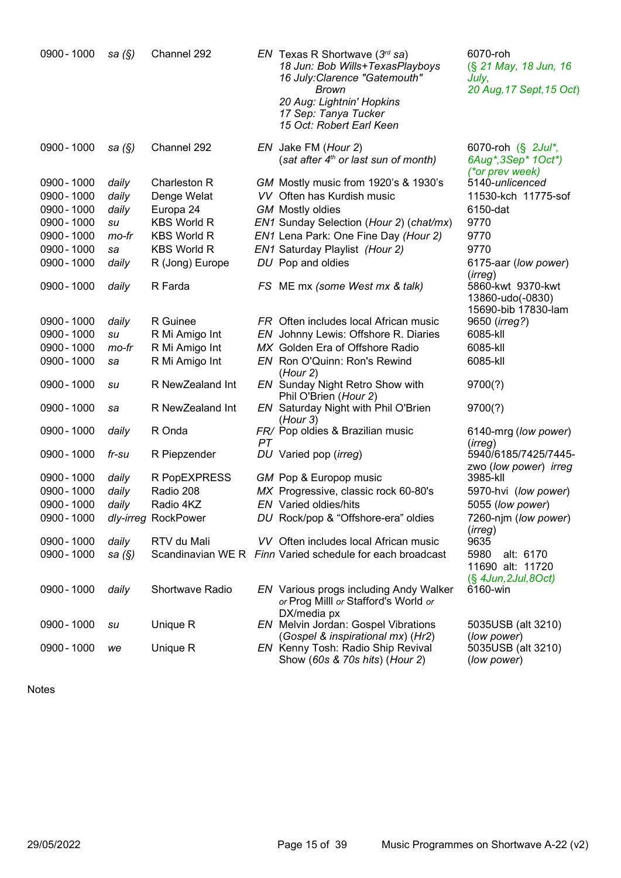| 0900 - 1000 | sa $(\S)$ | Channel 292         |    | <i>EN</i> Texas R Shortwave ( $3rd$ sa)<br>18 Jun: Bob Wills+TexasPlayboys<br>16 July: Clarence "Gatemouth"<br><b>Brown</b><br>20 Aug: Lightnin' Hopkins<br>17 Sep: Tanya Tucker<br>15 Oct: Robert Earl Keen | 6070-roh<br>(§ 21 May, 18 Jun, 16<br>July,<br>20 Aug, 17 Sept, 15 Oct) |
|-------------|-----------|---------------------|----|--------------------------------------------------------------------------------------------------------------------------------------------------------------------------------------------------------------|------------------------------------------------------------------------|
| 0900 - 1000 | sa $(\S)$ | Channel 292         |    | EN Jake FM (Hour 2)<br>(sat after 4 <sup>th</sup> or last sun of month)                                                                                                                                      | 6070-roh (§ 2Jul*,<br>6Aug*, 3Sep* 1Oct*)                              |
| 0900 - 1000 | daily     | Charleston R        |    | GM Mostly music from 1920's & 1930's                                                                                                                                                                         | (*or prev week)<br>5140-unlicenced                                     |
| 0900 - 1000 | daily     | Denge Welat         |    | VV Often has Kurdish music                                                                                                                                                                                   | 11530-kch 11775-sof                                                    |
| 0900 - 1000 | daily     | Europa 24           |    | <b>GM</b> Mostly oldies                                                                                                                                                                                      | 6150-dat                                                               |
| 0900 - 1000 | su        | <b>KBS World R</b>  |    | EN1 Sunday Selection (Hour 2) (chat/mx)                                                                                                                                                                      | 9770                                                                   |
| 0900 - 1000 | mo-fr     | <b>KBS World R</b>  |    | EN1 Lena Park: One Fine Day (Hour 2)                                                                                                                                                                         | 9770                                                                   |
| 0900 - 1000 | sa        | <b>KBS World R</b>  |    | EN1 Saturday Playlist (Hour 2)                                                                                                                                                                               | 9770                                                                   |
| 0900 - 1000 | daily     | R (Jong) Europe     |    | DU Pop and oldies                                                                                                                                                                                            | 6175-aar (low power)<br>(irreg)                                        |
| 0900 - 1000 | daily     | R Farda             |    | FS ME mx (some West mx & talk)                                                                                                                                                                               | 5860-kwt 9370-kwt<br>13860-udo(-0830)<br>15690-bib 17830-lam           |
| 0900 - 1000 | daily     | R Guinee            |    | FR Often includes local African music                                                                                                                                                                        | 9650 (irreg?)                                                          |
| 0900 - 1000 | su        | R Mi Amigo Int      |    | EN Johnny Lewis: Offshore R. Diaries                                                                                                                                                                         | 6085-kll                                                               |
| 0900 - 1000 | mo-fr     | R Mi Amigo Int      |    | MX Golden Era of Offshore Radio                                                                                                                                                                              | 6085-kll                                                               |
| 0900 - 1000 | sa        | R Mi Amigo Int      |    | EN Ron O'Quinn: Ron's Rewind<br>(Hour 2)                                                                                                                                                                     | 6085-kll                                                               |
| 0900 - 1000 | su        | R NewZealand Int    |    | EN Sunday Night Retro Show with<br>Phil O'Brien (Hour 2)                                                                                                                                                     | 9700(?)                                                                |
| 0900 - 1000 | sa        | R NewZealand Int    |    | EN Saturday Night with Phil O'Brien<br>(Hour 3)                                                                                                                                                              | 9700(?)                                                                |
| 0900 - 1000 | daily     | R Onda              | PT | FR/ Pop oldies & Brazilian music                                                                                                                                                                             | 6140-mrg (low power)<br>(irreg)                                        |
| 0900 - 1000 | fr-su     | R Piepzender        |    | DU Varied pop (irreg)                                                                                                                                                                                        | 5940/6185/7425/7445-<br>zwo (low power) irreg                          |
| 0900 - 1000 | daily     | R PopEXPRESS        |    | GM Pop & Europop music                                                                                                                                                                                       | 3985-kll                                                               |
| 0900 - 1000 | daily     | Radio 208           |    | MX Progressive, classic rock 60-80's                                                                                                                                                                         | 5970-hvi (low power)                                                   |
| 0900 - 1000 | daily     | Radio 4KZ           |    | EN Varied oldies/hits                                                                                                                                                                                        | 5055 (low power)                                                       |
| 0900 - 1000 |           | dly-irreg RockPower |    | DU Rock/pop & "Offshore-era" oldies                                                                                                                                                                          | 7260-njm ( <i>low power</i> )<br>(irreg)                               |
| 0900 - 1000 | daily     | RTV du Mali         |    | VV Often includes local African music                                                                                                                                                                        | 9635                                                                   |
| 0900 - 1000 | sa $(\S)$ |                     |    | Scandinavian WE R Finn Varied schedule for each broadcast                                                                                                                                                    | 5980<br>alt: 6170<br>11690 alt: 11720<br>$(S$ 4Jun, 2Jul, 8Oct)        |
| 0900 - 1000 | daily     | Shortwave Radio     |    | EN Various progs including Andy Walker<br>or Prog Milll or Stafford's World or<br>DX/media px                                                                                                                | 6160-win                                                               |
| 0900 - 1000 | su        | Unique R            |    | EN Melvin Jordan: Gospel Vibrations<br>(Gospel & inspirational mx) (Hr2)                                                                                                                                     | 5035USB (alt 3210)<br>(low power)                                      |
| 0900 - 1000 | we        | Unique R            |    | EN Kenny Tosh: Radio Ship Revival<br>Show (60s & 70s hits) (Hour 2)                                                                                                                                          | 5035USB (alt 3210)<br>(low power)                                      |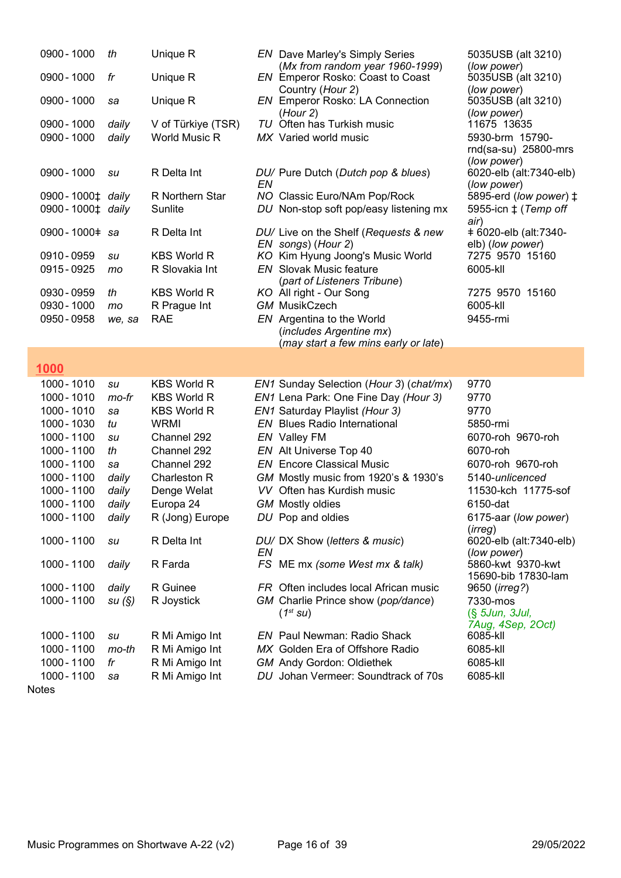| 0900 - 1000                                   | th             | Unique R                         |    | <b>EN</b> Dave Marley's Simply Series                                   | 5035USB (alt 3210)                     |
|-----------------------------------------------|----------------|----------------------------------|----|-------------------------------------------------------------------------|----------------------------------------|
| 0900 - 1000                                   | fr             | Unique R                         |    | (Mx from random year 1960-1999)<br>EN Emperor Rosko: Coast to Coast     | (low power)<br>5035USB (alt 3210)      |
|                                               |                |                                  |    | Country (Hour 2)                                                        | (low power)                            |
| 0900 - 1000                                   | sa             | Unique R                         |    | <b>EN</b> Emperor Rosko: LA Connection                                  | 5035USB (alt 3210)                     |
|                                               |                |                                  |    | (Hour 2)                                                                | (low power)                            |
| 0900 - 1000                                   | daily          | V of Türkiye (TSR)               |    | TU Often has Turkish music                                              | 11675 13635                            |
| 0900 - 1000                                   | daily          | <b>World Music R</b>             |    | MX Varied world music                                                   | 5930-brm 15790-                        |
|                                               |                |                                  |    |                                                                         | rnd(sa-su) 25800-mrs                   |
| 0900 - 1000                                   | su             | R Delta Int                      |    | DU/ Pure Dutch (Dutch pop & blues)                                      | (low power)                            |
|                                               |                |                                  | EN |                                                                         | 6020-elb (alt:7340-elb)<br>(low power) |
| 0900 - 1000 <sup><math>\pm</math></sup> daily |                | R Northern Star                  |    | NO Classic Euro/NAm Pop/Rock                                            | 5895-erd (low power) $\ddagger$        |
| 0900 - 1000 <sup><math>\pm</math></sup> daily |                | Sunlite                          |    | DU Non-stop soft pop/easy listening mx                                  | 5955-icn $\ddagger$ (Temp off          |
|                                               |                |                                  |    |                                                                         | air)                                   |
| 0900-1000# sa                                 |                | R Delta Int                      |    | DU/ Live on the Shelf (Requests & new                                   | +6020-elb (alt:7340-                   |
|                                               |                |                                  |    | EN songs) (Hour 2)                                                      | elb) (low power)                       |
| 0910 - 0959                                   | su             | <b>KBS World R</b>               |    | KO Kim Hyung Joong's Music World                                        | 7275 9570 15160                        |
| 0915 - 0925                                   | mo             | R Slovakia Int                   |    | <b>EN</b> Slovak Music feature                                          | 6005-kll                               |
| 0930 - 0959                                   | th             | <b>KBS World R</b>               |    | (part of Listeners Tribune)<br>KO All right - Our Song                  | 7275 9570 15160                        |
| 0930 - 1000                                   | mo             | R Prague Int                     |    | <b>GM MusikCzech</b>                                                    | 6005-kll                               |
| 0950 - 0958                                   | we, sa         | <b>RAE</b>                       |    | EN Argentina to the World                                               | 9455-rmi                               |
|                                               |                |                                  |    | (includes Argentine mx)                                                 |                                        |
|                                               |                |                                  |    | (may start a few mins early or late)                                    |                                        |
|                                               |                |                                  |    |                                                                         |                                        |
|                                               |                |                                  |    |                                                                         |                                        |
| 1000                                          |                |                                  |    |                                                                         |                                        |
| 1000 - 1010                                   | su             | <b>KBS World R</b>               |    | EN1 Sunday Selection (Hour 3) (chat/mx)                                 | 9770                                   |
| 1000 - 1010                                   | mo-fr          | <b>KBS World R</b>               |    | EN1 Lena Park: One Fine Day (Hour 3)                                    | 9770                                   |
| 1000 - 1010                                   | sa             | <b>KBS World R</b>               |    | EN1 Saturday Playlist (Hour 3)                                          | 9770                                   |
| 1000 - 1030                                   | tu             | <b>WRMI</b>                      |    | <b>EN</b> Blues Radio International                                     | 5850-rmi                               |
| 1000 - 1100                                   | su             | Channel 292                      |    | EN Valley FM                                                            | 6070-roh 9670-roh                      |
| 1000 - 1100                                   | th             | Channel 292                      |    | EN Alt Universe Top 40                                                  | 6070-roh                               |
| 1000 - 1100                                   | sa             | Channel 292                      |    | <b>EN</b> Encore Classical Music                                        | 6070-roh 9670-roh                      |
| 1000 - 1100                                   | daily          | Charleston R                     |    | GM Mostly music from 1920's & 1930's                                    | 5140-unlicenced                        |
| 1000 - 1100                                   | daily          | Denge Welat                      |    | VV Often has Kurdish music                                              | 11530-kch 11775-sof                    |
| 1000 - 1100                                   | daily          | Europa 24                        |    | <b>GM</b> Mostly oldies                                                 | 6150-dat                               |
| 1000 - 1100                                   | daily          | R (Jong) Europe                  |    | DU Pop and oldies                                                       | 6175-aar (low power)                   |
|                                               |                |                                  |    |                                                                         | (irreg)                                |
| 1000 - 1100                                   | su             | R Delta Int                      |    | DU/ DX Show (letters & music)                                           | 6020-elb (alt:7340-elb)                |
|                                               |                |                                  | ΕN |                                                                         | (low power)                            |
| 1000 - 1100                                   | daily          | R Farda                          |    | FS ME mx (some West mx & talk)                                          | 5860-kwt 9370-kwt                      |
| 1000 - 1100                                   |                | R Guinee                         |    | FR Often includes local African music                                   | 15690-bib 17830-lam                    |
| 1000 - 1100                                   | daily<br>su(S) | R Joystick                       |    | GM Charlie Prince show (pop/dance)                                      | 9650 ( <i>irreg?</i> )<br>7330-mos     |
|                                               |                |                                  |    | $(1^{st}$ SU)                                                           | (§ 5Jun, 3Jul,                         |
|                                               |                |                                  |    |                                                                         | 7Aug, 4Sep, 2Oct)                      |
| 1000 - 1100                                   | su             | R Mi Amigo Int                   |    | <b>EN</b> Paul Newman: Radio Shack                                      | 6085-kll                               |
| 1000 - 1100                                   | mo-th          | R Mi Amigo Int                   |    | MX Golden Era of Offshore Radio                                         | 6085-kll                               |
| 1000 - 1100<br>1000 - 1100                    | fr<br>sa       | R Mi Amigo Int<br>R Mi Amigo Int |    | <b>GM</b> Andy Gordon: Oldiethek<br>DU Johan Vermeer: Soundtrack of 70s | 6085-kll<br>6085-kll                   |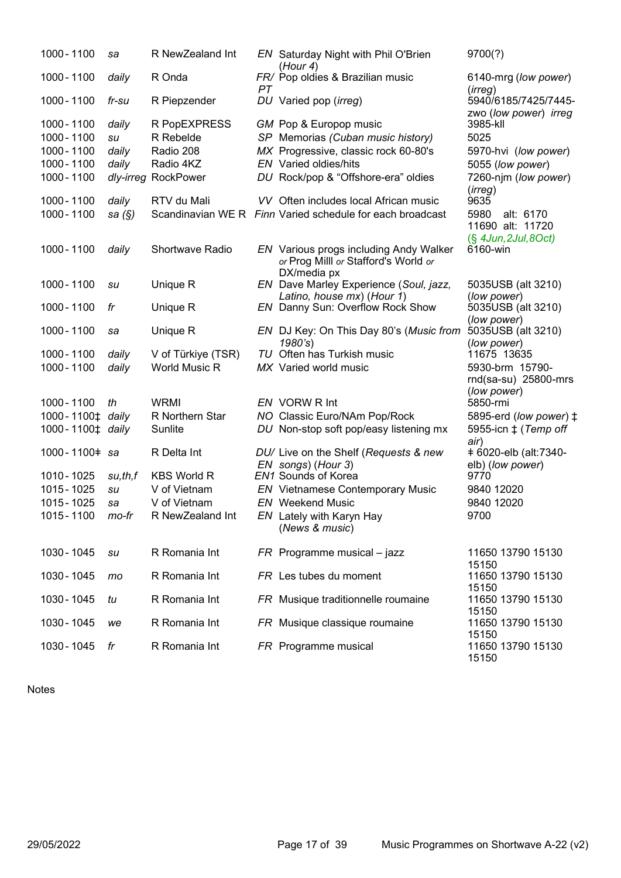| 1000 - 1100      | sa        | R NewZealand Int       |    | EN Saturday Night with Phil O'Brien<br>(Hour 4)                                               | 9700(?)                                       |
|------------------|-----------|------------------------|----|-----------------------------------------------------------------------------------------------|-----------------------------------------------|
| 1000 - 1100      | daily     | R Onda                 | PT | FR/ Pop oldies & Brazilian music                                                              | 6140-mrg (low power)<br>(irreg)               |
| 1000 - 1100      | fr-su     | R Piepzender           |    | DU Varied pop (irreg)                                                                         | 5940/6185/7425/7445-<br>zwo (low power) irreg |
| 1000 - 1100      | daily     | R PopEXPRESS           |    | GM Pop & Europop music                                                                        | 3985-kll                                      |
| 1000 - 1100      | su        | R Rebelde              |    | SP Memorias (Cuban music history)                                                             | 5025                                          |
| 1000 - 1100      | daily     | Radio 208              |    | MX Progressive, classic rock 60-80's                                                          | 5970-hvi (low power)                          |
| 1000 - 1100      | daily     | Radio 4KZ              |    | <b>EN</b> Varied oldies/hits                                                                  | 5055 (low power)                              |
| 1000 - 1100      | dly-irreg | RockPower              |    | DU Rock/pop & "Offshore-era" oldies                                                           | 7260-njm (low power)<br>(irreg)               |
| 1000 - 1100      | daily     | RTV du Mali            |    | VV Often includes local African music                                                         | 9635                                          |
| 1000 - 1100      | sa $(\S)$ |                        |    | Scandinavian WE R Finn Varied schedule for each broadcast                                     | 5980<br>alt: 6170<br>11690 alt: 11720         |
| 1000 - 1100      | daily     | <b>Shortwave Radio</b> |    | EN Various progs including Andy Walker<br>or Prog Milll or Stafford's World or<br>DX/media px | (§ 4Jun, 2Jul, 8Oct)<br>6160-win              |
| 1000 - 1100      | su        | Unique R               |    | EN Dave Marley Experience (Soul, jazz,<br>Latino, house mx) (Hour 1)                          | 5035USB (alt 3210)<br>(low power)             |
| 1000 - 1100      | fr        | Unique R               |    | EN Danny Sun: Overflow Rock Show                                                              | 5035USB (alt 3210)<br>(low power)             |
| 1000 - 1100      | sa        | Unique R               |    | EN DJ Key: On This Day 80's (Music from<br>1980's)                                            | 5035USB (alt 3210)<br>(low power)             |
| 1000 - 1100      | daily     | V of Türkiye (TSR)     |    | TU Often has Turkish music                                                                    | 11675 13635                                   |
| 1000 - 1100      | daily     | World Music R          |    | MX Varied world music                                                                         | 5930-brm 15790-<br>rnd(sa-su) 25800-mrs       |
| 1000 - 1100      | th        | <b>WRMI</b>            |    | EN VORW R Int                                                                                 | (low power)<br>5850-rmi                       |
| 1000-1100‡ daily |           | R Northern Star        |    | NO Classic Euro/NAm Pop/Rock                                                                  | 5895-erd (low power) ‡                        |
| 1000-1100‡ daily |           | Sunlite                |    | DU Non-stop soft pop/easy listening mx                                                        | 5955-icn $\ddagger$ (Temp off<br>air)         |
| 1000-1100# sa    |           | R Delta Int            |    | DU/ Live on the Shelf (Requests & new                                                         | +6020-elb (alt:7340-                          |
|                  |           |                        |    | EN songs) (Hour 3)                                                                            | elb) (low power)                              |
| 1010 - 1025      | su,th,f   | <b>KBS World R</b>     |    | EN1 Sounds of Korea                                                                           | 9770                                          |
| 1015 - 1025      | su        | V of Vietnam           |    | <b>EN</b> Vietnamese Contemporary Music                                                       | 9840 12020                                    |
| 1015 - 1025      | sa        | V of Vietnam           |    | <b>EN</b> Weekend Music                                                                       | 9840 12020                                    |
| 1015 - 1100      | mo-fr     | R NewZealand Int       |    | EN Lately with Karyn Hay<br>(News & music)                                                    | 9700                                          |
| 1030 - 1045      | su        | R Romania Int          |    | $FR$ Programme musical – jazz                                                                 | 11650 13790 15130<br>15150                    |
| 1030 - 1045      | mo        | R Romania Int          |    | FR Les tubes du moment                                                                        | 11650 13790 15130<br>15150                    |
| 1030 - 1045      | tu        | R Romania Int          |    | FR Musique traditionnelle roumaine                                                            | 11650 13790 15130<br>15150                    |
| 1030 - 1045      | we        | R Romania Int          |    | FR Musique classique roumaine                                                                 | 11650 13790 15130<br>15150                    |
| 1030 - 1045      | fr        | R Romania Int          |    | FR Programme musical                                                                          | 11650 13790 15130<br>15150                    |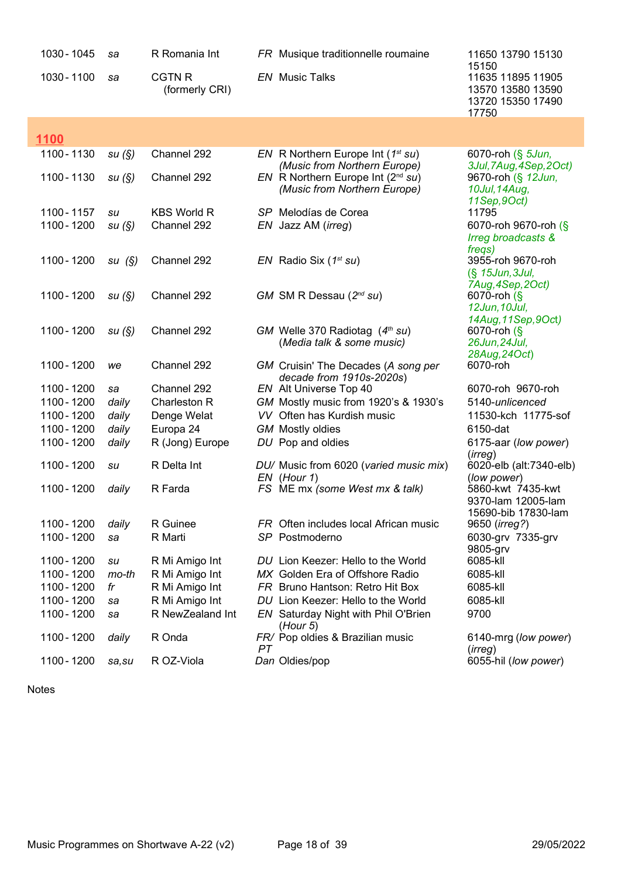| 1030 - 1045 | sa     | R Romania Int                   |    | FR Musique traditionnelle roumaine                                      | 11650 13790 15130                                                             |
|-------------|--------|---------------------------------|----|-------------------------------------------------------------------------|-------------------------------------------------------------------------------|
| 1030 - 1100 | sa     | <b>CGTN R</b><br>(formerly CRI) |    | <b>EN</b> Music Talks                                                   | 15150<br>11635 11895 11905<br>13570 13580 13590<br>13720 15350 17490<br>17750 |
|             |        |                                 |    |                                                                         |                                                                               |
| 1100        |        |                                 |    |                                                                         |                                                                               |
| 1100 - 1130 | su(S)  | Channel 292                     |    | EN R Northern Europe Int $(1^{st} su)$<br>(Music from Northern Europe)  | 6070-roh (§ 5Jun,<br>3Jul, 7Aug, 4Sep, 2Oct)                                  |
| 1100 - 1130 | su(S)  | Channel 292                     |    | $EN$ R Northern Europe Int ( $2nd su$ )<br>(Music from Northern Europe) | 9670-roh (§ 12Jun,<br>10Jul, 14Aug,<br>11Sep, 9Oct)                           |
| 1100 - 1157 | su     | <b>KBS World R</b>              |    | SP Melodías de Corea                                                    | 11795                                                                         |
| 1100 - 1200 | su(S)  | Channel 292                     |    | EN Jazz AM ( <i>irreg</i> )                                             | 6070-roh 9670-roh (§                                                          |
|             |        |                                 |    |                                                                         | Irreg broadcasts &<br>freqs)                                                  |
| 1100 - 1200 | su(S)  | Channel 292                     |    | $EN$ Radio Six (1 <sup>st</sup> su)                                     | 3955-roh 9670-roh<br>(§ 15Jun, 3Jul,                                          |
|             |        |                                 |    |                                                                         | 7Aug, 4Sep, 2Oct)                                                             |
| 1100 - 1200 | su(S)  | Channel 292                     |    | GM SM R Dessau $(2^{nd}$ su)                                            | 6070-roh (§                                                                   |
|             |        |                                 |    |                                                                         | 12Jun, 10Jul,                                                                 |
|             |        |                                 |    |                                                                         | 14Aug, 11Sep, 9Oct)                                                           |
| 1100 - 1200 | su(S)  | Channel 292                     |    | GM Welle 370 Radiotag $(4th su)$                                        | $6070$ -roh $\left(\frac{6}{5}\right)$                                        |
|             |        |                                 |    | (Media talk & some music)                                               | 26Jun, 24Jul,                                                                 |
| 1100 - 1200 | we     | Channel 292                     |    | GM Cruisin' The Decades (A song per<br>decade from 1910s-2020s)         | 28Aug, 24Oct)<br>6070-roh                                                     |
| 1100 - 1200 | sa     | Channel 292                     |    | EN Alt Universe Top 40                                                  | 6070-roh 9670-roh                                                             |
| 1100 - 1200 | daily  | Charleston R                    |    | GM Mostly music from 1920's & 1930's                                    | 5140-unlicenced                                                               |
| 1100 - 1200 | daily  | Denge Welat                     |    | VV Often has Kurdish music                                              | 11530-kch 11775-sof                                                           |
| 1100 - 1200 | daily  | Europa 24                       |    | <b>GM</b> Mostly oldies                                                 | 6150-dat                                                                      |
| 1100 - 1200 | daily  | R (Jong) Europe                 |    | DU Pop and oldies                                                       | 6175-aar (low power)<br>(irreg)                                               |
| 1100 - 1200 | su     | R Delta Int                     |    | DU/ Music from 6020 (varied music mix)                                  | 6020-elb (alt:7340-elb)                                                       |
| 1100 - 1200 | daily  | R Farda                         |    | EN (Hour 1)<br>FS ME mx (some West mx & talk)                           | (low power)<br>5860-kwt 7435-kwt                                              |
|             |        |                                 |    |                                                                         | 9370-lam 12005-lam<br>15690-bib 17830-lam                                     |
| 1100 - 1200 | daily  | R Guinee                        |    | FR Often includes local African music                                   | 9650 ( <i>irreg?</i> )                                                        |
| 1100 - 1200 | sa     | R Marti                         |    | SP Postmoderno                                                          | 6030-grv 7335-grv                                                             |
|             |        |                                 |    |                                                                         | 9805-grv                                                                      |
| 1100 - 1200 | su     | R Mi Amigo Int                  |    | DU Lion Keezer: Hello to the World                                      | 6085-kll                                                                      |
| 1100 - 1200 | mo-th  | R Mi Amigo Int                  |    | MX Golden Era of Offshore Radio                                         | 6085-kll                                                                      |
| 1100 - 1200 | fr     | R Mi Amigo Int                  |    | FR Bruno Hantson: Retro Hit Box                                         | 6085-kll                                                                      |
| 1100 - 1200 | sa     | R Mi Amigo Int                  |    | DU Lion Keezer: Hello to the World                                      | 6085-kll                                                                      |
| 1100 - 1200 | sa     | R NewZealand Int                |    | EN Saturday Night with Phil O'Brien                                     | 9700                                                                          |
|             |        |                                 |    | (Hour 5)                                                                |                                                                               |
| 1100 - 1200 | daily  | R Onda                          | PТ | FR/ Pop oldies & Brazilian music                                        | 6140-mrg (low power)<br>(irreg)                                               |
| 1100 - 1200 | sa, su | R OZ-Viola                      |    | Dan Oldies/pop                                                          | 6055-hil (low power)                                                          |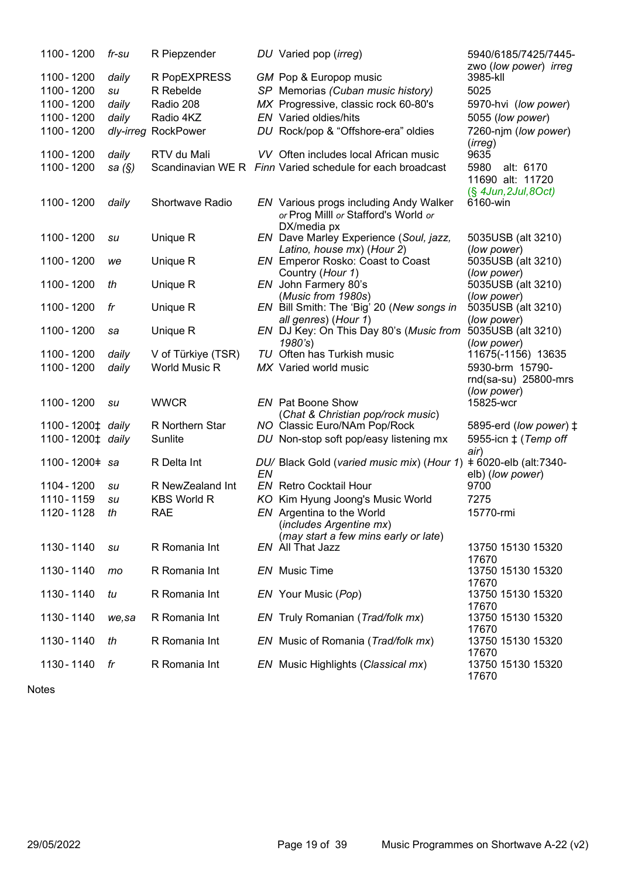| 1100 - 1200      | fr-su     | R Piepzender       |    | DU Varied pop (irreg)                                                                         | 5940/6185/7425/7445-<br>zwo (low power) irreg                   |
|------------------|-----------|--------------------|----|-----------------------------------------------------------------------------------------------|-----------------------------------------------------------------|
| 1100 - 1200      | daily     | R PopEXPRESS       |    | GM Pop & Europop music                                                                        | 3985-kll                                                        |
| 1100 - 1200      | su        | R Rebelde          |    | SP Memorias (Cuban music history)                                                             | 5025                                                            |
| 1100 - 1200      | daily     | Radio 208          |    | MX Progressive, classic rock 60-80's                                                          | 5970-hvi (low power)                                            |
| 1100 - 1200      | daily     | Radio 4KZ          |    | <b>EN</b> Varied oldies/hits                                                                  | 5055 (low power)                                                |
|                  |           |                    |    |                                                                                               |                                                                 |
| 1100 - 1200      | dly-irreg | RockPower          |    | DU Rock/pop & "Offshore-era" oldies<br>VV Often includes local African music                  | 7260-njm (low power)<br>(irreg)<br>9635                         |
| 1100 - 1200      | daily     | RTV du Mali        |    |                                                                                               |                                                                 |
| 1100 - 1200      | sa $(S)$  |                    |    | Scandinavian WE R Finn Varied schedule for each broadcast                                     | 5980<br>alt: 6170<br>11690 alt: 11720<br>$(S$ 4Jun, 2Jul, 8Oct) |
| 1100 - 1200      | daily     | Shortwave Radio    |    | EN Various progs including Andy Walker<br>or Prog Milll or Stafford's World or<br>DX/media px | 6160-win                                                        |
| 1100 - 1200      | su        | Unique R           |    | EN Dave Marley Experience (Soul, jazz,                                                        | 5035USB (alt 3210)                                              |
|                  |           |                    |    | Latino, house mx) (Hour 2)                                                                    | (low power)                                                     |
| 1100 - 1200      | we        | Unique R           |    | EN Emperor Rosko: Coast to Coast                                                              | 5035USB (alt 3210)                                              |
|                  |           |                    |    | Country (Hour 1)                                                                              | (low power)                                                     |
| 1100 - 1200      | th        | Unique R           |    | EN John Farmery 80's                                                                          | 5035USB (alt 3210)                                              |
|                  |           |                    |    | (Music from 1980s)                                                                            | (low power)                                                     |
| 1100 - 1200      | fr        | Unique R           |    | EN Bill Smith: The 'Big' 20 (New songs in                                                     | 5035USB (alt 3210)                                              |
|                  |           |                    |    | all genres) (Hour 1)                                                                          | (low power)                                                     |
| 1100 - 1200      | sa        | Unique R           |    | EN DJ Key: On This Day 80's (Music from                                                       | 5035USB (alt 3210)                                              |
| 1100 - 1200      | daily     | V of Türkiye (TSR) |    | 1980's<br>TU Often has Turkish music                                                          | (low power)<br>11675(-1156) 13635                               |
| 1100 - 1200      |           | World Music R      |    | MX Varied world music                                                                         | 5930-brm 15790-                                                 |
|                  | daily     |                    |    |                                                                                               | rnd(sa-su) 25800-mrs                                            |
|                  |           |                    |    |                                                                                               | (low power)                                                     |
| 1100 - 1200      | su        | <b>WWCR</b>        |    | <b>EN</b> Pat Boone Show                                                                      | 15825-wcr                                                       |
|                  |           |                    |    | (Chat & Christian pop/rock music)                                                             |                                                                 |
| 1100-1200‡ daily |           | R Northern Star    |    | NO Classic Euro/NAm Pop/Rock                                                                  | 5895-erd (low power) ‡                                          |
| 1100-1200‡ daily |           | Sunlite            |    | DU Non-stop soft pop/easy listening mx                                                        | 5955-icn ± (Temp off                                            |
|                  |           |                    |    |                                                                                               | air)                                                            |
| 1100-1200# sa    |           | R Delta Int        |    | DU/ Black Gold (varied music mix) (Hour 1)                                                    | + 6020-elb (alt:7340-                                           |
|                  |           |                    | EN |                                                                                               | elb) (low power)                                                |
| 1104 - 1200      | su        | R NewZealand Int   |    | <b>EN</b> Retro Cocktail Hour                                                                 | 9700                                                            |
| 1110 - 1159      | su        | <b>KBS World R</b> |    | KO Kim Hyung Joong's Music World                                                              | 7275                                                            |
| 1120 - 1128      | th        | <b>RAE</b>         |    | EN Argentina to the World                                                                     | 15770-rmi                                                       |
|                  |           |                    |    | (includes Argentine mx)                                                                       |                                                                 |
|                  |           |                    |    | (may start a few mins early or late)                                                          |                                                                 |
| 1130 - 1140      | su        | R Romania Int      |    | EN All That Jazz                                                                              | 13750 15130 15320                                               |
| 1130 - 1140      | mo        | R Romania Int      |    | EN Music Time                                                                                 | 17670<br>13750 15130 15320                                      |
|                  |           |                    |    |                                                                                               | 17670                                                           |
| 1130 - 1140      | tu        | R Romania Int      |    | EN Your Music (Pop)                                                                           | 13750 15130 15320                                               |
|                  |           |                    |    |                                                                                               | 17670                                                           |
| 1130 - 1140      | we,sa     | R Romania Int      |    | EN Truly Romanian (Trad/folk mx)                                                              | 13750 15130 15320                                               |
|                  |           |                    |    |                                                                                               | 17670                                                           |
| 1130 - 1140      | th        | R Romania Int      |    | EN Music of Romania (Trad/folk mx)                                                            | 13750 15130 15320                                               |
|                  |           |                    |    |                                                                                               | 17670                                                           |
| 1130 - 1140      | fr        | R Romania Int      |    | EN Music Highlights (Classical mx)                                                            | 13750 15130 15320                                               |
|                  |           |                    |    |                                                                                               | 17670                                                           |

Notes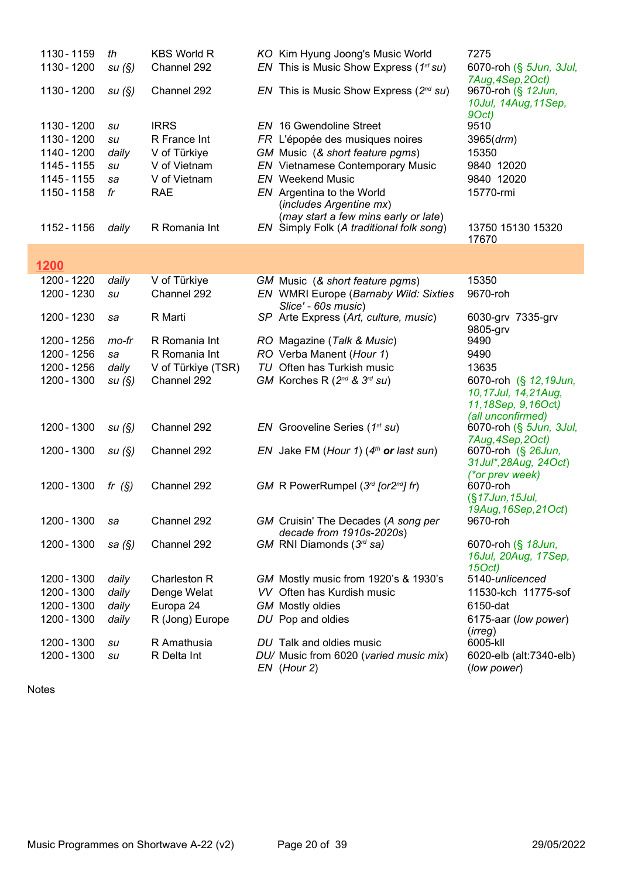| 1130 - 1159 | th        | <b>KBS World R</b> | KO Kim Hyung Joong's Music World                                                 | 7275                                                                                    |
|-------------|-----------|--------------------|----------------------------------------------------------------------------------|-----------------------------------------------------------------------------------------|
| 1130 - 1200 | su(S)     | Channel 292        | EN This is Music Show Express ( $1^{st}$ su)                                     | 6070-roh (§ 5Jun, 3Jul,<br>7Aug, 4Sep, 2Oct)                                            |
| 1130 - 1200 | su(S)     | Channel 292        | EN This is Music Show Express $(2^{nd} su)$                                      | 9670-roh (§ 12Jun,<br>10Jul, 14Aug, 11Sep,                                              |
| 1130 - 1200 | su        | <b>IRRS</b>        | <b>EN</b> 16 Gwendoline Street                                                   | 9Oct)<br>9510                                                                           |
| 1130 - 1200 | su        | R France Int       | FR L'épopée des musiques noires                                                  | 3965 (drm)                                                                              |
| 1140 - 1200 | daily     | V of Türkiye       | GM Music (& short feature pgms)                                                  | 15350                                                                                   |
| 1145 - 1155 | su        | V of Vietnam       | <b>EN</b> Vietnamese Contemporary Music                                          | 9840 12020                                                                              |
| 1145 - 1155 | sa        | V of Vietnam       | <b>EN</b> Weekend Music                                                          | 9840 12020                                                                              |
| 1150 - 1158 | fr        | <b>RAE</b>         | EN Argentina to the World<br>(includes Argentine mx)                             | 15770-rmi                                                                               |
| 1152 - 1156 | daily     | R Romania Int      | (may start a few mins early or late)<br>EN Simply Folk (A traditional folk song) | 13750 15130 15320<br>17670                                                              |
|             |           |                    |                                                                                  |                                                                                         |
| 1200        |           |                    |                                                                                  |                                                                                         |
| 1200 - 1220 | daily     | V of Türkiye       | GM Music (& short feature pgms)                                                  | 15350                                                                                   |
| 1200 - 1230 | su        | Channel 292        | EN WMRI Europe (Barnaby Wild: Sixties                                            | 9670-roh                                                                                |
| 1200 - 1230 | sa        | R Marti            | Slice' - 60s music)<br>SP Arte Express (Art, culture, music)                     | 6030-grv 7335-grv<br>9805-grv                                                           |
| 1200 - 1256 | mo-fr     | R Romania Int      | RO Magazine (Talk & Music)                                                       | 9490                                                                                    |
| 1200 - 1256 | sa        | R Romania Int      | RO Verba Manent (Hour 1)                                                         | 9490                                                                                    |
| 1200 - 1256 | daily     | V of Türkiye (TSR) | TU Often has Turkish music                                                       | 13635                                                                                   |
| 1200 - 1300 | su(S)     | Channel 292        | GM Korches R $(2^{nd}$ & $3^{rd}$ su)                                            | 6070-roh (§ 12,19Jun,<br>10,17Jul, 14,21Aug,<br>11,18Sep, 9,16Oct)<br>(all unconfirmed) |
| 1200 - 1300 | su(S)     | Channel 292        | EN Grooveline Series $(1^{st} su)$                                               | 6070-roh (§ 5Jun, 3Jul,<br>7Aug, 4Sep, 2Oct)                                            |
| 1200 - 1300 | su(S)     | Channel 292        | EN Jake FM (Hour 1) $(4th$ or last sun)                                          | 6070-roh (§ 26Jun,<br>31 Jul*, 28 Aug, 24 Oct)                                          |
| 1200 - 1300 |           | Channel 292        | GM R PowerRumpel $(3rd$ [or2 <sup>nd</sup> ] fr)                                 | (*or prev week)<br>6070-roh                                                             |
|             | fr $(S)$  |                    |                                                                                  | (§17Jun, 15Jul,                                                                         |
|             |           |                    |                                                                                  | 19Aug, 16Sep, 21Oct)                                                                    |
| 1200 - 1300 | sa        | Channel 292        | GM Cruisin' The Decades (A song per                                              | 9670-roh                                                                                |
|             |           |                    | decade from 1910s-2020s)                                                         |                                                                                         |
| 1200 - 1300 | sa $(\S)$ | Channel 292        | GM RNI Diamonds (3rd sa)                                                         | 6070-roh (§ 18Jun,<br>16Jul, 20Aug, 17Sep,<br>15Oct)                                    |
| 1200 - 1300 | daily     | Charleston R       | GM Mostly music from 1920's & 1930's                                             | 5140-unlicenced                                                                         |
| 1200 - 1300 | daily     | Denge Welat        | VV Often has Kurdish music                                                       | 11530-kch 11775-sof                                                                     |
| 1200 - 1300 | daily     | Europa 24          | <b>GM</b> Mostly oldies                                                          | 6150-dat                                                                                |
| 1200 - 1300 | daily     | R (Jong) Europe    | DU Pop and oldies                                                                | 6175-aar (low power)                                                                    |
|             |           |                    |                                                                                  | (irreg)                                                                                 |
| 1200 - 1300 | su        | R Amathusia        | DU Talk and oldies music                                                         | 6005-kll                                                                                |
| 1200 - 1300 | su        | R Delta Int        | DU/ Music from 6020 (varied music mix)<br>EN (Hour 2)                            | 6020-elb (alt:7340-elb)<br>(low power)                                                  |

I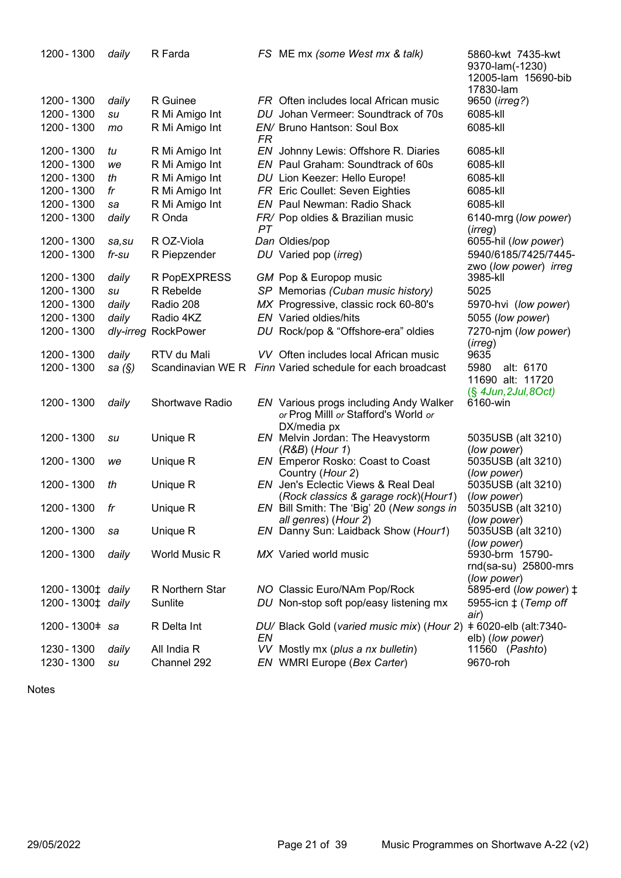| 1200 - 1300                  | daily     | R Farda                |           | FS ME mx (some West mx & talk)                              | 5860-kwt 7435-kwt<br>9370-lam(-1230)<br>12005-lam 15690-bib |
|------------------------------|-----------|------------------------|-----------|-------------------------------------------------------------|-------------------------------------------------------------|
| 1200 - 1300                  | daily     | R Guinee               |           | FR Often includes local African music                       | 17830-lam<br>9650 ( <i>irreg?</i> )                         |
| 1200 - 1300                  | su        | R Mi Amigo Int         |           | DU Johan Vermeer: Soundtrack of 70s                         | 6085-kll                                                    |
| 1200 - 1300                  | mo        | R Mi Amigo Int         |           | EN/ Bruno Hantson: Soul Box                                 | 6085-kll                                                    |
|                              |           |                        | <b>FR</b> |                                                             |                                                             |
| 1200 - 1300                  | tu        | R Mi Amigo Int         |           | EN Johnny Lewis: Offshore R. Diaries                        | 6085-kll                                                    |
| 1200 - 1300                  | we        | R Mi Amigo Int         |           | EN Paul Graham: Soundtrack of 60s                           | 6085-kll                                                    |
| 1200 - 1300                  | th        | R Mi Amigo Int         |           | DU Lion Keezer: Hello Europe!                               | 6085-kll                                                    |
| 1200 - 1300                  | fr        | R Mi Amigo Int         |           | FR Eric Coullet: Seven Eighties                             | 6085-kll                                                    |
| 1200 - 1300                  | sa        | R Mi Amigo Int         |           | <b>EN</b> Paul Newman: Radio Shack                          | 6085-kll                                                    |
| 1200 - 1300                  | daily     | R Onda                 |           | FR/ Pop oldies & Brazilian music                            | 6140-mrg (low power)                                        |
|                              |           |                        | PT        |                                                             | (irreg)                                                     |
| 1200 - 1300                  | sa, su    | R OZ-Viola             |           | Dan Oldies/pop                                              | 6055-hil (low power)                                        |
| 1200 - 1300                  | fr-su     | R Piepzender           |           | DU Varied pop (irreg)                                       | 5940/6185/7425/7445-                                        |
| 1200 - 1300                  | daily     | R PopEXPRESS           |           | GM Pop & Europop music                                      | zwo (low power) irreg<br>3985-kll                           |
| 1200 - 1300                  | su        | R Rebelde              |           | SP Memorias (Cuban music history)                           | 5025                                                        |
| 1200 - 1300                  | daily     | Radio 208              |           | MX Progressive, classic rock 60-80's                        | 5970-hvi (low power)                                        |
| 1200 - 1300                  | daily     | Radio 4KZ              |           | <b>EN</b> Varied oldies/hits                                | 5055 (low power)                                            |
| 1200 - 1300                  |           | dly-irreg RockPower    |           | DU Rock/pop & "Offshore-era" oldies                         | 7270-njm (low power)                                        |
|                              |           |                        |           |                                                             | (irreg)                                                     |
| 1200 - 1300                  | daily     | RTV du Mali            |           | VV Often includes local African music                       | 9635                                                        |
| 1200 - 1300                  | sa $(\S)$ |                        |           | Scandinavian WE R Finn Varied schedule for each broadcast   | 5980<br>alt: 6170                                           |
|                              |           |                        |           |                                                             | 11690 alt: 11720                                            |
|                              |           |                        |           |                                                             | $(\S$ 4Jun, 2Jul, 8Oct)                                     |
| 1200 - 1300                  | daily     | <b>Shortwave Radio</b> |           | <b>EN</b> Various progs including Andy Walker               | 6160-win                                                    |
|                              |           |                        |           | or Prog Milll or Stafford's World or                        |                                                             |
| 1200 - 1300                  | su        | Unique R               |           | DX/media px<br>EN Melvin Jordan: The Heavystorm             | 5035USB (alt 3210)                                          |
|                              |           |                        |           | $(R&B)$ (Hour 1)                                            | (low power)                                                 |
| 1200 - 1300                  | we        | Unique R               |           | EN Emperor Rosko: Coast to Coast                            | 5035USB (alt 3210)                                          |
|                              |           |                        |           | Country (Hour 2)                                            | (low power)                                                 |
| 1200 - 1300                  | th        | Unique R               |           | EN Jen's Eclectic Views & Real Deal                         | 5035USB (alt 3210)                                          |
|                              |           |                        |           | (Rock classics & garage rock)(Hour1)                        | (low power)                                                 |
| 1200 - 1300                  | fr        | Unique R               |           | EN Bill Smith: The 'Big' 20 (New songs in                   | 5035USB (alt 3210)                                          |
| 1200 - 1300                  | sa        | Unique R               |           | all genres) (Hour 2)<br>EN Danny Sun: Laidback Show (Hour1) | (low power)<br>5035USB (alt 3210)                           |
|                              |           |                        |           |                                                             | (low power)                                                 |
| 1200 - 1300                  | daily     | World Music R          |           | MX Varied world music                                       | 5930-brm 15790-                                             |
|                              |           |                        |           |                                                             | rnd(sa-su) 25800-mrs                                        |
|                              |           |                        |           |                                                             | (low power)                                                 |
| 1200-1300 <sup>±</sup> daily |           | R Northern Star        |           | NO Classic Euro/NAm Pop/Rock                                | 5895-erd (low power) ‡                                      |
| 1200-1300 <sup>±</sup> daily |           | Sunlite                |           | DU Non-stop soft pop/easy listening mx                      | 5955-icn $\ddagger$ (Temp off                               |
| 1200-1300 = sa               |           | R Delta Int            |           | DU/ Black Gold (varied music mix) (Hour 2)                  | air)<br>+6020-elb (alt:7340-                                |
|                              |           |                        | EN        |                                                             | elb) (low power)                                            |
| 1230 - 1300                  | daily     | All India R            |           | VV Mostly mx (plus a nx bulletin)                           | 11560 (Pashto)                                              |
| 1230 - 1300                  | su        | Channel 292            |           | EN WMRI Europe (Bex Carter)                                 | 9670-roh                                                    |
|                              |           |                        |           |                                                             |                                                             |

Notes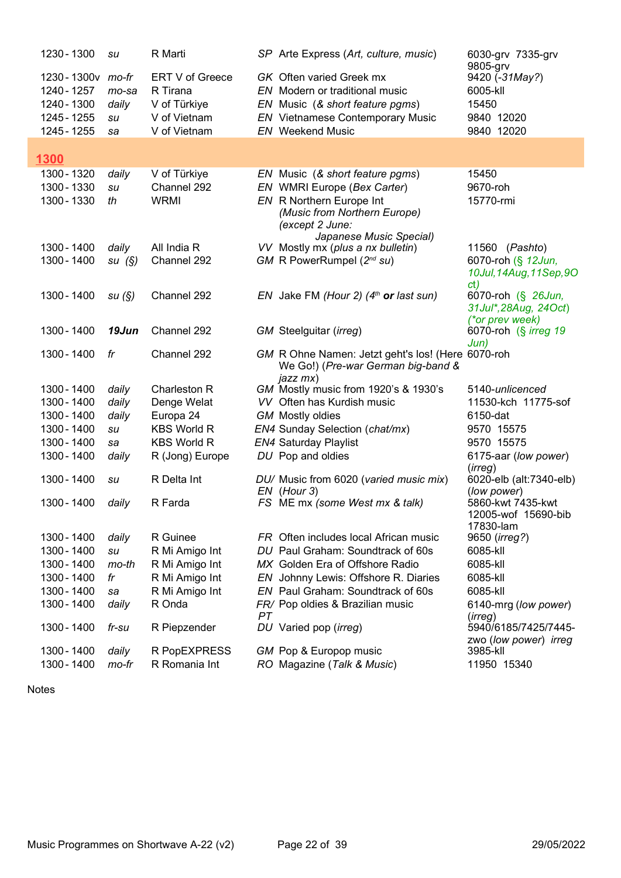| 1230 - 1300                | su             | R Marti                       |    | SP Arte Express (Art, culture, music)                 | 6030-grv 7335-grv<br>9805-grv           |
|----------------------------|----------------|-------------------------------|----|-------------------------------------------------------|-----------------------------------------|
| 1230-1300v mo-fr           |                | ERT V of Greece               |    | <b>GK</b> Often varied Greek mx                       | 9420 (-31May?)                          |
| 1240 - 1257                | mo-sa          | R Tirana                      |    | EN Modern or traditional music                        | 6005-kll                                |
| 1240 - 1300                | daily          | V of Türkiye                  |    | EN Music (& short feature pgms)                       | 15450                                   |
| 1245 - 1255                | su             | V of Vietnam                  |    | <b>EN</b> Vietnamese Contemporary Music               | 9840 12020                              |
| 1245 - 1255                | sa             | V of Vietnam                  |    | <b>EN</b> Weekend Music                               | 9840 12020                              |
|                            |                |                               |    |                                                       |                                         |
| 1300                       |                |                               |    |                                                       |                                         |
| 1300 - 1320                | daily          | V of Türkiye                  |    | EN Music (& short feature pgms)                       | 15450                                   |
| 1300 - 1330                | su             | Channel 292                   |    | EN WMRI Europe (Bex Carter)                           | 9670-roh                                |
| 1300 - 1330                | th             | <b>WRMI</b>                   |    | EN R Northern Europe Int                              | 15770-rmi                               |
|                            |                |                               |    | (Music from Northern Europe)                          |                                         |
|                            |                |                               |    | (except 2 June:<br>Japanese Music Special)            |                                         |
| 1300 - 1400                | daily          | All India R                   |    | VV Mostly mx (plus a nx bulletin)                     | 11560 (Pashto)                          |
| 1300 - 1400                | su(S)          | Channel 292                   |    | GM R PowerRumpel (2 <sup>nd</sup> su)                 | 6070-roh (§ 12Jun,                      |
|                            |                |                               |    |                                                       | 10Jul, 14Aug, 11Sep, 9O                 |
|                            |                |                               |    |                                                       | ct)                                     |
| 1300 - 1400                | su(S)          | Channel 292                   |    | EN Jake FM (Hour 2) $(4th$ or last sun)               | 6070-roh (§ 26Jun,                      |
|                            |                |                               |    |                                                       | 31 Jul*, 28 Aug, 24 Oct)                |
| 1300 - 1400                | 19Jun          | Channel 292                   |    | GM Steelguitar (irreg)                                | (*or prev week)<br>6070-roh (§ irreg 19 |
|                            |                |                               |    |                                                       | Jun)                                    |
| 1300 - 1400                | fr             | Channel 292                   |    | GM R Ohne Namen: Jetzt geht's los! (Here 6070-roh     |                                         |
|                            |                |                               |    | We Go!) (Pre-war German big-band &                    |                                         |
|                            |                |                               |    | jazz mx)                                              |                                         |
| 1300 - 1400                | daily          | Charleston R                  |    | GM Mostly music from 1920's & 1930's                  | 5140-unlicenced                         |
| 1300 - 1400<br>1300 - 1400 | daily<br>daily | Denge Welat<br>Europa 24      |    | VV Often has Kurdish music<br><b>GM</b> Mostly oldies | 11530-kch 11775-sof<br>6150-dat         |
| 1300 - 1400                | su             | <b>KBS World R</b>            |    | EN4 Sunday Selection (chat/mx)                        | 9570 15575                              |
| 1300 - 1400                | sa             | <b>KBS World R</b>            |    | <b>EN4 Saturday Playlist</b>                          | 9570 15575                              |
| 1300 - 1400                | daily          | R (Jong) Europe               |    | DU Pop and oldies                                     | 6175-aar (low power)                    |
|                            |                |                               |    |                                                       | (irreq)                                 |
| 1300 - 1400                | su             | R Delta Int                   |    | DU/ Music from 6020 (varied music mix)                | 6020-elb (alt:7340-elb)                 |
|                            |                |                               |    | $EN$ (Hour 3)                                         | (low power)                             |
| 1300 - 1400                | daily          | R Farda                       |    | FS ME mx (some West mx & talk)                        | 5860-kwt 7435-kwt                       |
|                            |                |                               |    |                                                       | 12005-wof 15690-bib<br>17830-lam        |
| 1300 - 1400                | daily          | R Guinee                      |    | FR Often includes local African music                 | 9650 (irreg?)                           |
| 1300 - 1400                | su             | R Mi Amigo Int                |    | DU Paul Graham: Soundtrack of 60s                     | 6085-kll                                |
| 1300 - 1400                | mo-th          | R Mi Amigo Int                |    | MX Golden Era of Offshore Radio                       | 6085-kll                                |
| 1300 - 1400                | fr             | R Mi Amigo Int                |    | EN Johnny Lewis: Offshore R. Diaries                  | 6085-kll                                |
| 1300 - 1400                | sa             | R Mi Amigo Int                |    | EN Paul Graham: Soundtrack of 60s                     | 6085-kll                                |
| 1300 - 1400                | daily          | R Onda                        |    | FR/ Pop oldies & Brazilian music                      | 6140-mrg (low power)                    |
|                            |                |                               | PT |                                                       | (irreg)                                 |
| 1300 - 1400                | fr-su          | R Piepzender                  |    | DU Varied pop (irreg)                                 | 5940/6185/7425/7445-                    |
|                            |                |                               |    |                                                       | zwo (low power) irreg                   |
| 1300 - 1400                | daily          | R PopEXPRESS<br>R Romania Int |    | GM Pop & Europop music                                | 3985-kll                                |
| 1300 - 1400                | mo-fr          |                               |    | RO Magazine (Talk & Music)                            | 11950 15340                             |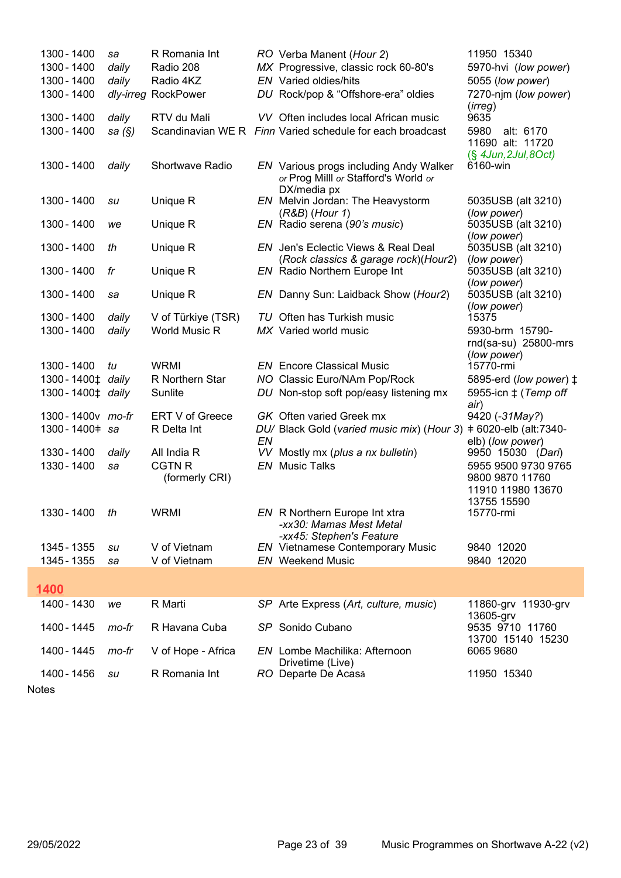| 1300 - 1400 |                                             | sa        | R Romania Int        |    | RO Verba Manent (Hour 2)                                                                      | 11950 15340                                      |
|-------------|---------------------------------------------|-----------|----------------------|----|-----------------------------------------------------------------------------------------------|--------------------------------------------------|
| 1300 - 1400 |                                             | daily     | Radio 208            |    | MX Progressive, classic rock 60-80's                                                          | 5970-hvi (low power)                             |
| 1300 - 1400 |                                             | daily     | Radio 4KZ            |    | EN Varied oldies/hits                                                                         | 5055 (low power)                                 |
| 1300 - 1400 |                                             |           | dly-irreg RockPower  |    | DU Rock/pop & "Offshore-era" oldies                                                           | 7270-njm (low power)<br>(irreg)                  |
| 1300 - 1400 |                                             | daily     | RTV du Mali          |    | VV Often includes local African music                                                         | 9635                                             |
| 1300 - 1400 |                                             | sa $(\S)$ |                      |    | Scandinavian WE R Finn Varied schedule for each broadcast                                     | 5980<br>alt: 6170<br>11690 alt: 11720            |
| 1300 - 1400 |                                             | daily     | Shortwave Radio      |    | EN Various progs including Andy Walker<br>or Prog Milll or Stafford's World or<br>DX/media px | $(\S$ 4Jun, 2Jul, 8Oct)<br>6160-win              |
| 1300 - 1400 |                                             | su        | Unique R             |    | EN Melvin Jordan: The Heavystorm<br>(R&B) (Hour 1)                                            | 5035USB (alt 3210)<br>(low power)                |
| 1300 - 1400 |                                             | we        | Unique R             |    | EN Radio serena (90's music)                                                                  | 5035USB (alt 3210)<br>(low power)                |
| 1300 - 1400 |                                             | th        | Unique R             |    | <b>EN</b> Jen's Eclectic Views & Real Deal                                                    | 5035USB (alt 3210)                               |
| 1300 - 1400 |                                             | fr        | Unique R             |    | (Rock classics & garage rock)(Hour2)<br><b>EN</b> Radio Northern Europe Int                   | (low power)<br>5035USB (alt 3210)<br>(low power) |
| 1300 - 1400 |                                             | sa        | Unique R             |    | EN Danny Sun: Laidback Show (Hour2)                                                           | 5035USB (alt 3210)                               |
| 1300 - 1400 |                                             | daily     | V of Türkiye (TSR)   |    | TU Often has Turkish music                                                                    | (low power)<br>15375                             |
| 1300 - 1400 |                                             | daily     | <b>World Music R</b> |    | MX Varied world music                                                                         | 5930-brm 15790-                                  |
|             |                                             |           |                      |    |                                                                                               | rnd(sa-su) 25800-mrs                             |
|             |                                             |           |                      |    |                                                                                               | (low power)                                      |
| 1300 - 1400 |                                             | tu        | <b>WRMI</b>          |    | <b>EN</b> Encore Classical Music                                                              | 15770-rmi                                        |
|             | 1300-1400 <sup><math>\pm</math></sup> daily |           | R Northern Star      |    | NO Classic Euro/NAm Pop/Rock                                                                  | 5895-erd (low power) ‡                           |
|             | 1300-1400‡ daily                            |           | Sunlite              |    | DU Non-stop soft pop/easy listening mx                                                        | 5955-icn $\ddagger$ (Temp off                    |
|             |                                             |           |                      |    |                                                                                               | air)                                             |
|             | 1300 - 1400 v mo-fr                         |           | ERT V of Greece      |    | GK Often varied Greek mx                                                                      | 9420 (-31May?)                                   |
|             | 1300-1400 = sa                              |           | R Delta Int          | EN | DU/ Black Gold (varied music mix) (Hour 3)                                                    | +6020-elb (alt:7340-<br>elb) (low power)         |
| 1330 - 1400 |                                             | daily     | All India R          |    | VV Mostly mx (plus a nx bulletin)                                                             | 9950 15030 (Dari)                                |
| 1330 - 1400 |                                             | sa        | <b>CGTN R</b>        |    | <b>EN</b> Music Talks                                                                         | 5955 9500 9730 9765                              |
|             |                                             |           | (formerly CRI)       |    |                                                                                               | 9800 9870 11760<br>11910 11980 13670             |
|             |                                             |           |                      |    |                                                                                               | 13755 15590                                      |
|             | 1330-1400 th                                |           | <b>WRMI</b>          |    | EN R Northern Europe Int xtra                                                                 | 15770-rmi                                        |
|             |                                             |           |                      |    | -xx30: Mamas Mest Metal                                                                       |                                                  |
|             |                                             |           |                      |    | -xx45: Stephen's Feature                                                                      |                                                  |
| 1345 - 1355 |                                             | su        | V of Vietnam         |    | <b>EN</b> Vietnamese Contemporary Music                                                       | 9840 12020                                       |
| 1345 - 1355 |                                             | sa        | V of Vietnam         |    | <b>EN</b> Weekend Music                                                                       | 9840 12020                                       |
|             |                                             |           |                      |    |                                                                                               |                                                  |
| 1400        |                                             |           |                      |    |                                                                                               |                                                  |
| 1400 - 1430 |                                             | we        | R Marti              |    | SP Arte Express (Art, culture, music)                                                         | 11860-grv 11930-grv                              |
| 1400 - 1445 |                                             | mo-fr     | R Havana Cuba        |    | SP Sonido Cubano                                                                              | 13605-grv<br>9535 9710 11760                     |
|             |                                             |           |                      |    |                                                                                               | 13700 15140 15230                                |
| 1400 - 1445 |                                             | mo-fr     | V of Hope - Africa   |    | <b>EN</b> Lombe Machilika: Afternoon                                                          | 6065 9680                                        |
|             |                                             |           |                      |    | Drivetime (Live)                                                                              |                                                  |
| 1400 - 1456 |                                             | su        | R Romania Int        |    | RO Departe De Acasă                                                                           | 11950 15340                                      |
|             |                                             |           |                      |    |                                                                                               |                                                  |

Г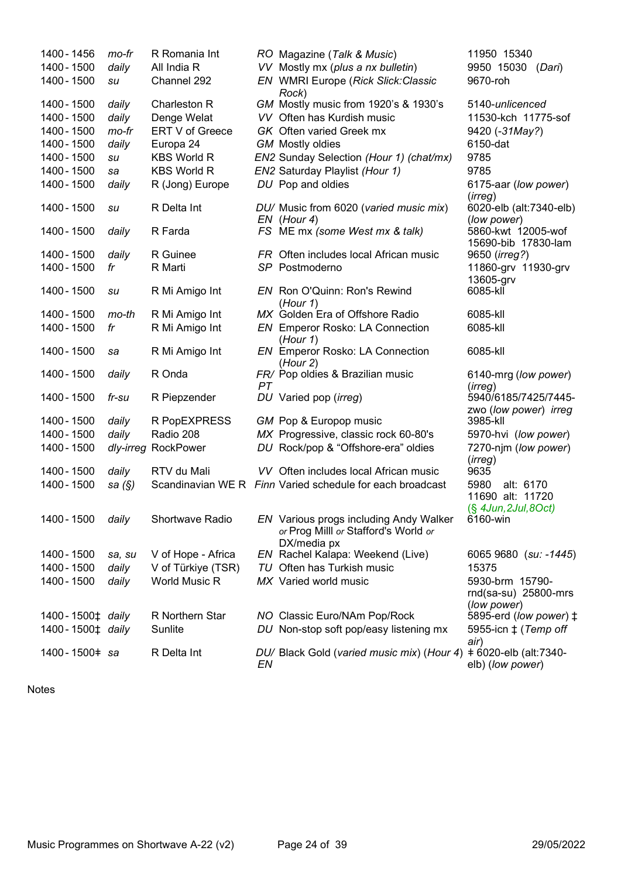| 1400 - 1456                                   | mo-fr           | R Romania Int        |    | RO Magazine (Talk & Music)                                                     | 11950 15340                                   |
|-----------------------------------------------|-----------------|----------------------|----|--------------------------------------------------------------------------------|-----------------------------------------------|
| 1400 - 1500                                   | daily           | All India R          |    | VV Mostly mx (plus a nx bulletin)                                              | 9950 15030 (Dari)                             |
| 1400 - 1500                                   | su              | Channel 292          |    | EN WMRI Europe (Rick Slick:Classic<br>Rock)                                    | 9670-roh                                      |
| 1400 - 1500                                   | daily           | Charleston R         |    | GM Mostly music from 1920's & 1930's                                           | 5140-unlicenced                               |
| 1400 - 1500                                   | daily           | Denge Welat          |    | VV Often has Kurdish music                                                     | 11530-kch 11775-sof                           |
| 1400 - 1500                                   | mo-fr           | ERT V of Greece      |    | GK Often varied Greek mx                                                       | 9420 (-31May?)                                |
| 1400 - 1500                                   | daily           | Europa 24            |    | <b>GM</b> Mostly oldies                                                        | 6150-dat                                      |
| 1400 - 1500                                   | su              | <b>KBS World R</b>   |    | EN2 Sunday Selection (Hour 1) (chat/mx)                                        | 9785                                          |
| 1400 - 1500                                   | sa              | <b>KBS World R</b>   |    | EN2 Saturday Playlist (Hour 1)                                                 | 9785                                          |
| 1400 - 1500                                   | daily           | R (Jong) Europe      |    | DU Pop and oldies                                                              | 6175-aar (low power)<br>(irreg)               |
| 1400 - 1500                                   | su              | R Delta Int          |    | DU/ Music from 6020 (varied music mix)<br>$EN$ (Hour 4)                        | 6020-elb (alt:7340-elb)<br>(low power)        |
| 1400 - 1500                                   | daily           | R Farda              |    | FS ME mx (some West mx & talk)                                                 | 5860-kwt 12005-wof<br>15690-bib 17830-lam     |
| 1400 - 1500                                   | daily           | R Guinee             |    | FR Often includes local African music                                          | 9650 ( <i>irreg?</i> )                        |
| 1400 - 1500                                   | fr              | R Marti              |    | SP Postmoderno                                                                 | 11860-grv 11930-grv<br>13605-grv              |
| 1400 - 1500                                   | su              | R Mi Amigo Int       |    | EN Ron O'Quinn: Ron's Rewind<br>(Hour 1)                                       | 6085-kll                                      |
| 1400 - 1500                                   | mo-th           | R Mi Amigo Int       |    | MX Golden Era of Offshore Radio                                                | 6085-kll                                      |
| 1400 - 1500                                   | fr              | R Mi Amigo Int       |    | <b>EN</b> Emperor Rosko: LA Connection<br>(Hour 1)                             | 6085-kll                                      |
| 1400 - 1500                                   | sa              | R Mi Amigo Int       |    | <b>EN</b> Emperor Rosko: LA Connection<br>(Hour 2)                             | 6085-kll                                      |
| 1400 - 1500                                   | daily           | R Onda               | PT | FR/ Pop oldies & Brazilian music                                               | 6140-mrg (low power)<br>(irreg)               |
| 1400 - 1500                                   | fr-su           | R Piepzender         |    | DU Varied pop (irreg)                                                          | 5940/6185/7425/7445-<br>zwo (low power) irreg |
| 1400 - 1500                                   | daily           | R PopEXPRESS         |    | GM Pop & Europop music                                                         | 3985-kll                                      |
| 1400 - 1500                                   | daily           | Radio 208            |    | MX Progressive, classic rock 60-80's                                           | 5970-hvi (low power)                          |
| 1400 - 1500                                   | dly-irreg       | RockPower            |    | DU Rock/pop & "Offshore-era" oldies                                            | 7270-njm (low power)<br>(irreg)               |
| 1400 - 1500                                   | daily           | RTV du Mali          |    | VV Often includes local African music                                          | 9635                                          |
| 1400 - 1500                                   | sa $(S)$        |                      |    | Scandinavian WE R Finn Varied schedule for each broadcast                      | 5980<br>alt: 6170<br>11690 alt: 11720         |
|                                               |                 |                      |    |                                                                                | (§ 4Jun, 2Jul, 8Oct)                          |
| 1400 - 1500                                   | daily           | Shortwave Radio      |    | EN Various progs including Andy Walker<br>or Prog Milll or Stafford's World or | 6160-win                                      |
| 1400 - 1500                                   |                 | V of Hope - Africa   |    | DX/media px<br>EN Rachel Kalapa: Weekend (Live)                                | 6065 9680 (su: -1445)                         |
| 1400 - 1500                                   | sa, su<br>daily | V of Türkiye (TSR)   |    | TU Often has Turkish music                                                     | 15375                                         |
| 1400 - 1500                                   | daily           | <b>World Music R</b> |    | MX Varied world music                                                          | 5930-brm 15790-                               |
|                                               |                 |                      |    |                                                                                | rnd(sa-su) 25800-mrs<br>(low power)           |
| 1400 - 1500 <sup><math>\pm</math></sup> daily |                 | R Northern Star      |    | NO Classic Euro/NAm Pop/Rock                                                   | 5895-erd (low power) ‡                        |
| 1400 - 1500 <sup>+</sup> daily                |                 | Sunlite              |    | DU Non-stop soft pop/easy listening mx                                         | 5955-icn $\ddagger$ (Temp off<br>air)         |
| 1400-1500 = sa                                |                 | R Delta Int          | EN | DU/ Black Gold (varied music mix) (Hour 4)                                     | +6020-elb (alt:7340-<br>elb) (low power)      |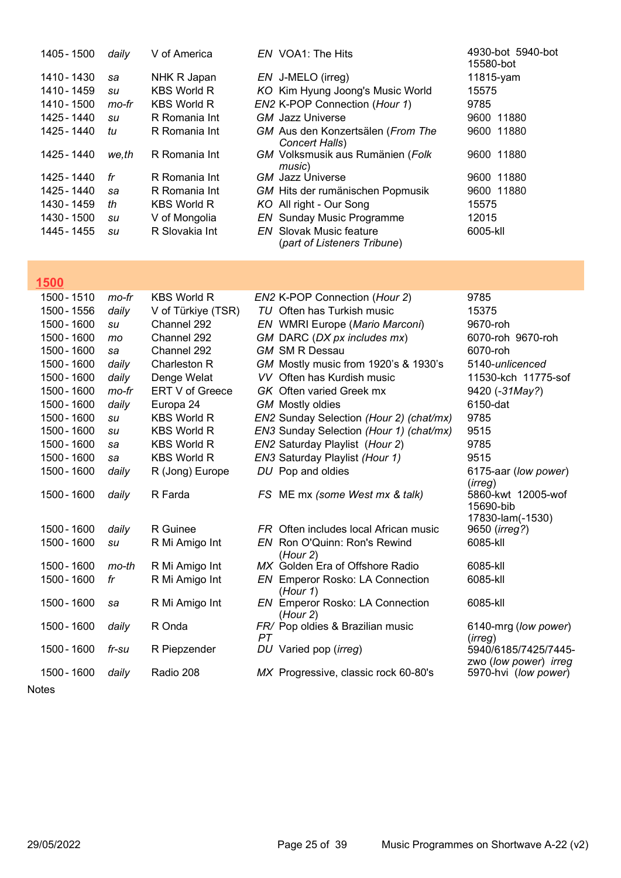| 1405 - 1500 | daily | V of America       | EN VOA1: The Hits                                             | 4930-bot 5940-bot<br>15580-bot |
|-------------|-------|--------------------|---------------------------------------------------------------|--------------------------------|
| 1410 - 1430 | sa    | NHK R Japan        | EN J-MELO (irreg)                                             | 11815-yam                      |
| 1410 - 1459 | su    | <b>KBS World R</b> | KO Kim Hyung Joong's Music World                              | 15575                          |
| 1410 - 1500 | mo-fr | <b>KBS World R</b> | EN2 K-POP Connection (Hour 1)                                 | 9785                           |
| 1425 - 1440 | su    | R Romania Int      | GM Jazz Universe                                              | 9600 11880                     |
| 1425 - 1440 | tu    | R Romania Int      | GM Aus den Konzertsälen (From The<br>Concert Halls)           | 9600 11880                     |
| 1425 - 1440 | we,th | R Romania Int      | GM Volksmusik aus Rumänien (Folk<br>music)                    | 9600 11880                     |
| 1425 - 1440 | fr    | R Romania Int      | <b>GM</b> Jazz Universe                                       | 9600 11880                     |
| 1425 - 1440 | sa    | R Romania Int      | GM Hits der rumänischen Popmusik                              | 9600 11880                     |
| 1430 - 1459 | th    | <b>KBS World R</b> | KO All right - Our Song                                       | 15575                          |
| 1430 - 1500 | su    | V of Mongolia      | <b>EN</b> Sunday Music Programme                              | 12015                          |
| 1445 - 1455 | su    | R Slovakia Int     | <b>EN</b> Slovak Music feature<br>(part of Listeners Tribune) | 6005-kll                       |

# $1500$

| 1500 - 1510 | mo-fr   | <b>KBS World R</b> | EN2 K-POP Connection (Hour 2)                      | 9785                                          |
|-------------|---------|--------------------|----------------------------------------------------|-----------------------------------------------|
| 1500 - 1556 | daily   | V of Türkiye (TSR) | TU Often has Turkish music                         | 15375                                         |
| 1500 - 1600 | su      | Channel 292        | EN WMRI Europe (Mario Marconi)                     | 9670-roh                                      |
| 1500 - 1600 | mo      | Channel 292        | GM DARC (DX px includes mx)                        | 6070-roh 9670-roh                             |
| 1500 - 1600 | sa      | Channel 292        | <b>GM SM R Dessau</b>                              | 6070-roh                                      |
| 1500 - 1600 | daily   | Charleston R       | GM Mostly music from 1920's & 1930's               | 5140-unlicenced                               |
| 1500 - 1600 | daily   | Denge Welat        | VV Often has Kurdish music                         | 11530-kch 11775-sof                           |
| 1500 - 1600 | mo-fr   | ERT V of Greece    | GK Often varied Greek mx                           | 9420 (-31May?)                                |
| 1500 - 1600 | daily   | Europa 24          | <b>GM</b> Mostly oldies                            | 6150-dat                                      |
| 1500 - 1600 | su      | <b>KBS World R</b> | EN2 Sunday Selection (Hour 2) (chat/mx)            | 9785                                          |
| 1500 - 1600 | su      | <b>KBS World R</b> | EN3 Sunday Selection (Hour 1) (chat/mx)            | 9515                                          |
| 1500 - 1600 | sa      | <b>KBS World R</b> | EN2 Saturday Playlist (Hour 2)                     | 9785                                          |
| 1500 - 1600 | sa      | <b>KBS World R</b> | EN3 Saturday Playlist (Hour 1)                     | 9515                                          |
| 1500 - 1600 | daily   | R (Jong) Europe    | DU Pop and oldies                                  | 6175-aar (low power)                          |
| 1500 - 1600 | daily   | R Farda            | FS ME mx (some West mx & talk)                     | (irreg)<br>5860-kwt 12005-wof<br>15690-bib    |
| 1500 - 1600 | daily   | R Guinee           | FR Often includes local African music              | 17830-lam(-1530)<br>9650 (irreg?)             |
| 1500 - 1600 | su      | R Mi Amigo Int     | EN Ron O'Quinn: Ron's Rewind                       | 6085-kll                                      |
|             |         |                    | (Hour 2)                                           |                                               |
| 1500 - 1600 | $mo-th$ | R Mi Amigo Int     | MX Golden Era of Offshore Radio                    | 6085-kll                                      |
| 1500 - 1600 | fr      | R Mi Amigo Int     | <b>EN</b> Emperor Rosko: LA Connection<br>(Hour 1) | 6085-kll                                      |
| 1500 - 1600 | sa      | R Mi Amigo Int     | Emperor Rosko: LA Connection<br>EN.<br>(Hour 2)    | 6085-kll                                      |
| 1500 - 1600 | daily   | R Onda             | FR/ Pop oldies & Brazilian music<br>PT             | 6140-mrg (low power)<br>(irreg)               |
| 1500 - 1600 | fr-su   | R Piepzender       | DU Varied pop (irreg)                              | 5940/6185/7425/7445-<br>zwo (low power) irreg |
| 1500 - 1600 | daily   | Radio 208          | MX Progressive, classic rock 60-80's               | 5970-hvi (low power)                          |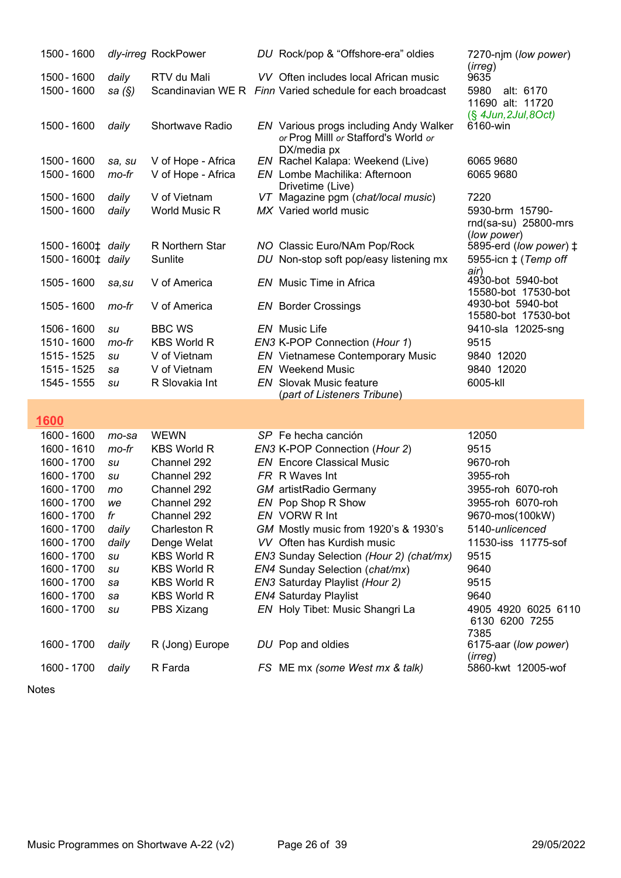| 1500 - 1600                    |        | dly-irreg RockPower    | DU Rock/pop & "Offshore-era" oldies                       | 7270-njm (low power)                           |
|--------------------------------|--------|------------------------|-----------------------------------------------------------|------------------------------------------------|
| 1500 - 1600                    | daily  | RTV du Mali            | VV Often includes local African music                     | (irreg)<br>9635                                |
| 1500 - 1600                    | sa (§) |                        | Scandinavian WE R Finn Varied schedule for each broadcast | 5980<br>alt: 6170                              |
|                                |        |                        |                                                           | 11690 alt: 11720                               |
|                                |        |                        |                                                           | $(\S$ 4Jun, 2Jul, 8Oct)                        |
| 1500 - 1600                    | daily  | <b>Shortwave Radio</b> | EN Various progs including Andy Walker                    | 6160-win                                       |
|                                |        |                        | or Prog Milll or Stafford's World or                      |                                                |
| 1500 - 1600                    | sa, su | V of Hope - Africa     | DX/media px<br>EN Rachel Kalapa: Weekend (Live)           | 6065 9680                                      |
| 1500 - 1600                    | mo-fr  | V of Hope - Africa     | EN Lombe Machilika: Afternoon                             | 6065 9680                                      |
|                                |        |                        | Drivetime (Live)                                          |                                                |
| 1500 - 1600                    | daily  | V of Vietnam           | VT Magazine pgm (chat/local music)                        | 7220                                           |
| 1500 - 1600                    | daily  | World Music R          | MX Varied world music                                     | 5930-brm 15790-                                |
|                                |        |                        |                                                           | rnd(sa-su) 25800-mrs                           |
| 1500 - 1600‡ daily             |        | R Northern Star        | NO Classic Euro/NAm Pop/Rock                              | (low power)<br>5895-erd (low power) $\ddagger$ |
| 1500 - 1600 <sup>±</sup> daily |        | Sunlite                | DU Non-stop soft pop/easy listening mx                    | 5955-icn $\ddagger$ (Temp off                  |
|                                |        |                        |                                                           | air)                                           |
| 1505 - 1600                    | sa, su | V of America           | <b>EN</b> Music Time in Africa                            | 4930-bot 5940-bot                              |
|                                |        |                        |                                                           | 15580-bot 17530-bot                            |
| 1505 - 1600                    | mo-fr  | V of America           | <b>EN</b> Border Crossings                                | 4930-bot 5940-bot<br>15580-bot 17530-bot       |
| 1506 - 1600                    | su     | <b>BBC WS</b>          | <b>EN</b> Music Life                                      | 9410-sla 12025-sng                             |
| 1510 - 1600                    | mo-fr  | <b>KBS World R</b>     | EN3 K-POP Connection (Hour 1)                             | 9515                                           |
| 1515 - 1525                    | su     | V of Vietnam           | <b>EN</b> Vietnamese Contemporary Music                   | 9840 12020                                     |
| 1515 - 1525                    | sa     | V of Vietnam           | <b>EN</b> Weekend Music                                   | 9840 12020                                     |
| 1545 - 1555                    | su     | R Slovakia Int         | <b>EN</b> Slovak Music feature                            | 6005-kll                                       |
|                                |        |                        | (part of Listeners Tribune)                               |                                                |
|                                |        |                        |                                                           |                                                |
| 1600                           |        |                        |                                                           |                                                |
| 1600 - 1600                    | mo-sa  | <b>WEWN</b>            | SP Fe hecha canción                                       | 12050                                          |
| 1600 - 1610                    | mo-fr  | <b>KBS World R</b>     | EN3 K-POP Connection (Hour 2)                             | 9515                                           |
| 1600 - 1700                    | su     | Channel 292            | <b>EN</b> Encore Classical Music                          | 9670-roh                                       |
| 1600 - 1700                    | su     | Channel 292            | FR R Waves Int                                            | 3955-roh                                       |
| 1600 - 1700                    | mo     | Channel 292            | <b>GM</b> artistRadio Germany                             | 3955-roh 6070-roh                              |
| 1600 - 1700                    | we     | Channel 292            | EN Pop Shop R Show                                        | 3955-roh 6070-roh                              |
| 1600 - 1700                    | fr     | Channel 292            | EN VORW R Int                                             | 9670-mos(100kW)                                |
| 1600 - 1700                    | daily  | Charleston R           | GM Mostly music from 1920's & 1930's                      | 5140-unlicenced                                |
| 1600 - 1700                    | daily  | Denge Welat            | VV Often has Kurdish music                                | 11530-iss 11775-sof                            |
| 1600 - 1700                    | su     | <b>KBS World R</b>     | EN3 Sunday Selection (Hour 2) (chat/mx)                   | 9515                                           |
| 1600 - 1700                    | su     | <b>KBS World R</b>     | EN4 Sunday Selection (chat/mx)                            | 9640                                           |
| 1600 - 1700                    | sa     | <b>KBS World R</b>     | EN3 Saturday Playlist (Hour 2)                            | 9515                                           |
| 1600 - 1700                    | sa     | <b>KBS World R</b>     | <b>EN4 Saturday Playlist</b>                              | 9640                                           |
| 1600 - 1700                    | su     | PBS Xizang             | EN Holy Tibet: Music Shangri La                           | 4905 4920 6025 6110<br>6130 6200 7255<br>7385  |
| 1600 - 1700                    | daily  | R (Jong) Europe        | DU Pop and oldies                                         | 6175-aar (low power)                           |

1600 - 1700 daily R Farda **FS ME mx** (some West mx & talk) 5860-kwt 12005-wof

Notes

(*irreg*)<br>5860-kwt 12005-wof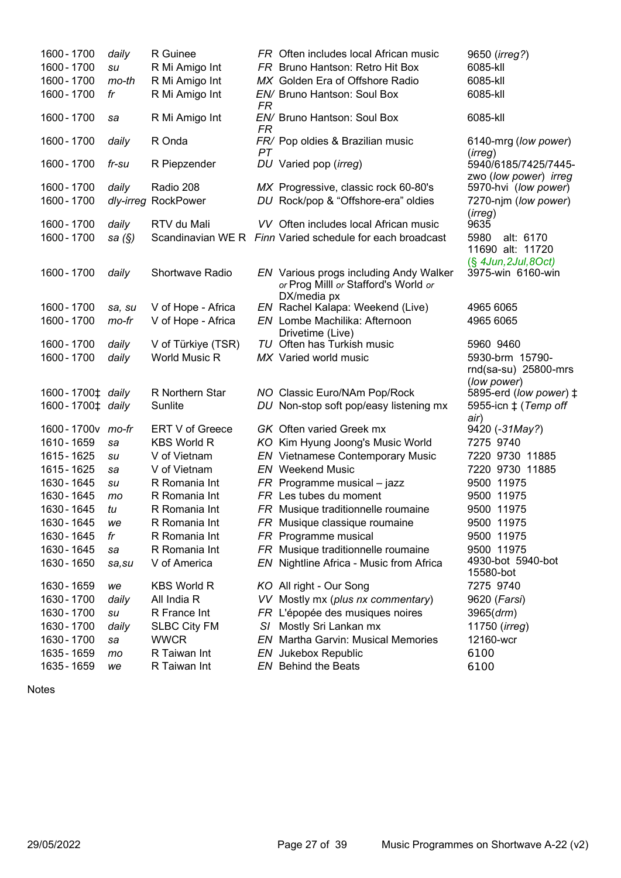| 1600 - 1700                                   | daily     | R Guinee               |           | FR Often includes local African music                                          | 9650 (irreg?)                                                    |
|-----------------------------------------------|-----------|------------------------|-----------|--------------------------------------------------------------------------------|------------------------------------------------------------------|
| 1600 - 1700                                   | su        | R Mi Amigo Int         |           | FR Bruno Hantson: Retro Hit Box                                                | 6085-kll                                                         |
| 1600 - 1700                                   | mo-th     | R Mi Amigo Int         |           | MX Golden Era of Offshore Radio                                                | 6085-kll                                                         |
| 1600 - 1700                                   | fr        | R Mi Amigo Int         | FR        | EN/ Bruno Hantson: Soul Box                                                    | 6085-kll                                                         |
| 1600 - 1700                                   | sa        | R Mi Amigo Int         | <b>FR</b> | EN/ Bruno Hantson: Soul Box                                                    | 6085-kll                                                         |
| 1600 - 1700                                   | daily     | R Onda                 | PT        | FR/ Pop oldies & Brazilian music                                               | 6140-mrg (low power)<br>(irreg)                                  |
| 1600 - 1700                                   | fr-su     | R Piepzender           |           | DU Varied pop (irreg)                                                          | 5940/6185/7425/7445-<br>zwo (low power) irreg                    |
| 1600 - 1700                                   | daily     | Radio 208              |           | MX Progressive, classic rock 60-80's                                           | 5970-hvi (low power)                                             |
| 1600 - 1700                                   | dly-irreg | <b>RockPower</b>       |           | DU Rock/pop & "Offshore-era" oldies                                            | 7270-njm (low power)<br>(irreg)                                  |
| 1600 - 1700                                   | daily     | RTV du Mali            |           | VV Often includes local African music                                          | 9635                                                             |
| 1600 - 1700                                   | sa (§)    |                        |           | Scandinavian WE R Finn Varied schedule for each broadcast                      | 5980<br>alt: 6170<br>11690 alt: 11720<br>$(\S$ 4Jun, 2Jul, 8Oct) |
| 1600 - 1700                                   | daily     | <b>Shortwave Radio</b> |           | EN Various progs including Andy Walker<br>or Prog Milll or Stafford's World or | 3975-win 6160-win                                                |
| 1600 - 1700                                   | sa, su    | V of Hope - Africa     |           | DX/media px<br>EN Rachel Kalapa: Weekend (Live)                                | 4965 6065                                                        |
| 1600 - 1700                                   | mo-fr     | V of Hope - Africa     |           | EN Lombe Machilika: Afternoon                                                  | 4965 6065                                                        |
|                                               |           |                        |           | Drivetime (Live)                                                               |                                                                  |
| 1600 - 1700                                   | daily     | V of Türkiye (TSR)     |           | TU Often has Turkish music                                                     | 5960 9460                                                        |
| 1600 - 1700                                   | daily     | <b>World Music R</b>   |           | MX Varied world music                                                          | 5930-brm 15790-<br>rnd(sa-su) 25800-mrs<br>(low power)           |
| 1600 - 1700 <sup><math>\pm</math></sup> daily |           | R Northern Star        |           | NO Classic Euro/NAm Pop/Rock                                                   | 5895-erd (low power) ‡                                           |
| 1600-1700‡ daily                              |           | Sunlite                |           | DU Non-stop soft pop/easy listening mx                                         | 5955-icn $\ddagger$ (Temp off<br>air)                            |
| 1600 - 1700 v mo-fr                           |           | ERT V of Greece        |           | <b>GK</b> Often varied Greek mx                                                | 9420 (-31May?)                                                   |
| 1610 - 1659                                   | sa        | <b>KBS World R</b>     |           | KO Kim Hyung Joong's Music World                                               | 7275 9740                                                        |
| 1615 - 1625                                   | su        | V of Vietnam           |           | <b>EN</b> Vietnamese Contemporary Music                                        | 7220 9730 11885                                                  |
| 1615 - 1625                                   | sa        | V of Vietnam           |           | <b>EN</b> Weekend Music                                                        | 7220 9730 11885                                                  |
| 1630 - 1645                                   | su        | R Romania Int          |           | $FR$ Programme musical – jazz                                                  | 9500 11975                                                       |
| 1630 - 1645                                   | mo        | R Romania Int          |           | FR Les tubes du moment                                                         | 9500 11975                                                       |
| 1630 - 1645                                   | tu        | R Romania Int          |           | FR Musique traditionnelle roumaine                                             | 9500 11975                                                       |
| 1630 - 1645                                   | we        | R Romania Int          |           | FR Musique classique roumaine                                                  | 9500 11975                                                       |
| 1630 - 1645                                   | fr        | R Romania Int          |           | FR Programme musical                                                           | 9500 11975                                                       |
| 1630 - 1645                                   | sa        | R Romania Int          |           | FR Musique traditionnelle roumaine                                             | 9500 11975                                                       |
| 1630 - 1650                                   | sa, su    | V of America           |           | EN Nightline Africa - Music from Africa                                        | 4930-bot 5940-bot<br>15580-bot                                   |
| 1630 - 1659                                   | we        | <b>KBS World R</b>     |           | KO All right - Our Song                                                        | 7275 9740                                                        |
| 1630 - 1700                                   | daily     | All India R            |           | VV Mostly mx (plus nx commentary)                                              | 9620 (Farsi)                                                     |
| 1630 - 1700                                   | su        | R France Int           |           | FR L'épopée des musiques noires                                                | 3965 (drm)                                                       |
| 1630 - 1700                                   | daily     | <b>SLBC City FM</b>    |           | S/ Mostly Sri Lankan mx                                                        | 11750 (irreg)                                                    |
| 1630 - 1700                                   | sa        | <b>WWCR</b>            |           | <b>EN</b> Martha Garvin: Musical Memories                                      | 12160-wcr                                                        |
| 1635 - 1659                                   | mo        | R Taiwan Int           |           | EN Jukebox Republic                                                            | 6100                                                             |
| 1635 - 1659                                   | we        | R Taiwan Int           |           | <b>EN</b> Behind the Beats                                                     | 6100                                                             |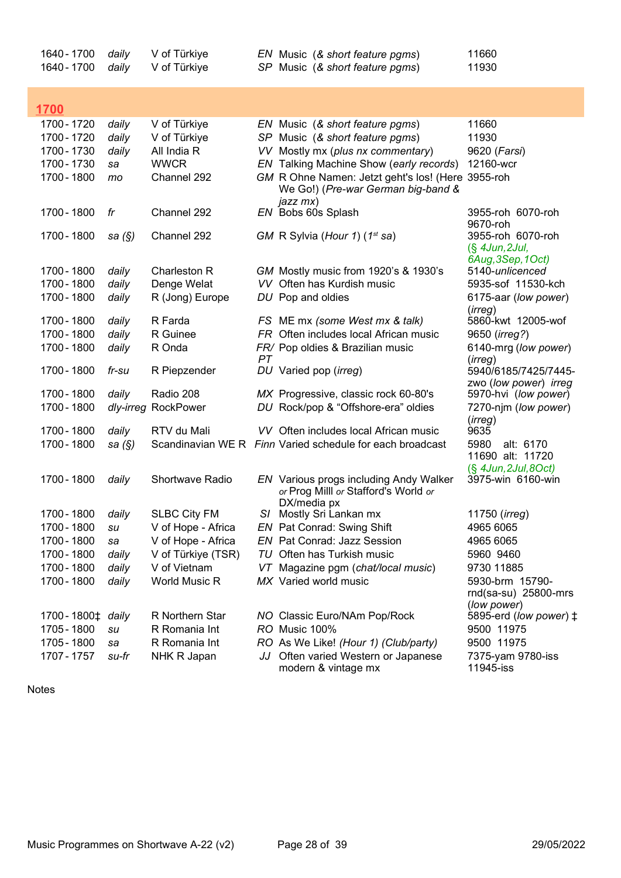| 1640 - 1700<br>1640 - 1700                    | daily<br>daily | V of Türkiye<br>V of Türkiye |    | EN Music (& short feature pgms)<br>SP Music (& short feature pgms)                                  | 11660<br>11930                                              |
|-----------------------------------------------|----------------|------------------------------|----|-----------------------------------------------------------------------------------------------------|-------------------------------------------------------------|
| <b>1700</b>                                   |                |                              |    |                                                                                                     |                                                             |
| 1700 - 1720                                   | daily          | V of Türkiye                 |    | EN Music (& short feature pgms)                                                                     | 11660                                                       |
| 1700 - 1720                                   | daily          | V of Türkiye                 |    | SP Music (& short feature pgms)                                                                     | 11930                                                       |
| 1700 - 1730                                   | daily          | All India R                  |    | VV Mostly mx (plus nx commentary)                                                                   | 9620 (Farsi)                                                |
| 1700 - 1730                                   | sa             | <b>WWCR</b>                  |    | EN Talking Machine Show (early records)                                                             | 12160-wcr                                                   |
| 1700 - 1800                                   | mo             | Channel 292                  |    | GM R Ohne Namen: Jetzt geht's los! (Here 3955-roh<br>We Go!) (Pre-war German big-band &<br>jazz mx) |                                                             |
| 1700 - 1800                                   | fr             | Channel 292                  |    | EN Bobs 60s Splash                                                                                  | 3955-roh 6070-roh<br>9670-roh                               |
| 1700 - 1800                                   | sa $(\S)$      | Channel 292                  |    | GM R Sylvia (Hour 1) (1 <sup>st</sup> sa)                                                           | 3955-roh 6070-roh<br>$(\S$ 4Jun, 2Jul,<br>6Aug, 3Sep, 1Oct) |
| 1700 - 1800                                   | daily          | Charleston R                 |    | GM Mostly music from 1920's & 1930's                                                                | 5140-unlicenced                                             |
| 1700 - 1800                                   | daily          | Denge Welat                  |    | VV Often has Kurdish music                                                                          | 5935-sof 11530-kch                                          |
| 1700 - 1800                                   | daily          | R (Jong) Europe              |    | DU Pop and oldies                                                                                   | 6175-aar (low power)<br>(irreg)                             |
| 1700 - 1800                                   | daily          | R Farda                      |    | FS ME mx (some West mx & talk)                                                                      | 5860-kwt 12005-wof                                          |
| 1700 - 1800                                   | daily          | R Guinee                     |    | FR Often includes local African music                                                               | 9650 ( <i>irreg?</i> )                                      |
| 1700 - 1800                                   | daily          | R Onda                       | PT | FR/ Pop oldies & Brazilian music                                                                    | 6140-mrg (low power)<br>(irreg)                             |
| 1700 - 1800                                   | fr-su          | R Piepzender                 |    | DU Varied pop (irreg)                                                                               | 5940/6185/7425/7445-<br>zwo (low power) irreg               |
| 1700 - 1800                                   | daily          | Radio 208                    |    | MX Progressive, classic rock 60-80's                                                                | 5970-hvi (low power)                                        |
| 1700 - 1800                                   |                | dly-irreg RockPower          |    | DU Rock/pop & "Offshore-era" oldies                                                                 | 7270-njm (low power)<br>(irreg)                             |
| 1700 - 1800                                   | daily          | RTV du Mali                  |    | VV Often includes local African music                                                               | 9635                                                        |
| 1700 - 1800                                   | sa $(\S)$      |                              |    | Scandinavian WE R Finn Varied schedule for each broadcast                                           | 5980<br>alt: 6170<br>11690 alt: 11720                       |
| 1700 - 1800                                   | daily          | Shortwave Radio              |    | EN Various progs including Andy Walker<br>or Prog Milll or Stafford's World or<br>DX/media px       | $(S$ 4Jun, 2Jul, 8Oct)<br>3975-win 6160-win                 |
| 1700 - 1800 daily                             |                | <b>SLBC City FM</b>          |    | S/ Mostly Sri Lankan mx                                                                             | 11750 (irreg)                                               |
| 1700 - 1800                                   | su             | V of Hope - Africa           |    | EN Pat Conrad: Swing Shift                                                                          | 4965 6065                                                   |
| 1700 - 1800                                   | sa             | V of Hope - Africa           |    | EN Pat Conrad: Jazz Session                                                                         | 4965 6065                                                   |
| 1700 - 1800                                   | daily          | V of Türkiye (TSR)           |    | TU Often has Turkish music                                                                          | 5960 9460                                                   |
| 1700 - 1800                                   | daily          | V of Vietnam                 |    | VT Magazine pgm (chat/local music)                                                                  | 9730 11885                                                  |
| 1700 - 1800                                   | daily          | World Music R                |    | MX Varied world music                                                                               | 5930-brm 15790-<br>$rnd(sa-su)$ 25800-mrs<br>(low power)    |
| 1700 - 1800 <sup><math>\pm</math></sup> daily |                | R Northern Star              |    | NO Classic Euro/NAm Pop/Rock                                                                        | 5895-erd (low power) ‡                                      |
| 1705 - 1800                                   | su             | R Romania Int                |    | RO Music 100%                                                                                       | 9500 11975                                                  |
| 1705 - 1800                                   | sa             | R Romania Int                |    | RO As We Like! (Hour 1) (Club/party)                                                                | 9500 11975                                                  |
| 1707 - 1757                                   | su-fr          | NHK R Japan                  |    | JJ Often varied Western or Japanese<br>modern & vintage mx                                          | 7375-yam 9780-iss<br>11945-iss                              |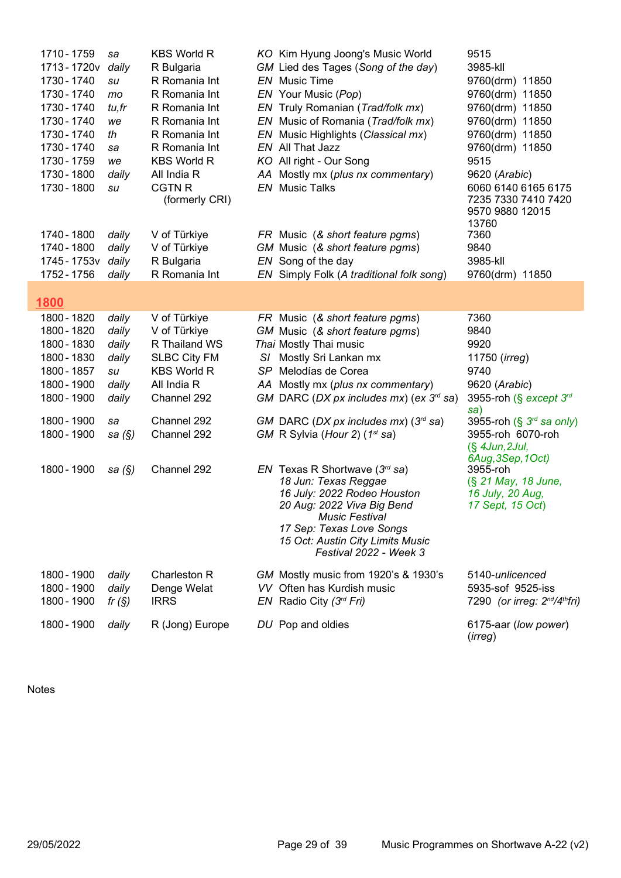| 1710 - 1759<br>1713 - 1720 v<br>1730 - 1740<br>1730 - 1740<br>1730 - 1740<br>1730 - 1740<br>1730 - 1740<br>1730 - 1740<br>1730 - 1759<br>1730 - 1800<br>1730 - 1800<br>1740 - 1800<br>1740 - 1800<br>1745 - 1753 v<br>1752 - 1756 | sa<br>daily<br>su<br>mo<br>tu, fr<br>we<br>th<br>sa<br>we<br>daily<br>su<br>daily<br>daily<br>daily<br>daily | <b>KBS World R</b><br>R Bulgaria<br>R Romania Int<br>R Romania Int<br>R Romania Int<br>R Romania Int<br>R Romania Int<br>R Romania Int<br><b>KBS World R</b><br>All India R<br><b>CGTN R</b><br>(formerly CRI)<br>V of Türkiye<br>V of Türkiye<br>R Bulgaria<br>R Romania Int | KO Kim Hyung Joong's Music World<br>GM Lied des Tages (Song of the day)<br><b>EN</b> Music Time<br>EN Your Music (Pop)<br>EN Truly Romanian (Trad/folk mx)<br>EN Music of Romania (Trad/folk mx)<br>EN Music Highlights (Classical mx)<br>EN All That Jazz<br>KO All right - Our Song<br>AA Mostly mx (plus nx commentary)<br><b>EN</b> Music Talks<br>FR Music (& short feature pgms)<br>GM Music (& short feature pgms)<br>EN Song of the day<br>EN Simply Folk (A traditional folk song)                                                                      | 9515<br>3985-kll<br>9760(drm) 11850<br>9760(drm) 11850<br>9760(drm) 11850<br>9760(drm) 11850<br>9760(drm) 11850<br>9760(drm) 11850<br>9515<br>9620 (Arabic)<br>6060 6140 6165 6175<br>7235 7330 7410 7420<br>9570 9880 12015<br>13760<br>7360<br>9840<br>3985-kll<br>9760(drm) 11850 |
|-----------------------------------------------------------------------------------------------------------------------------------------------------------------------------------------------------------------------------------|--------------------------------------------------------------------------------------------------------------|-------------------------------------------------------------------------------------------------------------------------------------------------------------------------------------------------------------------------------------------------------------------------------|------------------------------------------------------------------------------------------------------------------------------------------------------------------------------------------------------------------------------------------------------------------------------------------------------------------------------------------------------------------------------------------------------------------------------------------------------------------------------------------------------------------------------------------------------------------|--------------------------------------------------------------------------------------------------------------------------------------------------------------------------------------------------------------------------------------------------------------------------------------|
| 1800                                                                                                                                                                                                                              |                                                                                                              |                                                                                                                                                                                                                                                                               |                                                                                                                                                                                                                                                                                                                                                                                                                                                                                                                                                                  |                                                                                                                                                                                                                                                                                      |
| 1800 - 1820<br>1800 - 1820<br>1800 - 1830<br>1800 - 1830<br>1800 - 1857<br>1800 - 1900<br>1800 - 1900<br>1800 - 1900<br>1800 - 1900<br>1800 - 1900                                                                                | daily<br>daily<br>daily<br>daily<br>su<br>daily<br>daily<br>sa<br>sa $(\S)$<br>sa $(\S)$                     | V of Türkiye<br>V of Türkiye<br>R Thailand WS<br><b>SLBC City FM</b><br><b>KBS World R</b><br>All India R<br>Channel 292<br>Channel 292<br>Channel 292<br>Channel 292                                                                                                         | FR Music (& short feature pgms)<br>GM Music (& short feature pgms)<br>Thai Mostly Thai music<br>S/ Mostly Sri Lankan mx<br>SP Melodías de Corea<br>AA Mostly mx (plus nx commentary)<br>GM DARC (DX px includes mx) (ex $3^{\prime\prime}$ sa)<br>GM DARC (DX px includes mx) $(3^{rd}$ sa)<br>GM R Sylvia (Hour 2) (1st sa)<br>EN Texas R Shortwave $(3rd$ sa)<br>18 Jun: Texas Reggae<br>16 July: 2022 Rodeo Houston<br>20 Aug: 2022 Viva Big Bend<br>Music Festival<br>17 Sep: Texas Love Songs<br>15 Oct: Austin City Limits Music<br>Festival 2022 - Week 3 | 7360<br>9840<br>9920<br>11750 (irreg)<br>9740<br>9620 (Arabic)<br>3955-roh (§ except 3rd<br>sa)<br>3955-roh (§ 3 <sup>rd</sup> sa only)<br>3955-roh 6070-roh<br>$(\S$ 4Jun, 2Jul,<br>6Aug, 3Sep, 1Oct)<br>3955-roh<br>(§ 21 May, 18 June,<br>16 July, 20 Aug,<br>17 Sept, 15 Oct)    |
| 1800 - 1900<br>1800 - 1900<br>1800 - 1900                                                                                                                                                                                         | daily<br>daily<br>fr $(S)$                                                                                   | Charleston R<br>Denge Welat<br><b>IRRS</b>                                                                                                                                                                                                                                    | GM Mostly music from 1920's & 1930's<br>VV Often has Kurdish music<br>EN Radio City $(3^{rd} Fri)$                                                                                                                                                                                                                                                                                                                                                                                                                                                               | 5140-unlicenced<br>5935-sof 9525-iss<br>7290 (or irreg: 2 <sup>nd</sup> /4 <sup>th</sup> fri)                                                                                                                                                                                        |
| 1800 - 1900                                                                                                                                                                                                                       | daily                                                                                                        | R (Jong) Europe                                                                                                                                                                                                                                                               | DU Pop and oldies                                                                                                                                                                                                                                                                                                                                                                                                                                                                                                                                                | 6175-aar (low power)<br>(irreg)                                                                                                                                                                                                                                                      |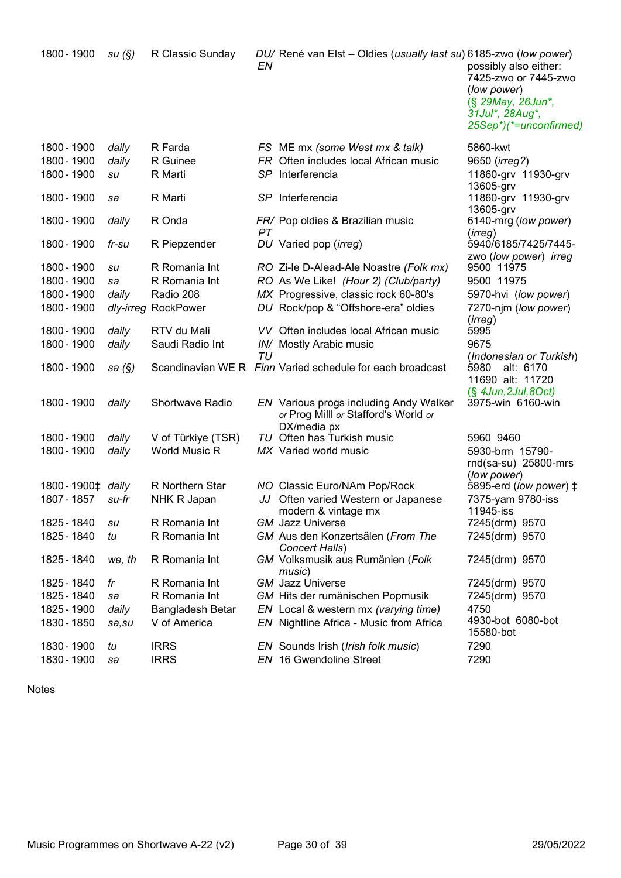| 1800 - 1900                  | su(S)     | R Classic Sunday    | ΕN  | DU/ René van Elst – Oldies (usually last su) 6185-zwo (low power)                             | possibly also either:<br>7425-zwo or 7445-zwo<br>(low power)<br>(§ 29May, 26Jun*,<br>31Jul*, 28Aug*,<br>25Sep*)(*=unconfirmed) |
|------------------------------|-----------|---------------------|-----|-----------------------------------------------------------------------------------------------|--------------------------------------------------------------------------------------------------------------------------------|
| 1800 - 1900                  | daily     | R Farda             |     | FS ME mx (some West mx & talk)                                                                | 5860-kwt                                                                                                                       |
| 1800 - 1900                  | daily     | R Guinee            |     | FR Often includes local African music                                                         | 9650 (irreg?)                                                                                                                  |
| 1800 - 1900                  | su        | R Marti             | SP. | Interferencia                                                                                 | 11860-grv 11930-grv                                                                                                            |
|                              |           |                     |     |                                                                                               | 13605-grv                                                                                                                      |
| 1800 - 1900                  | sa        | R Marti             |     | SP Interferencia                                                                              | 11860-grv 11930-grv<br>13605-grv                                                                                               |
| 1800 - 1900                  | daily     | R Onda              | PT. | FR/ Pop oldies & Brazilian music                                                              | 6140-mrg (low power)<br>(irreg)                                                                                                |
| 1800 - 1900                  | fr-su     | R Piepzender        |     | DU Varied pop (irreg)                                                                         | 5940/6185/7425/7445-                                                                                                           |
|                              |           |                     |     |                                                                                               | zwo (low power) irreg                                                                                                          |
| 1800 - 1900                  | su        | R Romania Int       |     | RO Zi-le D-Alead-Ale Noastre (Folk mx)                                                        | 9500 11975                                                                                                                     |
| 1800 - 1900                  | sa        | R Romania Int       |     | RO As We Like! (Hour 2) (Club/party)                                                          | 9500 11975                                                                                                                     |
| 1800 - 1900                  | daily     | Radio 208           |     | MX Progressive, classic rock 60-80's                                                          | 5970-hvi (low power)                                                                                                           |
| 1800 - 1900                  |           | dly-irreg RockPower |     | DU Rock/pop & "Offshore-era" oldies                                                           | 7270-njm (low power)                                                                                                           |
| 1800 - 1900                  | daily     | RTV du Mali         |     | VV Often includes local African music                                                         | (irreg)<br>5995                                                                                                                |
| 1800 - 1900                  |           | Saudi Radio Int     |     |                                                                                               | 9675                                                                                                                           |
|                              | daily     |                     | TU  | IN/ Mostly Arabic music                                                                       | (Indonesian or Turkish)                                                                                                        |
| 1800 - 1900                  | sa $(\S)$ |                     |     | Scandinavian WE R Finn Varied schedule for each broadcast                                     | 5980<br>alt: 6170<br>11690 alt: 11720                                                                                          |
| 1800 - 1900                  | daily     | Shortwave Radio     |     | EN Various progs including Andy Walker<br>or Prog Milll or Stafford's World or<br>DX/media px | $(\S$ 4Jun, 2Jul, 8Oct)<br>3975-win 6160-win                                                                                   |
| 1800 - 1900                  | daily     | V of Türkiye (TSR)  |     | TU Often has Turkish music                                                                    | 5960 9460                                                                                                                      |
| 1800 - 1900                  | daily     | World Music R       |     | MX Varied world music                                                                         | 5930-brm 15790-                                                                                                                |
|                              |           |                     |     |                                                                                               | rnd(sa-su) 25800-mrs                                                                                                           |
|                              |           |                     |     |                                                                                               | (low power)                                                                                                                    |
| 1800-1900 <sup>±</sup> daily |           | R Northern Star     |     | NO Classic Euro/NAm Pop/Rock                                                                  | 5895-erd (low power) ‡                                                                                                         |
| 1807 - 1857                  | su-fr     | NHK R Japan         |     | JJ Often varied Western or Japanese                                                           | 7375-yam 9780-iss                                                                                                              |
| 1825 - 1840                  | su        | R Romania Int       |     | modern & vintage mx<br><b>GM</b> Jazz Universe                                                | 11945-iss<br>7245(drm) 9570                                                                                                    |
| 1825 - 1840                  | tu        | R Romania Int       |     | GM Aus den Konzertsälen (From The                                                             | 7245(drm) 9570                                                                                                                 |
|                              |           |                     |     | Concert Halls)                                                                                |                                                                                                                                |
| 1825 - 1840                  | we, th    | R Romania Int       |     | GM Volksmusik aus Rumänien (Folk<br>music)                                                    | 7245(drm) 9570                                                                                                                 |
| 1825 - 1840                  | fr        | R Romania Int       |     | <b>GM</b> Jazz Universe                                                                       | 7245(drm) 9570                                                                                                                 |
| 1825 - 1840                  | sa        | R Romania Int       |     | GM Hits der rumänischen Popmusik                                                              | 7245(drm) 9570                                                                                                                 |
| 1825 - 1900                  | daily     | Bangladesh Betar    |     | EN Local & western mx (varying time)                                                          | 4750                                                                                                                           |
| 1830 - 1850                  | sa, su    | V of America        |     | EN Nightline Africa - Music from Africa                                                       | 4930-bot 6080-bot<br>15580-bot                                                                                                 |
| 1830 - 1900                  | tu        | <b>IRRS</b>         |     | EN Sounds Irish ( <i>Irish folk music</i> )                                                   | 7290                                                                                                                           |
| 1830 - 1900                  | sa        | <b>IRRS</b>         |     | EN 16 Gwendoline Street                                                                       | 7290                                                                                                                           |
|                              |           |                     |     |                                                                                               |                                                                                                                                |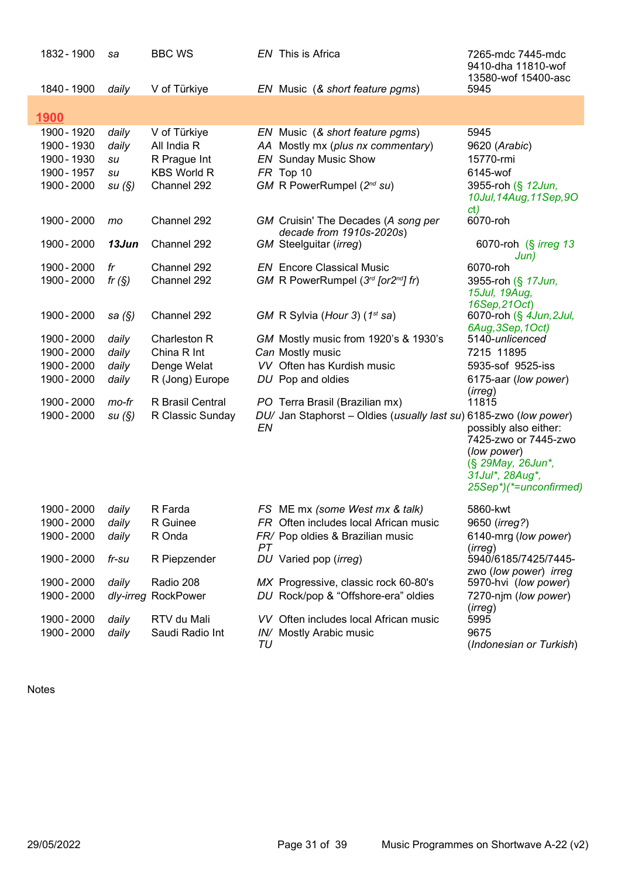| 1832 - 1900 | sa        | <b>BBC WS</b>      |    | EN This is Africa                                                 | 7265-mdc 7445-mdc<br>9410-dha 11810-wof<br>13580-wof 15400-asc                                                                              |
|-------------|-----------|--------------------|----|-------------------------------------------------------------------|---------------------------------------------------------------------------------------------------------------------------------------------|
| 1840 - 1900 | daily     | V of Türkiye       |    | EN Music (& short feature pgms)                                   | 5945                                                                                                                                        |
| <u>1900</u> |           |                    |    |                                                                   |                                                                                                                                             |
| 1900 - 1920 | daily     | V of Türkiye       |    | EN Music (& short feature pgms)                                   | 5945                                                                                                                                        |
| 1900 - 1930 | daily     | All India R        |    | AA Mostly mx (plus nx commentary)                                 | 9620 (Arabic)                                                                                                                               |
| 1900 - 1930 | su        | R Prague Int       |    | <b>EN</b> Sunday Music Show                                       | 15770-rmi                                                                                                                                   |
| 1900 - 1957 | su        | <b>KBS World R</b> |    | FR Top 10                                                         | 6145-wof                                                                                                                                    |
| 1900 - 2000 | su(S)     | Channel 292        |    | GM R PowerRumpel (2nd su)                                         | 3955-roh (§ 12Jun,<br>10Jul, 14Aug, 11Sep, 9O<br>ct)                                                                                        |
| 1900 - 2000 | mo        | Channel 292        |    | GM Cruisin' The Decades (A song per<br>decade from 1910s-2020s)   | 6070-roh                                                                                                                                    |
| 1900 - 2000 | 13Jun     | Channel 292        |    | GM Steelguitar (irreg)                                            | 6070-roh (§ <i>irreg 13</i><br>Jun)                                                                                                         |
| 1900 - 2000 | fr        | Channel 292        |    | <b>EN</b> Encore Classical Music                                  | 6070-roh                                                                                                                                    |
| 1900 - 2000 | fr $(S)$  | Channel 292        |    | GM R PowerRumpel $(3rd$ [or2 <sup>nd</sup> ] fr)                  | 3955-roh (§ 17Jun,<br>15Jul, 19Aug,                                                                                                         |
|             |           |                    |    |                                                                   | 16Sep, 21Oct)                                                                                                                               |
| 1900 - 2000 | sa (§)    | Channel 292        |    | GM R Sylvia (Hour 3) (1 <sup>st</sup> sa)                         | 6070-roh (§ 4Jun, 2Jul,<br>6Aug, 3Sep, 1Oct)                                                                                                |
| 1900 - 2000 | daily     | Charleston R       |    | GM Mostly music from 1920's & 1930's                              | 5140-unlicenced                                                                                                                             |
| 1900 - 2000 | daily     | China R Int        |    | Can Mostly music                                                  | 7215 11895                                                                                                                                  |
| 1900 - 2000 | daily     | Denge Welat        |    | VV Often has Kurdish music                                        | 5935-sof 9525-iss                                                                                                                           |
| 1900 - 2000 | daily     | R (Jong) Europe    |    | DU Pop and oldies                                                 | 6175-aar (low power)<br>( <i>irreg</i> )                                                                                                    |
| 1900 - 2000 | mo-fr     | R Brasil Central   |    | PO Terra Brasil (Brazilian mx)                                    | 11815                                                                                                                                       |
| 1900 - 2000 | su(S)     | R Classic Sunday   | EN | DU/ Jan Staphorst - Oldies (usually last su) 6185-zwo (low power) | possibly also either:<br>7425-zwo or 7445-zwo<br>(low power)<br>(§ 29May, 26Jun*,<br>31Jul*, 28Aug*,<br>25Sep <sup>*</sup> )(*=unconfirmed) |
| 1900 - 2000 | daily     | R Farda            |    | FS ME mx (some West mx & talk)                                    | 5860-kwt                                                                                                                                    |
| 1900 - 2000 | daily     | R Guinee           |    | FR Often includes local African music                             | 9650 ( <i>irreg?</i> )                                                                                                                      |
| 1900 - 2000 | daily     | R Onda             | PT | FR/ Pop oldies & Brazilian music                                  | 6140-mrg (low power)<br>(irreg)                                                                                                             |
| 1900 - 2000 | fr-su     | R Piepzender       |    | DU Varied pop (irreg)                                             | 5940/6185/7425/7445-<br>zwo (low power) irreg                                                                                               |
| 1900 - 2000 | daily     | Radio 208          |    | MX Progressive, classic rock 60-80's                              | 5970-hvi (low power)                                                                                                                        |
| 1900 - 2000 | dly-irreg | RockPower          |    | DU Rock/pop & "Offshore-era" oldies                               | 7270-njm (low power)<br>(irreg)                                                                                                             |
| 1900 - 2000 | daily     | RTV du Mali        |    | VV Often includes local African music                             | 5995                                                                                                                                        |
| 1900 - 2000 | daily     | Saudi Radio Int    |    | IN/ Mostly Arabic music                                           | 9675                                                                                                                                        |
|             |           |                    | TU |                                                                   | (Indonesian or Turkish)                                                                                                                     |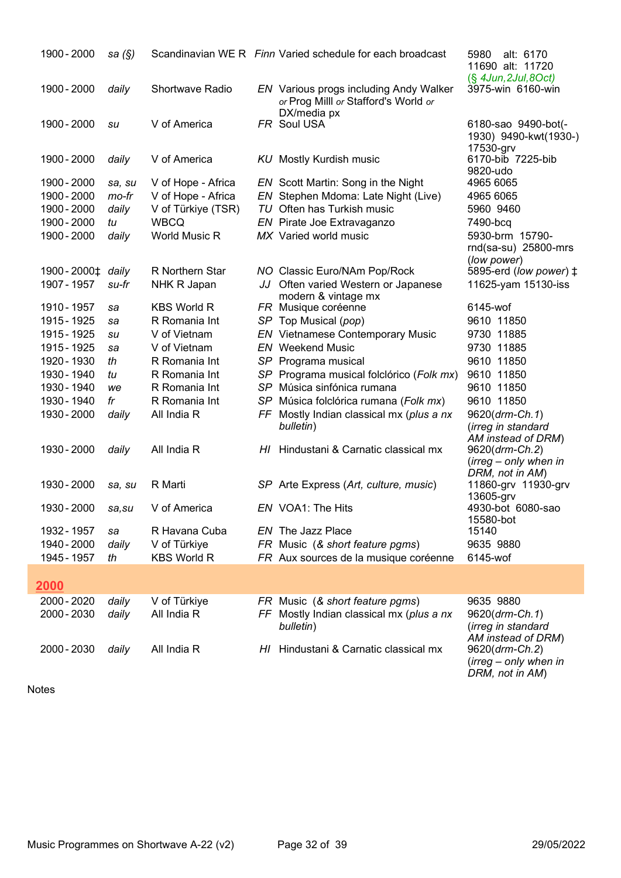| 1900 - 2000  | sa $(\S)$ |                        | Scandinavian WE R Finn Varied schedule for each broadcast                             | alt: 6170<br>5980<br>11690 alt: 11720                  |
|--------------|-----------|------------------------|---------------------------------------------------------------------------------------|--------------------------------------------------------|
| 1900 - 2000  | daily     | <b>Shortwave Radio</b> | <b>EN</b> Various progs including Andy Walker<br>or Prog Milll or Stafford's World or | $(\S$ 4Jun, 2Jul, 8Oct)<br>3975-win 6160-win           |
| 1900 - 2000  | su        | V of America           | DX/media px<br>FR Soul USA                                                            | 6180-sao 9490-bot(-<br>1930) 9490-kwt(1930-)           |
| 1900 - 2000  | daily     | V of America           | <b>KU</b> Mostly Kurdish music                                                        | 17530-grv<br>6170-bib 7225-bib<br>9820-udo             |
| 1900 - 2000  | sa, su    | V of Hope - Africa     | EN Scott Martin: Song in the Night                                                    | 4965 6065                                              |
| 1900 - 2000  | mo-fr     | V of Hope - Africa     | EN Stephen Mdoma: Late Night (Live)                                                   | 4965 6065                                              |
| 1900 - 2000  | daily     | V of Türkiye (TSR)     | TU Often has Turkish music                                                            | 5960 9460                                              |
| 1900 - 2000  | tu        | <b>WBCQ</b>            | EN Pirate Joe Extravaganzo                                                            | 7490-bcq                                               |
| 1900 - 2000  | daily     | World Music R          | MX Varied world music                                                                 | 5930-brm 15790-<br>rnd(sa-su) 25800-mrs<br>(low power) |
| 1900 - 2000‡ | daily     | R Northern Star        | NO Classic Euro/NAm Pop/Rock                                                          | 5895-erd (low power) ‡                                 |
| 1907 - 1957  | su-fr     | NHK R Japan            | JJ Often varied Western or Japanese                                                   | 11625-yam 15130-iss                                    |
|              |           |                        | modern & vintage mx                                                                   |                                                        |
| 1910 - 1957  | sa        | <b>KBS World R</b>     | FR Musique coréenne                                                                   | 6145-wof                                               |
| 1915 - 1925  | sa        | R Romania Int          | SP Top Musical (pop)                                                                  | 9610 11850                                             |
| 1915 - 1925  | su        | V of Vietnam           | <b>EN</b> Vietnamese Contemporary Music                                               | 9730 11885                                             |
| 1915 - 1925  | sa        | V of Vietnam           | <b>EN</b> Weekend Music                                                               | 9730 11885                                             |
| 1920 - 1930  | th        | R Romania Int          | SP Programa musical                                                                   | 9610 11850                                             |
| 1930 - 1940  | tu        | R Romania Int          | SP Programa musical folclórico (Folk mx)                                              | 9610 11850                                             |
| 1930 - 1940  | we        | R Romania Int          | SP Música sinfónica rumana                                                            | 9610 11850                                             |
| 1930 - 1940  | fr        | R Romania Int          | SP Música folclórica rumana (Folk mx)                                                 | 9610 11850                                             |
| 1930 - 2000  | daily     | All India R            | FF Mostly Indian classical mx (plus a nx                                              | 9620(drm-Ch.1)                                         |
|              |           |                        | bulletin)                                                                             | (irreg in standard                                     |
|              |           |                        |                                                                                       | AM instead of DRM)                                     |
| 1930 - 2000  | daily     | All India R            | HI Hindustani & Carnatic classical mx                                                 | 9620(drm-Ch.2)                                         |
|              |           |                        |                                                                                       | $(irreg - only when in$                                |
| 1930 - 2000  | sa, su    | R Marti                | SP Arte Express (Art, culture, music)                                                 | DRM, not in AM)<br>11860-grv 11930-grv                 |
|              |           |                        |                                                                                       | 13605-grv                                              |
| 1930 - 2000  | sa,su     | V of America           | EN VOA1: The Hits                                                                     | 4930-bot 6080-sao                                      |
|              |           |                        |                                                                                       | 15580-bot                                              |
| 1932 - 1957  | sa        | R Havana Cuba          | <b>EN</b> The Jazz Place                                                              | 15140                                                  |
| 1940 - 2000  | daily     | V of Türkiye           | FR Music (& short feature pgms)                                                       | 9635 9880                                              |
| 1945 - 1957  | th        | <b>KBS World R</b>     | FR Aux sources de la musique coréenne                                                 | 6145-wof                                               |
| 2000         |           |                        |                                                                                       |                                                        |
| 2000 - 2020  | daily     | V of Türkiye           | FR Music (& short feature pgms)                                                       | 9635 9880                                              |
| 2000 - 2030  | daily     | All India R            | FF Mostly Indian classical mx (plus a nx                                              | 9620(drm-Ch.1)                                         |
|              |           |                        | bulletin)                                                                             | (irreg in standard                                     |
| 2000 - 2030  | daily     | All India R            | HI Hindustani & Carnatic classical mx                                                 | AM instead of DRM)<br>9620(drm-Ch.2)                   |
|              |           |                        |                                                                                       | $(irreg - only when in$                                |
|              |           |                        |                                                                                       | DRM, not in AM)                                        |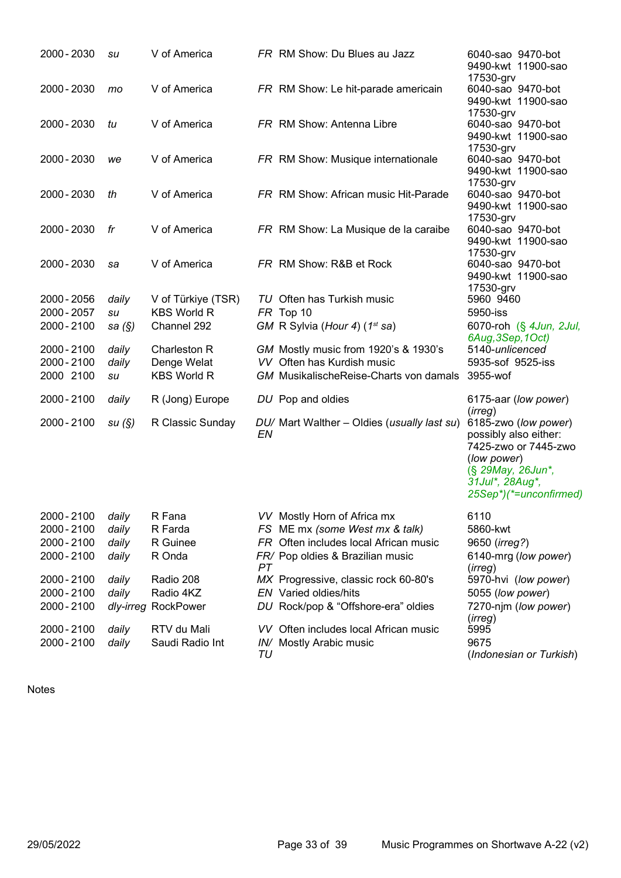| 2000 - 2030 | su     | V of America        |    | FR RM Show: Du Blues au Jazz                  | 6040-sao 9470-bot<br>9490-kwt 11900-sao                                                                                                                |
|-------------|--------|---------------------|----|-----------------------------------------------|--------------------------------------------------------------------------------------------------------------------------------------------------------|
| 2000 - 2030 | mo     | V of America        |    | FR RM Show: Le hit-parade americain           | 17530-grv<br>6040-sao 9470-bot<br>9490-kwt 11900-sao                                                                                                   |
| 2000 - 2030 | tu     | V of America        |    | FR RM Show: Antenna Libre                     | 17530-grv<br>6040-sao 9470-bot<br>9490-kwt 11900-sao                                                                                                   |
| 2000 - 2030 | we     | V of America        |    | FR RM Show: Musique internationale            | 17530-grv<br>6040-sao 9470-bot<br>9490-kwt 11900-sao                                                                                                   |
| 2000 - 2030 | th     | V of America        |    | FR RM Show: African music Hit-Parade          | 17530-grv<br>6040-sao 9470-bot<br>9490-kwt 11900-sao                                                                                                   |
| 2000 - 2030 | fr     | V of America        |    | FR RM Show: La Musique de la caraibe          | 17530-grv<br>6040-sao 9470-bot<br>9490-kwt 11900-sao                                                                                                   |
| 2000 - 2030 | sa     | V of America        |    | FR RM Show: R&B et Rock                       | 17530-grv<br>6040-sao 9470-bot<br>9490-kwt 11900-sao<br>17530-grv                                                                                      |
| 2000 - 2056 | daily  | V of Türkiye (TSR)  |    | TU Often has Turkish music                    | 5960 9460                                                                                                                                              |
| 2000 - 2057 | su     | <b>KBS World R</b>  |    | FR Top 10                                     | 5950-iss                                                                                                                                               |
| 2000 - 2100 | sa (§) | Channel 292         |    | GM R Sylvia (Hour 4) (1 <sup>st</sup> sa)     | 6070-roh (§ 4Jun, 2Jul,                                                                                                                                |
|             |        |                     |    |                                               | 6Aug, 3Sep, 1Oct)                                                                                                                                      |
| 2000 - 2100 | daily  | Charleston R        |    | GM Mostly music from 1920's & 1930's          | 5140-unlicenced                                                                                                                                        |
| 2000 - 2100 | daily  | Denge Welat         |    | VV Often has Kurdish music                    | 5935-sof 9525-iss                                                                                                                                      |
| 2000 2100   | su     | <b>KBS World R</b>  |    | <b>GM</b> MusikalischeReise-Charts von damals | 3955-wof                                                                                                                                               |
| 2000 - 2100 | daily  | R (Jong) Europe     |    | DU Pop and oldies                             | 6175-aar (low power)                                                                                                                                   |
|             |        |                     |    |                                               | (irreg)                                                                                                                                                |
| 2000 - 2100 | su(S)  | R Classic Sunday    | EN | DU/ Mart Walther - Oldies (usually last su)   | 6185-zwo (low power)<br>possibly also either:<br>7425-zwo or 7445-zwo<br>(low power)<br>(§ 29May, 26Jun*,<br>31Jul*, 28Aug*,<br>25Sep*)(*=unconfirmed) |
| 2000 - 2100 | daily  | R Fana              |    | VV Mostly Horn of Africa mx                   | 6110                                                                                                                                                   |
| 2000 - 2100 | daily  | R Farda             |    | FS ME mx (some West mx & talk)                | 5860-kwt                                                                                                                                               |
| 2000 - 2100 | daily  | R Guinee            |    | FR Often includes local African music         | 9650 ( <i>irreg?</i> )                                                                                                                                 |
| 2000 - 2100 | daily  | R Onda              | PT | FR/ Pop oldies & Brazilian music              | 6140-mrg (low power)<br>(irreg)                                                                                                                        |
| 2000 - 2100 | daily  | Radio 208           |    | MX Progressive, classic rock 60-80's          | 5970-hvi (low power)                                                                                                                                   |
| 2000 - 2100 | daily  | Radio 4KZ           |    | <b>EN</b> Varied oldies/hits                  | 5055 (low power)                                                                                                                                       |
| 2000 - 2100 |        | dly-irreg RockPower |    | DU Rock/pop & "Offshore-era" oldies           | 7270-njm (low power)                                                                                                                                   |
|             |        |                     |    |                                               |                                                                                                                                                        |

- 2000 2100 dly-irreg RockPower DU Rock/pop & "Offshore-era" oldies
- 2000 2100 *daily* RTV du Mali VV Often includes local African music 2000 2100 *daily* Saudi Radio Int *IN/* Mostly Arabic music
- 2000 2100 daily Saudi Radio Int IN/ Mostly Arabic music
	- TU

(*irreg*)<br>5995

9675

(Indonesian or Turkish)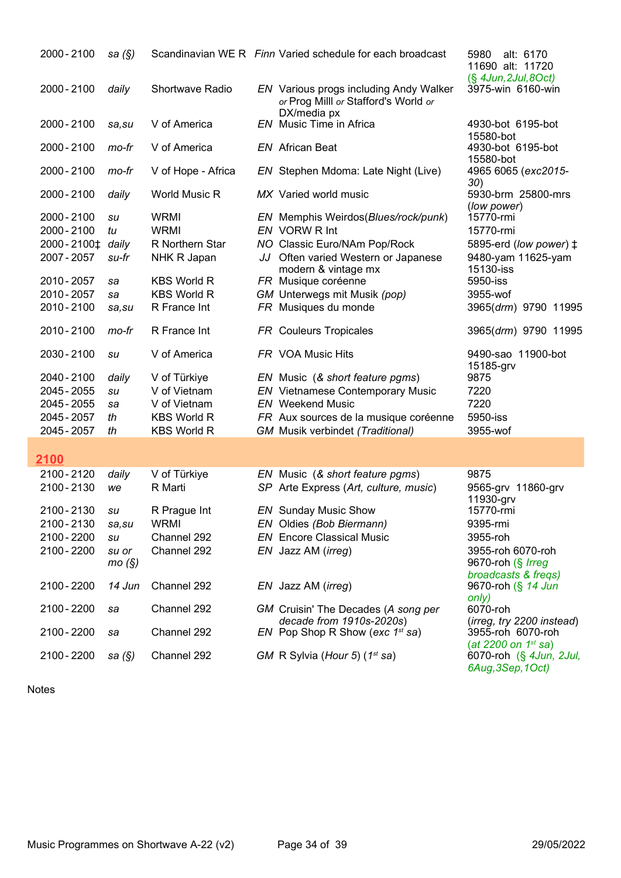| 2000 - 2100      | sa $(\S)$      |                    | Scandinavian WE R Finn Varied schedule for each broadcast                      | 5980<br>alt: 6170<br>11690 alt: 11720              |
|------------------|----------------|--------------------|--------------------------------------------------------------------------------|----------------------------------------------------|
| 2000 - 2100      | daily          | Shortwave Radio    | EN Various progs including Andy Walker<br>or Prog Milll or Stafford's World or | $(S$ 4Jun, 2Jul, 8Oct)<br>3975-win 6160-win        |
| 2000 - 2100      | sa, su         | V of America       | DX/media px<br><b>EN</b> Music Time in Africa                                  | 4930-bot 6195-bot                                  |
| 2000 - 2100      | mo-fr          | V of America       | <b>EN</b> African Beat                                                         | 15580-bot<br>4930-bot 6195-bot                     |
| 2000 - 2100      | mo-fr          | V of Hope - Africa | EN Stephen Mdoma: Late Night (Live)                                            | 15580-bot<br>4965 6065 (exc2015-                   |
| 2000 - 2100      | daily          | World Music R      | MX Varied world music                                                          | 30)<br>5930-brm 25800-mrs                          |
| 2000 - 2100      | su             | <b>WRMI</b>        | EN Memphis Weirdos (Blues/rock/punk)                                           | (low power)<br>15770-rmi                           |
| 2000 - 2100      | tu             | <b>WRMI</b>        | EN VORW R Int                                                                  | 15770-rmi                                          |
|                  |                |                    |                                                                                |                                                    |
| 2000-2100‡ daily |                | R Northern Star    | NO Classic Euro/NAm Pop/Rock                                                   | 5895-erd (low power) $\ddagger$                    |
| 2007 - 2057      | su-fr          | NHK R Japan        | JJ Often varied Western or Japanese                                            | 9480-yam 11625-yam                                 |
|                  |                |                    | modern & vintage mx                                                            | 15130-iss                                          |
| 2010 - 2057      | sa             | <b>KBS World R</b> | FR Musique coréenne                                                            | 5950-iss                                           |
| 2010 - 2057      | sa             | <b>KBS World R</b> | GM Unterwegs mit Musik (pop)                                                   | 3955-wof                                           |
| 2010 - 2100      | sa, su         | R France Int       | FR Musiques du monde                                                           | 3965(drm) 9790 11995                               |
|                  |                |                    |                                                                                |                                                    |
| 2010 - 2100      | mo-fr          | R France Int       | <b>FR</b> Couleurs Tropicales                                                  | 3965(drm) 9790 11995                               |
| 2030 - 2100      | su             | V of America       | FR VOA Music Hits                                                              | 9490-sao 11900-bot<br>15185-grv                    |
| 2040 - 2100      | daily          | V of Türkiye       | EN Music (& short feature pgms)                                                | 9875                                               |
| 2045 - 2055      | su             | V of Vietnam       | EN Vietnamese Contemporary Music                                               | 7220                                               |
|                  |                | V of Vietnam       | <b>EN</b> Weekend Music                                                        | 7220                                               |
| 2045 - 2055      | sa             |                    |                                                                                |                                                    |
| 2045 - 2057      | th             | <b>KBS World R</b> | FR Aux sources de la musique coréenne                                          | 5950-iss                                           |
| 2045 - 2057      | th             | <b>KBS World R</b> | <b>GM Musik verbindet (Traditional)</b>                                        | 3955-wof                                           |
| 2100             |                |                    |                                                                                |                                                    |
| 2100 - 2120      | daily          | V of Türkiye       | EN Music (& short feature pgms)                                                | 9875                                               |
| 2100 - 2130      | we             | R Marti            | SP Arte Express (Art, culture, music)                                          | 9565-grv 11860-grv                                 |
|                  |                |                    |                                                                                | 11930-grv                                          |
| 2100 - 2130      | su             | R Prague Int       | EN Sunday Music Show                                                           | 15770-rmi                                          |
| 2100 - 2130      |                | <b>WRMI</b>        |                                                                                | 9395-rmi                                           |
|                  | sa,su          |                    | EN Oldies (Bob Biermann)                                                       |                                                    |
| 2100 - 2200      | su             | Channel 292        | <b>EN</b> Encore Classical Music                                               | 3955-roh                                           |
| 2100 - 2200      | su or<br>mo(S) | Channel 292        | EN Jazz AM (irreg)                                                             | 3955-roh 6070-roh<br>9670-roh (§ <i>Irreg</i>      |
| 2100 - 2200      | 14 Jun         | Channel 292        | EN Jazz AM ( <i>irreg</i> )                                                    | broadcasts & freqs)<br>9670-roh (§ 14 Jun<br>only) |
| 2100 - 2200      | sa             | Channel 292        | GM Cruisin' The Decades (A song per<br>decade from 1910s-2020s)                | 6070-roh<br>(irreg, try 2200 instead)              |
| 2100 - 2200      | sa             | Channel 292        | EN Pop Shop R Show (exc $1^{st}$ sa)                                           | 3955-roh 6070-roh<br>(at 2200 on $1^{st}$ sa)      |
| 2100 - 2200      | sa $(\S)$      | Channel 292        | GM R Sylvia (Hour 5) (1 <sup>st</sup> sa)                                      | 6070-roh (§ 4Jun, 2Jul,<br>6Aug, 3Sep, 1Oct)       |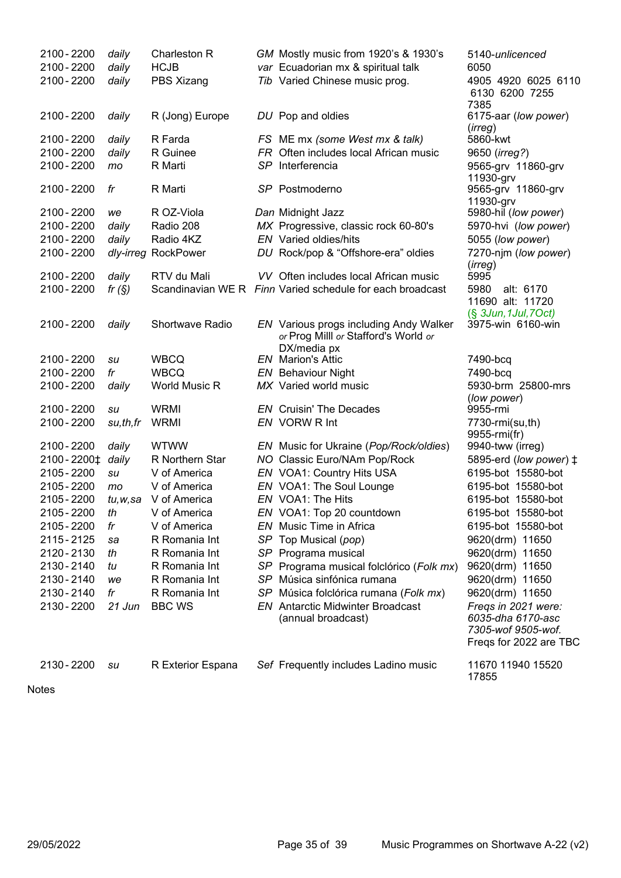| 2100 - 2200<br>2100 - 2200 | daily<br>daily | Charleston R<br><b>HCJB</b> |    | GM Mostly music from 1920's & 1930's<br>var Ecuadorian mx & spiritual talk     | 5140-unlicenced<br>6050                                                                  |
|----------------------------|----------------|-----------------------------|----|--------------------------------------------------------------------------------|------------------------------------------------------------------------------------------|
| 2100 - 2200                | daily          | PBS Xizang                  |    | Tib Varied Chinese music prog.                                                 | 4905 4920 6025 6110<br>6130 6200 7255                                                    |
| 2100 - 2200                | daily          | R (Jong) Europe             |    | DU Pop and oldies                                                              | 7385<br>6175-aar (low power)<br>(irreg)                                                  |
| 2100 - 2200                | daily          | R Farda                     |    | FS ME mx (some West mx & talk)                                                 | 5860-kwt                                                                                 |
| 2100 - 2200                | daily          | R Guinee                    |    | FR Often includes local African music                                          | 9650 (irreg?)                                                                            |
| 2100 - 2200                | mo             | R Marti                     |    | SP Interferencia                                                               | 9565-grv 11860-grv<br>11930-grv                                                          |
| 2100 - 2200                | fr             | R Marti                     |    | SP Postmoderno                                                                 | 9565-grv 11860-grv<br>11930-grv                                                          |
| 2100 - 2200                | we             | R OZ-Viola                  |    | Dan Midnight Jazz                                                              | 5980-hil (low power)                                                                     |
| 2100 - 2200                | daily          | Radio 208                   |    | MX Progressive, classic rock 60-80's                                           | 5970-hvi (low power)                                                                     |
| 2100 - 2200                | daily          | Radio 4KZ                   |    | <b>EN</b> Varied oldies/hits                                                   | 5055 (low power)                                                                         |
| 2100 - 2200                |                | dly-irreg RockPower         |    | DU Rock/pop & "Offshore-era" oldies                                            | 7270-njm (low power)<br>(irreg)                                                          |
| 2100 - 2200                | daily          | RTV du Mali                 |    | VV Often includes local African music                                          | 5995                                                                                     |
| 2100 - 2200                | fr $(S)$       |                             |    | Scandinavian WE R Finn Varied schedule for each broadcast                      | 5980<br>alt: 6170<br>11690 alt: 11720                                                    |
| 2100 - 2200                | daily          | Shortwave Radio             |    | EN Various progs including Andy Walker<br>or Prog Milll or Stafford's World or | $(S$ 3Jun, 1Jul, 7Oct)<br>3975-win 6160-win                                              |
|                            |                |                             |    | DX/media px                                                                    |                                                                                          |
| 2100 - 2200                | su             | <b>WBCQ</b>                 |    | <b>EN</b> Marion's Attic                                                       | 7490-bcq                                                                                 |
| 2100 - 2200                | fr             | <b>WBCQ</b>                 |    | <b>EN</b> Behaviour Night                                                      | 7490-bcq                                                                                 |
| 2100 - 2200                | daily          | World Music R               |    | MX Varied world music                                                          | 5930-brm 25800-mrs                                                                       |
| 2100 - 2200                |                | <b>WRMI</b>                 |    | <b>EN</b> Cruisin' The Decades                                                 | (low power)<br>9955-rmi                                                                  |
| 2100 - 2200                | su<br>su,th,fr | <b>WRMI</b>                 |    | EN VORW R Int                                                                  | 7730-rmi(su,th)                                                                          |
|                            |                |                             |    |                                                                                | 9955-rmi(fr)                                                                             |
| 2100 - 2200                | daily          | <b>WTWW</b>                 |    | EN Music for Ukraine (Pop/Rock/oldies)                                         | 9940-tww (irreg)                                                                         |
| 2100 - 2200 ±              | daily          | R Northern Star             |    | NO Classic Euro/NAm Pop/Rock                                                   | 5895-erd (low power) $\ddagger$                                                          |
| 2105 - 2200                | su             | V of America                |    | EN VOA1: Country Hits USA                                                      | 6195-bot 15580-bot                                                                       |
| 2105 - 2200                | mo             | V of America                |    | EN VOA1: The Soul Lounge                                                       | 6195-bot 15580-bot                                                                       |
| 2105 - 2200                | tu,w,sa        | V of America                |    | EN VOA1: The Hits                                                              | 6195-bot 15580-bot                                                                       |
| 2105 - 2200                | th             | V of America                |    | EN VOA1: Top 20 countdown                                                      | 6195-bot 15580-bot                                                                       |
| 2105 - 2200                | fr             | V of America                |    | EN Music Time in Africa                                                        | 6195-bot 15580-bot                                                                       |
| 2115 - 2125                | sa             | R Romania Int               |    | SP Top Musical (pop)                                                           | 9620(drm) 11650                                                                          |
| 2120 - 2130                | th             | R Romania Int               |    | SP Programa musical                                                            | 9620(drm) 11650                                                                          |
| 2130 - 2140                | tu             | R Romania Int               |    | SP Programa musical folclórico (Folk mx)                                       | 9620(drm) 11650                                                                          |
| 2130 - 2140                | we             | R Romania Int               |    | SP Música sinfónica rumana                                                     | 9620(drm) 11650                                                                          |
| 2130 - 2140                | fr             | R Romania Int               | SP | Música folclórica rumana (Folk mx)                                             | 9620(drm) 11650                                                                          |
| 2130 - 2200                | 21 Jun         | <b>BBC WS</b>               |    | <b>EN</b> Antarctic Midwinter Broadcast<br>(annual broadcast)                  | Freqs in 2021 were:<br>6035-dha 6170-asc<br>7305-wof 9505-wof.<br>Freqs for 2022 are TBC |
| 2130 - 2200                | su             | R Exterior Espana           |    | Sef Frequently includes Ladino music                                           | 11670 11940 15520<br>17855                                                               |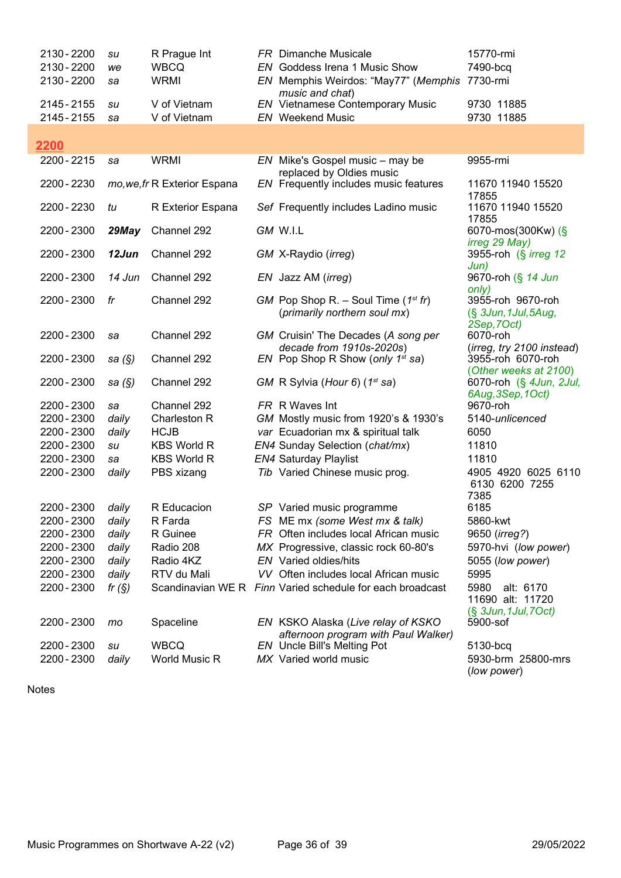| 2130 - 2200<br>2130 - 2200<br>2130 - 2200 | su<br>we<br>sa | R Prague Int<br><b>WBCQ</b><br><b>WRMI</b> | <b>FR</b> Dimanche Musicale<br>EN Goddess Irena 1 Music Show<br>EN Memphis Weirdos: "May77" (Memphis<br>music and chat) | 15770-rmi<br>7490-bcq<br>7730-rmi                                     |
|-------------------------------------------|----------------|--------------------------------------------|-------------------------------------------------------------------------------------------------------------------------|-----------------------------------------------------------------------|
| 2145 - 2155<br>2145 - 2155                | su<br>sa       | V of Vietnam<br>V of Vietnam               | EN Vietnamese Contemporary Music<br><b>EN</b> Weekend Music                                                             | 9730 11885<br>9730 11885                                              |
| 2200                                      |                |                                            |                                                                                                                         |                                                                       |
| 2200 - 2215                               | sa             | <b>WRMI</b>                                | EN Mike's Gospel music - may be<br>replaced by Oldies music                                                             | 9955-rmi                                                              |
| 2200 - 2230                               |                | mo, we, fr R Exterior Espana               | EN Frequently includes music features                                                                                   | 11670 11940 15520<br>17855                                            |
| 2200 - 2230                               | tu             | R Exterior Espana                          | Sef Frequently includes Ladino music                                                                                    | 11670 11940 15520<br>17855                                            |
| 2200 - 2300                               | 29May          | Channel 292                                | GM W.I.L                                                                                                                | 6070-mos(300Kw) (§<br>irreg 29 May)                                   |
| 2200 - 2300                               | 12Jun          | Channel 292                                | GM X-Raydio (irreg)                                                                                                     | 3955-roh (§ <i>irreg 12</i><br>Jun)                                   |
| 2200 - 2300                               | 14 Jun         | Channel 292                                | EN Jazz AM (irreg)                                                                                                      | 9670-roh (§ 14 Jun<br>only)                                           |
| 2200 - 2300                               | fr             | Channel 292                                | GM Pop Shop R. – Soul Time $(1^{st}$ fr)<br>(primarily northern soul mx)                                                | 3955-roh 9670-roh<br>(§ 3Jun, 1Jul, 5Aug,<br>2Sep, 7Oct)              |
| 2200 - 2300                               | sa             | Channel 292                                | GM Cruisin' The Decades (A song per<br>decade from 1910s-2020s)                                                         | 6070-roh                                                              |
| 2200 - 2300                               | sa $(S)$       | Channel 292                                | EN Pop Shop R Show (only $1^{st}$ sa)                                                                                   | (irreg, try 2100 instead)<br>3955-roh 6070-roh                        |
| 2200 - 2300                               | sa $(\S)$      | Channel 292                                | GM R Sylvia (Hour 6) $(1^{st}$ sa)                                                                                      | (Other weeks at 2100)<br>6070-roh (§ 4Jun, 2Jul,<br>6Aug, 3Sep, 1Oct) |
| 2200 - 2300                               | sa             | Channel 292                                | FR R Waves Int                                                                                                          | 9670-roh                                                              |
| 2200 - 2300                               | daily          | Charleston R                               | GM Mostly music from 1920's & 1930's                                                                                    | 5140-unlicenced                                                       |
| 2200 - 2300                               | daily          | <b>HCJB</b>                                | var Ecuadorian mx & spiritual talk                                                                                      | 6050                                                                  |
| 2200 - 2300                               | su             | <b>KBS World R</b>                         | EN4 Sunday Selection (chat/mx)                                                                                          | 11810                                                                 |
| 2200 - 2300                               | sa             | <b>KBS World R</b>                         | <b>EN4 Saturday Playlist</b>                                                                                            | 11810                                                                 |
| 2200 - 2300                               | daily          | PBS xizang                                 | Tib Varied Chinese music prog.                                                                                          | 4905 4920 6025 6110<br>6130 6200 7255<br>7385                         |
| 2200 - 2300                               | daily          | R Educacion                                | SP Varied music programme                                                                                               | 6185                                                                  |
| 2200 - 2300                               | daily          | R Farda                                    | FS ME mx (some West mx & talk)                                                                                          | 5860-kwt                                                              |
| 2200 - 2300                               | daily          | R Guinee                                   | FR Often includes local African music                                                                                   | 9650 (irreg?)                                                         |
| 2200 - 2300                               | daily          | Radio 208                                  | MX Progressive, classic rock 60-80's                                                                                    | 5970-hvi (low power)                                                  |
| 2200 - 2300                               | daily          | Radio 4KZ                                  | <b>EN</b> Varied oldies/hits                                                                                            | 5055 (low power)                                                      |
| 2200 - 2300                               | daily          | RTV du Mali                                | VV Often includes local African music                                                                                   | 5995                                                                  |
| 2200 - 2300                               | fr $(S)$       |                                            | Scandinavian WE R Finn Varied schedule for each broadcast                                                               | 5980<br>alt: 6170<br>11690 alt: 11720<br>$(S$ 3Jun, 1Jul, 7Oct)       |
| 2200 - 2300                               | mo             | Spaceline                                  | EN KSKO Alaska (Live relay of KSKO<br>afternoon program with Paul Walker)                                               | 5900-sof                                                              |
| 2200 - 2300                               | su             | <b>WBCQ</b>                                | EN Uncle Bill's Melting Pot                                                                                             | 5130-bcq                                                              |
| 2200 - 2300                               | daily          | World Music R                              | MX Varied world music                                                                                                   | 5930-brm 25800-mrs<br>(low power)                                     |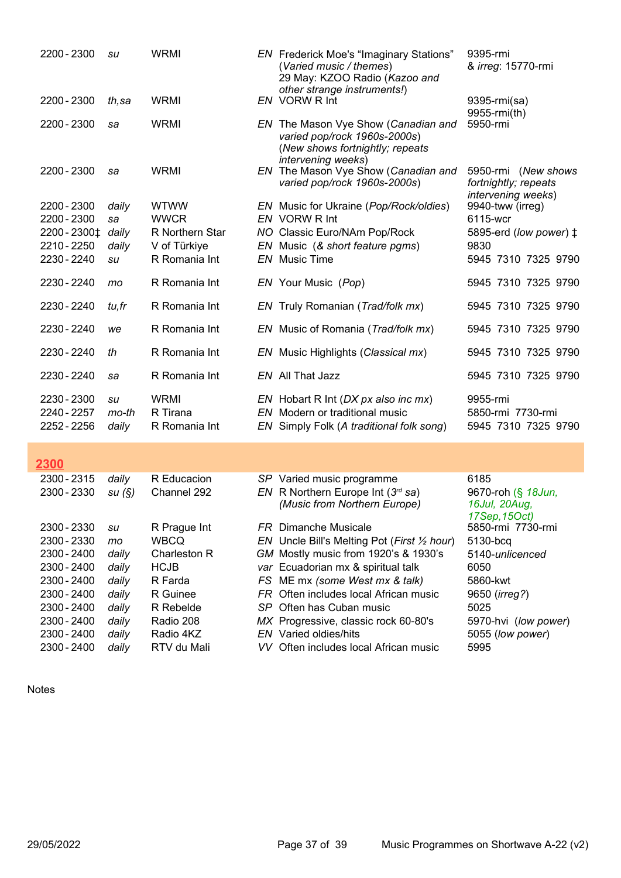| 2200 - 2300                               | su                   | <b>WRMI</b>                              | <b>EN</b> Frederick Moe's "Imaginary Stations"<br>(Varied music / themes)<br>29 May: KZOO Radio (Kazoo and                          | 9395-rmi<br>& irreg: 15770-rmi                                           |
|-------------------------------------------|----------------------|------------------------------------------|-------------------------------------------------------------------------------------------------------------------------------------|--------------------------------------------------------------------------|
| 2200 - 2300                               | th,sa                | <b>WRMI</b>                              | other strange instruments!)<br>EN VORW R Int                                                                                        | 9395-rmi(sa)<br>9955-rmi(th)                                             |
| 2200 - 2300                               | sa                   | <b>WRMI</b>                              | EN The Mason Vye Show (Canadian and<br>varied pop/rock 1960s-2000s)<br>(New shows fortnightly; repeats<br><i>intervening</i> weeks) | 5950-rmi                                                                 |
| 2200 - 2300                               | sa                   | <b>WRMI</b>                              | EN The Mason Vye Show (Canadian and<br>varied pop/rock 1960s-2000s)                                                                 | 5950-rmi (New shows<br>fortnightly; repeats<br><i>intervening</i> weeks) |
| 2200 - 2300                               | daily                | <b>WTWW</b>                              | EN Music for Ukraine (Pop/Rock/oldies)                                                                                              | 9940-tww (irreg)                                                         |
| 2200 - 2300                               | sa                   | <b>WWCR</b>                              | EN VORW R Int                                                                                                                       | 6115-wcr                                                                 |
| 2200 - 2300 ±                             | daily                | R Northern Star                          | NO Classic Euro/NAm Pop/Rock                                                                                                        | 5895-erd (low power) ±                                                   |
| 2210 - 2250                               | daily                | V of Türkiye                             | EN Music (& short feature pams)                                                                                                     | 9830                                                                     |
| 2230 - 2240                               | su                   | R Romania Int                            | <b>EN</b> Music Time                                                                                                                | 5945 7310 7325 9790                                                      |
| 2230 - 2240                               | mo                   | R Romania Int                            | EN Your Music (Pop)                                                                                                                 | 5945 7310 7325 9790                                                      |
| 2230 - 2240                               | tu,fr                | R Romania Int                            | EN Truly Romanian (Trad/folk mx)                                                                                                    | 5945 7310 7325 9790                                                      |
| 2230 - 2240                               | we                   | R Romania Int                            | EN Music of Romania (Trad/folk mx)                                                                                                  | 5945 7310 7325 9790                                                      |
| 2230 - 2240                               | th                   | R Romania Int                            | EN Music Highlights (Classical mx)                                                                                                  | 5945 7310 7325 9790                                                      |
| 2230 - 2240                               | sa                   | R Romania Int                            | EN All That Jazz                                                                                                                    | 5945 7310 7325 9790                                                      |
| 2230 - 2300<br>2240 - 2257<br>2252 - 2256 | su<br>mo-th<br>daily | <b>WRMI</b><br>R Tirana<br>R Romania Int | EN Hobart R Int (DX px also inc mx)<br>EN Modern or traditional music<br>EN Simply Folk (A traditional folk song)                   | 9955-rmi<br>5850-rmi 7730-rmi<br>5945 7310 7325 9790                     |

| 2300 - 2315<br>R Educacion<br>6185<br>SP Varied music programme<br>daily                                   |  |
|------------------------------------------------------------------------------------------------------------|--|
|                                                                                                            |  |
| EN R Northern Europe Int $(3^{rd}$ sa)<br>2300 - 2330<br>su(S)<br>9670-roh (§ 18Jun,<br>Channel 292        |  |
| (Music from Northern Europe)<br>16Jul, 20Aug,                                                              |  |
| 17Sep, 15Oct)                                                                                              |  |
| 5850-rmi 7730-rmi<br>2300 - 2330<br><b>FR</b> Dimanche Musicale<br>R Prague Int<br>su                      |  |
| 2300 - 2330<br><b>WBCQ</b><br>EN Uncle Bill's Melting Pot (First 1/2 hour)<br>5130-bcq<br>mo               |  |
| GM Mostly music from 1920's & 1930's<br>2300 - 2400<br>5140-unlicenced<br>Charleston R<br>daily            |  |
| var Ecuadorian mx & spiritual talk<br><b>HCJB</b><br>2300 - 2400<br>6050<br>daily                          |  |
| FS ME mx (some West mx & talk)<br>2300 - 2400<br>R Farda<br>5860-kwt<br>daily                              |  |
| R Guinee<br><b>FR</b> Often includes local African music<br>2300 - 2400<br>9650 ( <i>irreg?</i> )<br>daily |  |
| 2300 - 2400<br>R Rebelde<br>SP Often has Cuban music<br>5025<br>daily                                      |  |
| 2300 - 2400<br>MX Progressive, classic rock 60-80's<br>Radio 208<br>daily<br>5970-hvi (low power)          |  |
| 2300 - 2400<br><b>EN</b> Varied oldies/hits<br>5055 (low power)<br>Radio 4KZ<br>daily                      |  |
| 2300 - 2400<br>RTV du Mali<br>5995<br>VV Often includes local African music<br>daily                       |  |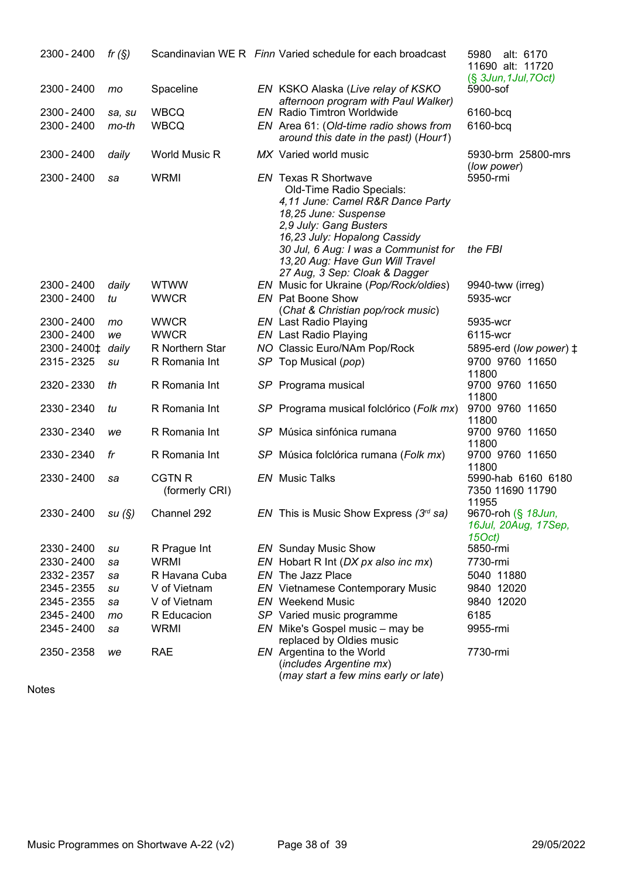| 2300 - 2400            | fr $(S)$ |                                 | Scandinavian WE R Finn Varied schedule for each broadcast                                                                                                                     | alt: 6170<br>5980<br>11690 alt: 11720<br>$(\S$ 3Jun, 1Jul, 7Oct) |
|------------------------|----------|---------------------------------|-------------------------------------------------------------------------------------------------------------------------------------------------------------------------------|------------------------------------------------------------------|
| 2300 - 2400            | mo       | Spaceline                       | EN KSKO Alaska (Live relay of KSKO<br>afternoon program with Paul Walker)                                                                                                     | 5900-sof                                                         |
| 2300 - 2400            | sa, su   | <b>WBCQ</b>                     | <b>EN</b> Radio Timtron Worldwide                                                                                                                                             | 6160-bcq                                                         |
| 2300 - 2400            | $mo-th$  | <b>WBCQ</b>                     | EN Area 61: (Old-time radio shows from<br>around this date in the past) (Hour1)                                                                                               | 6160-bcq                                                         |
| 2300 - 2400            | daily    | <b>World Music R</b>            | MX Varied world music                                                                                                                                                         | 5930-brm 25800-mrs<br>(low power)                                |
| 2300 - 2400            | sa       | <b>WRMI</b>                     | <b>EN</b> Texas R Shortwave<br>Old-Time Radio Specials:<br>4,11 June: Camel R&R Dance Party<br>18,25 June: Suspense<br>2,9 July: Gang Busters<br>16,23 July: Hopalong Cassidy | 5950-rmi                                                         |
|                        |          |                                 | 30 Jul, 6 Aug: I was a Communist for<br>13,20 Aug: Have Gun Will Travel<br>27 Aug, 3 Sep: Cloak & Dagger                                                                      | the FBI                                                          |
| 2300 - 2400            | daily    | <b>WTWW</b>                     | EN Music for Ukraine (Pop/Rock/oldies)                                                                                                                                        | 9940-tww (irreg)                                                 |
| 2300 - 2400            | tu       | <b>WWCR</b>                     | <b>EN</b> Pat Boone Show                                                                                                                                                      | 5935-wcr                                                         |
|                        |          |                                 | (Chat & Christian pop/rock music)                                                                                                                                             |                                                                  |
| 2300 - 2400            | mo       | <b>WWCR</b>                     | <b>EN</b> Last Radio Playing                                                                                                                                                  | 5935-wcr                                                         |
| 2300 - 2400            | we       | <b>WWCR</b>                     | <b>EN</b> Last Radio Playing                                                                                                                                                  | 6115-wcr                                                         |
| 2300 - 2400 ±          | daily    | R Northern Star                 | NO Classic Euro/NAm Pop/Rock                                                                                                                                                  | 5895-erd (low power) ±                                           |
| 2315 - 2325            | su       | R Romania Int                   | SP Top Musical (pop)                                                                                                                                                          | 9700 9760 11650                                                  |
|                        |          |                                 |                                                                                                                                                                               | 11800                                                            |
| 2320 - 2330            | th       | R Romania Int                   | SP Programa musical                                                                                                                                                           | 9700 9760 11650                                                  |
|                        |          |                                 |                                                                                                                                                                               | 11800                                                            |
| 2330 - 2340            | tu       | R Romania Int                   | SP Programa musical folclórico (Folk mx)                                                                                                                                      | 9700 9760 11650<br>11800                                         |
| 2330 - 2340            | we       | R Romania Int                   | SP Música sinfónica rumana                                                                                                                                                    | 9700 9760 11650                                                  |
|                        |          |                                 |                                                                                                                                                                               | 11800                                                            |
| 2330 - 2340            | fr       | R Romania Int                   | SP Música folclórica rumana (Folk mx)                                                                                                                                         | 9700 9760 11650<br>11800                                         |
| 2330 - 2400            | sa       | <b>CGTN R</b><br>(formerly CRI) | <b>EN</b> Music Talks                                                                                                                                                         | 5990-hab 6160 6180<br>7350 11690 11790<br>11955                  |
| $2330 - 2400$ su $(S)$ |          | Channel 292                     | EN This is Music Show Express $(3rd$ sa)                                                                                                                                      | 9670-roh (§ 18Jun,<br>16Jul, 20Aug, 17Sep,<br>15Oct)             |
| 2330 - 2400            | su       | R Prague Int                    | <b>EN</b> Sunday Music Show                                                                                                                                                   | 5850-rmi                                                         |
| 2330 - 2400            | sa       | <b>WRMI</b>                     | EN Hobart R Int (DX px also inc mx)                                                                                                                                           | 7730-rmi                                                         |
| 2332 - 2357            | sa       | R Havana Cuba                   | EN The Jazz Place                                                                                                                                                             | 5040 11880                                                       |
| 2345 - 2355            | su       | V of Vietnam                    | <b>EN</b> Vietnamese Contemporary Music                                                                                                                                       | 9840 12020                                                       |
| 2345 - 2355            | sa       | V of Vietnam                    | <b>EN</b> Weekend Music                                                                                                                                                       | 9840 12020                                                       |
| 2345 - 2400            | mo       | R Educacion                     | SP Varied music programme                                                                                                                                                     | 6185                                                             |
| 2345 - 2400            |          | <b>WRMI</b>                     | EN Mike's Gospel music - may be                                                                                                                                               | 9955-rmi                                                         |
|                        | sa       |                                 | replaced by Oldies music                                                                                                                                                      |                                                                  |
| 2350 - 2358            | we       | <b>RAE</b>                      | EN Argentina to the World<br>(includes Argentine mx)<br>(may start a few mins early or late)                                                                                  | 7730-rmi                                                         |